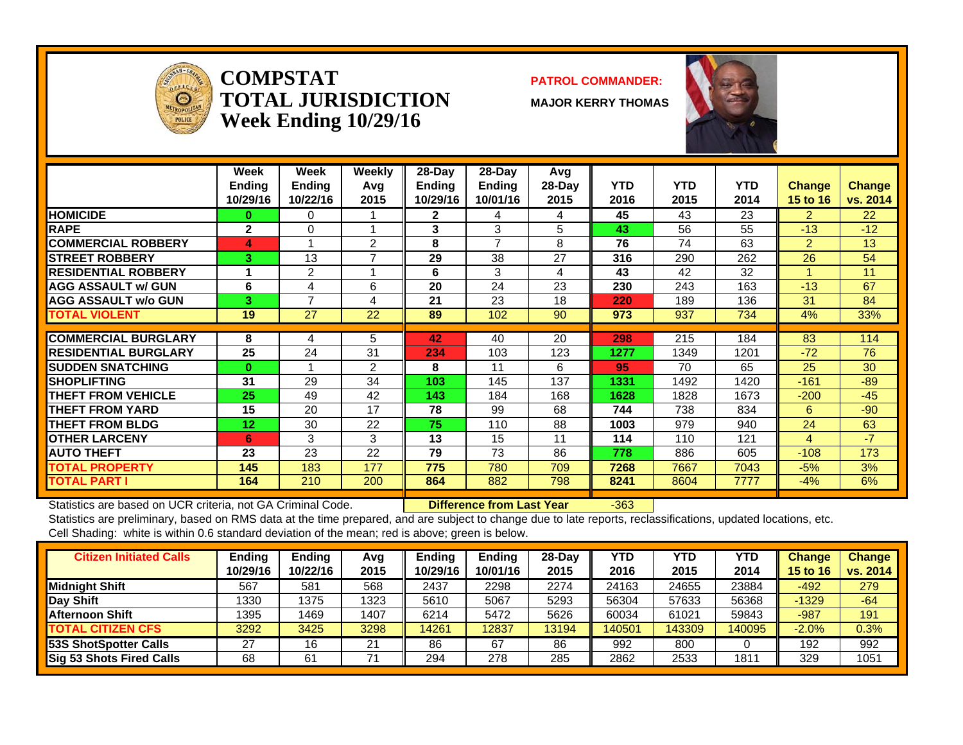

**COMPSTATTOTAL JURISDICTIONWeek Ending 10/29/16**

#### **PATROL COMMANDER:**

**MAJOR KERRY THOMAS**



|                              | Week<br><b>Ending</b><br>10/29/16 | Week<br><b>Ending</b><br>10/22/16 | Weekly<br>Avq<br>2015 | $28-Day$<br><b>Ending</b><br>10/29/16 | $28-Day$<br>Ending<br>10/01/16 | Avg<br>$28-Day$<br>2015 | <b>YTD</b><br>2016 | <b>YTD</b><br>2015 | <b>YTD</b><br>2014 | <b>Change</b><br>15 to 16 | <b>Change</b><br>vs. 2014 |
|------------------------------|-----------------------------------|-----------------------------------|-----------------------|---------------------------------------|--------------------------------|-------------------------|--------------------|--------------------|--------------------|---------------------------|---------------------------|
| <b>HOMICIDE</b>              | 0                                 | 0                                 |                       | $\mathbf{2}$                          | 4                              | 4                       | 45                 | 43                 | 23                 | $\mathcal{P}$             | 22                        |
| <b>RAPE</b>                  | $\mathbf{2}$                      | 0                                 |                       | 3                                     | 3                              | 5                       | 43                 | 56                 | 55                 | $-13$                     | $-12$                     |
| <b>COMMERCIAL ROBBERY</b>    | 4                                 |                                   | 2                     | 8                                     | $\overline{7}$                 | 8                       | 76                 | 74                 | 63                 | $\overline{2}$            | 13                        |
| <b>STREET ROBBERY</b>        | 3                                 | 13                                | ⇁                     | 29                                    | 38                             | 27                      | 316                | 290                | 262                | 26                        | 54                        |
| <b>IRESIDENTIAL ROBBERY</b>  |                                   | 2                                 |                       | 6                                     | 3                              | 4                       | 43                 | 42                 | 32                 |                           | 11                        |
| <b>AGG ASSAULT w/ GUN</b>    | 6                                 | 4                                 | 6                     | 20                                    | 24                             | 23                      | 230                | 243                | 163                | $-13$                     | 67                        |
| <b>AGG ASSAULT w/o GUN</b>   | 3                                 | 7                                 | 4                     | 21                                    | 23                             | 18                      | 220                | 189                | 136                | 31                        | 84                        |
| <b>TOTAL VIOLENT</b>         | 19                                | 27                                | 22                    | 89                                    | 102                            | 90                      | 973                | 937                | 734                | 4%                        | 33%                       |
|                              |                                   |                                   |                       |                                       |                                |                         |                    |                    |                    |                           |                           |
| <b>COMMERCIAL BURGLARY</b>   | 8                                 | 4                                 | 5                     | 42                                    | 40                             | 20                      | 298                | 215                | 184                | 83                        | 114                       |
| <b>IRESIDENTIAL BURGLARY</b> | 25                                | 24                                | 31                    | 234                                   | 103                            | 123                     | 1277               | 1349               | 1201               | $-72$                     | 76                        |
| <b>SUDDEN SNATCHING</b>      | $\bf{0}$                          |                                   | 2                     | 8                                     | 11                             | 6                       | 95                 | 70                 | 65                 | 25                        | 30                        |
| <b>ISHOPLIFTING</b>          | 31                                | 29                                | 34                    | 103                                   | 145                            | 137                     | 1331               | 1492               | 1420               | $-161$                    | $-89$                     |
| <b>THEFT FROM VEHICLE</b>    | 25                                | 49                                | 42                    | 143                                   | 184                            | 168                     | 1628               | 1828               | 1673               | $-200$                    | $-45$                     |
| <b>THEFT FROM YARD</b>       | 15                                | 20                                | 17                    | 78                                    | 99                             | 68                      | 744                | 738                | 834                | 6.                        | $-90$                     |
| <b>THEFT FROM BLDG</b>       | 12                                | 30                                | 22                    | 75                                    | 110                            | 88                      | 1003               | 979                | 940                | 24                        | 63                        |
| <b>OTHER LARCENY</b>         | 6                                 | 3                                 | 3                     | 13                                    | 15                             | 11                      | 114                | 110                | 121                | 4                         | $-77$                     |
| <b>AUTO THEFT</b>            | 23                                | 23                                | 22                    | 79                                    | 73                             | 86                      | 778                | 886                | 605                | $-108$                    | 173                       |
| <b>TOTAL PROPERTY</b>        | 145                               | 183                               | 177                   | 775                                   | 780                            | 709                     | 7268               | 7667               | 7043               | $-5%$                     | 3%                        |
| <b>TOTAL PART I</b>          | 164                               | 210                               | 200                   | 864                                   | 882                            | 798                     | 8241               | 8604               | 7777               | $-4\%$                    | 6%                        |

Statistics are based on UCR criteria, not GA Criminal Code. **Difference from Last Year** -363

| <b>Citizen Initiated Calls</b>  | Ending   | <b>Ending</b> | Avg  | <b>Ending</b> | <b>Ending</b> | $28-Dav$ | YTD    | <b>YTD</b> | YTD    | <b>Change</b>   | <b>Change</b> |
|---------------------------------|----------|---------------|------|---------------|---------------|----------|--------|------------|--------|-----------------|---------------|
|                                 | 10/29/16 | 10/22/16      | 2015 | 10/29/16      | 10/01/16      | 2015     | 2016   | 2015       | 2014   | <b>15 to 16</b> | vs. 2014      |
| <b>Midnight Shift</b>           | 567      | 581           | 568  | 2437          | 2298          | 2274     | 24163  | 24655      | 23884  | $-492$          | 279           |
| <b>Day Shift</b>                | 1330     | 1375          | 1323 | 5610          | 5067          | 5293     | 56304  | 57633      | 56368  | $-1329$         | $-64$         |
| <b>Afternoon Shift</b>          | 1395     | 1469          | 1407 | 6214          | 5472          | 5626     | 60034  | 61021      | 59843  | $-987$          | 191           |
| <b>TOTAL CITIZEN CFS</b>        | 3292     | 3425          | 3298 | 14261         | 2837          | 13194    | 140501 | 143309     | 140095 | $-2.0%$         | 0.3%          |
| 53S ShotSpotter Calls           | 27       | 16            | 21   | 86            | 67            | 86       | 992    | 800        |        | 192             | 992           |
| <b>Sig 53 Shots Fired Calls</b> | 68       | 61            |      | 294           | 278           | 285      | 2862   | 2533       | 1811   | 329             | 1051          |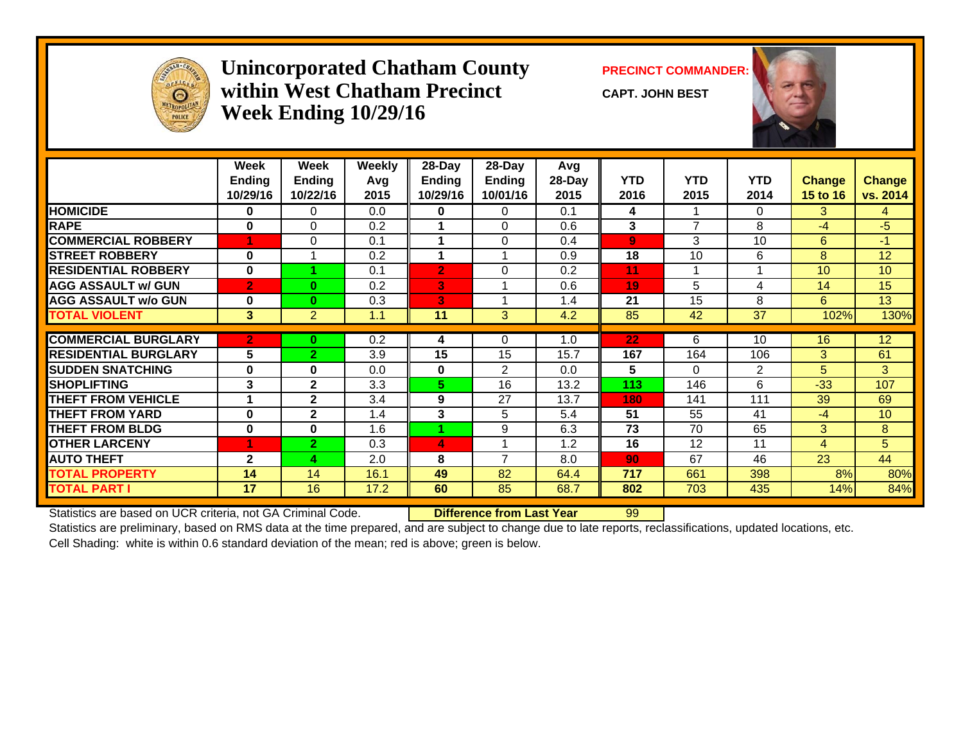

#### **Unincorporated Chatham County PRECINCT COMMANDER: within West Chatham PrecinctWeek Ending 10/29/16**

**CAPT. JOHN BEST**



|                             | Week<br><b>Ending</b><br>10/29/16 | Week<br><b>Ending</b><br>10/22/16 | <b>Weekly</b><br>Avg<br>2015 | 28-Day<br><b>Ending</b><br>10/29/16 | 28-Day<br>Ending<br>10/01/16 | Avg<br>28-Day<br>2015 | <b>YTD</b><br>2016 | <b>YTD</b><br>2015 | <b>YTD</b><br>2014 | Change<br>15 to 16 | <b>Change</b><br>vs. 2014 |
|-----------------------------|-----------------------------------|-----------------------------------|------------------------------|-------------------------------------|------------------------------|-----------------------|--------------------|--------------------|--------------------|--------------------|---------------------------|
| <b>HOMICIDE</b>             | 0                                 | 0                                 | 0.0                          | 0                                   | 0                            | 0.1                   | 4                  |                    | $\Omega$           | 3                  | 4                         |
| <b>RAPE</b>                 | $\bf{0}$                          | 0                                 | 0.2                          |                                     | $\Omega$                     | 0.6                   | 3                  | 7                  | 8                  | $-4$               | $-5$                      |
| <b>COMMERCIAL ROBBERY</b>   |                                   | $\Omega$                          | 0.1                          |                                     | $\Omega$                     | 0.4                   | $\overline{9}$     | 3                  | 10                 | 6                  | $-1$                      |
| <b>ISTREET ROBBERY</b>      | $\bf{0}$                          |                                   | 0.2                          |                                     |                              | 0.9                   | 18                 | 10                 | 6                  | 8                  | 12                        |
| <b>RESIDENTIAL ROBBERY</b>  | $\bf{0}$                          |                                   | 0.1                          | $\overline{2}$                      | $\Omega$                     | 0.2                   | 11                 | 1                  | 1                  | 10                 | 10 <sup>°</sup>           |
| <b>AGG ASSAULT w/ GUN</b>   | $\overline{2}$                    | $\bf{0}$                          | 0.2                          | 3                                   |                              | 0.6                   | 19                 | 5                  | 4                  | 14                 | 15                        |
| <b>AGG ASSAULT w/o GUN</b>  | $\bf{0}$                          | $\bf{0}$                          | 0.3                          | 3                                   |                              | 1.4                   | 21                 | 15                 | 8                  | 6                  | 13                        |
| <b>TOTAL VIOLENT</b>        | $3\overline{3}$                   | 2                                 | 1.1                          | 11                                  | 3                            | 4.2                   | 85                 | 42                 | 37                 | 102%               | 130%                      |
| <b>COMMERCIAL BURGLARY</b>  | $\overline{2}$                    |                                   | 0.2                          |                                     | $\Omega$                     | 1.0                   | 22                 | 6.                 | 10                 | 16                 | 12                        |
|                             |                                   | 0                                 |                              | 4                                   |                              |                       |                    |                    |                    |                    |                           |
| <b>RESIDENTIAL BURGLARY</b> | 5                                 | $\overline{2}$                    | 3.9                          | 15                                  | 15                           | 15.7                  | 167                | 164                | 106                | 3                  | 61                        |
| <b>SUDDEN SNATCHING</b>     | 0                                 | $\mathbf 0$                       | 0.0                          | 0                                   | 2                            | 0.0                   | 5                  | $\Omega$           | 2                  | 5                  | 3                         |
| <b>SHOPLIFTING</b>          | 3                                 | $\mathbf{2}$                      | 3.3                          | 5.                                  | 16                           | 13.2                  | 113                | 146                | 6                  | $-33$              | 107                       |
| <b>THEFT FROM VEHICLE</b>   | 1                                 | $\mathbf{2}$                      | 3.4                          | 9                                   | 27                           | 13.7                  | 180                | 141                | 111                | 39                 | 69                        |
| <b>THEFT FROM YARD</b>      | $\bf{0}$                          | $\mathbf{2}$                      | 1.4                          | 3                                   | 5                            | 5.4                   | 51                 | 55                 | 41                 | $-4$               | 10                        |
| <b>THEFT FROM BLDG</b>      | $\bf{0}$                          | $\mathbf 0$                       | 1.6                          | 4                                   | 9                            | 6.3                   | 73                 | 70                 | 65                 | 3                  | 8                         |
| <b>OTHER LARCENY</b>        |                                   | $\overline{2}$                    | 0.3                          | 4                                   |                              | 1.2                   | 16                 | 12                 | 11                 | $\overline{4}$     | 5                         |
| <b>AUTO THEFT</b>           | $\overline{2}$                    | 4                                 | 2.0                          | 8                                   | 7                            | 8.0                   | 90                 | 67                 | 46                 | 23                 | 44                        |
| <b>TOTAL PROPERTY</b>       | 14                                | 14                                | 16.1                         | 49                                  | 82                           | 64.4                  | 717                | 661                | 398                | 8%                 | 80%                       |
| <b>TOTAL PART I</b>         | 17                                | 16                                | 17.2                         | 60                                  | 85                           | 68.7                  | 802                | 703                | 435                | 14%                | 84%                       |

Statistics are based on UCR criteria, not GA Criminal Code. **Difference from Last Year** 99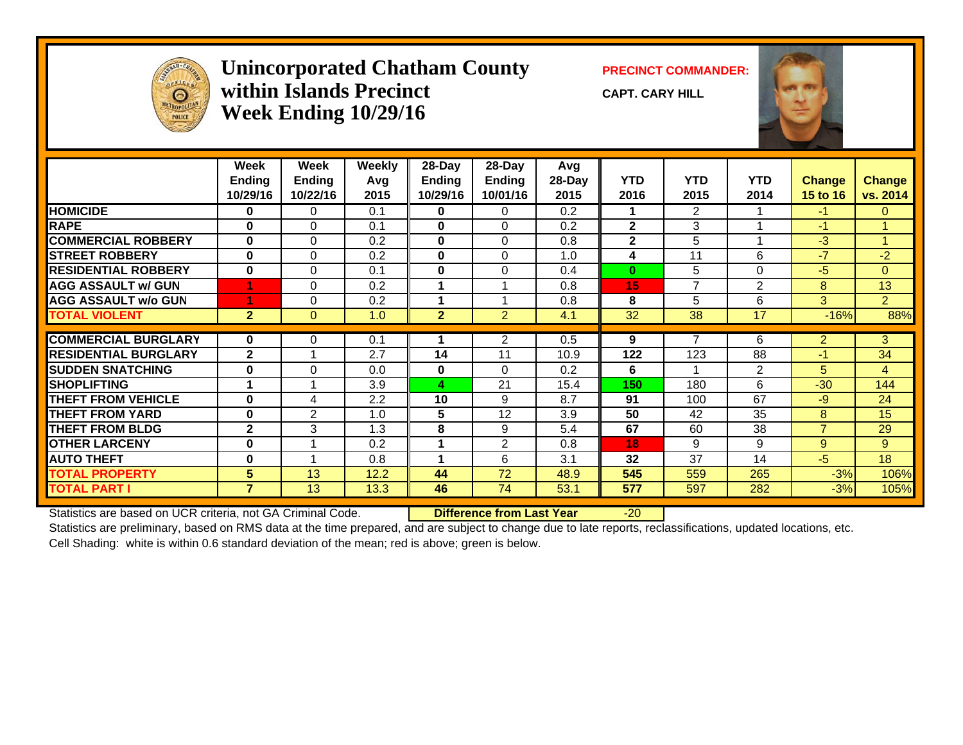

#### **Unincorporated Chatham County PRECINCT COMMANDER: within Islands PrecinctWeek Ending 10/29/16**

**CAPT. CARY HILL**



|                             | Week           | Week          | <b>Weekly</b> | 28-Day         | 28-Day         | Avg    |                |                |                |                |                |
|-----------------------------|----------------|---------------|---------------|----------------|----------------|--------|----------------|----------------|----------------|----------------|----------------|
|                             | <b>Ending</b>  | <b>Ending</b> | Avg           | Ending         | <b>Ending</b>  | 28-Day | <b>YTD</b>     | <b>YTD</b>     | <b>YTD</b>     | <b>Change</b>  | <b>Change</b>  |
|                             | 10/29/16       | 10/22/16      | 2015          | 10/29/16       | 10/01/16       | 2015   | 2016           | 2015           | 2014           | 15 to 16       | vs. 2014       |
| <b>HOMICIDE</b>             | 0              | $\Omega$      | 0.1           | $\bf{0}$       | $\Omega$       | 0.2    |                | 2              |                | $-1$           | $\mathbf{0}$   |
| <b>RAPE</b>                 | $\bf{0}$       | 0             | 0.1           | $\mathbf{0}$   | $\Omega$       | 0.2    | $\mathbf{2}$   | 3              |                | $-1$           |                |
| <b>COMMERCIAL ROBBERY</b>   | $\bf{0}$       | $\Omega$      | 0.2           | $\mathbf{0}$   | $\Omega$       | 0.8    | $\overline{2}$ | 5              |                | $-3$           | 1              |
| <b>STREET ROBBERY</b>       | $\mathbf{0}$   | 0             | 0.2           | $\mathbf{0}$   | $\Omega$       | 1.0    | 4              | 11             | 6              | $-7$           | $-2$           |
| <b>RESIDENTIAL ROBBERY</b>  | $\bf{0}$       | $\Omega$      | 0.1           | $\mathbf{0}$   | $\Omega$       | 0.4    | $\bf{0}$       | 5              | 0              | $-5$           | $\Omega$       |
| <b>AGG ASSAULT w/ GUN</b>   |                | 0             | 0.2           |                |                | 0.8    | 15             | $\overline{7}$ | $\overline{2}$ | 8              | 13             |
| <b>AGG ASSAULT w/o GUN</b>  |                | 0             | 0.2           | 1              |                | 0.8    | 8              | 5              | 6              | 3              | 2 <sup>1</sup> |
| <b>TOTAL VIOLENT</b>        | 2 <sup>1</sup> | $\mathbf{0}$  | 1.0           | $\overline{2}$ | 2              | 4.1    | 32             | 38             | 17             | $-16%$         | 88%            |
| <b>COMMERCIAL BURGLARY</b>  |                |               |               |                |                |        |                |                |                |                |                |
|                             | $\mathbf{0}$   | 0             | 0.1           |                | $\overline{2}$ | 0.5    | 9              |                | 6              | $\overline{2}$ | 3              |
| <b>RESIDENTIAL BURGLARY</b> | $\mathbf{2}$   | 4             | 2.7           | 14             | 11             | 10.9   | 122            | 123            | 88             | $-1$           | 34             |
| <b>SUDDEN SNATCHING</b>     | $\bf{0}$       | $\Omega$      | 0.0           | $\mathbf 0$    | $\Omega$       | 0.2    | 6              |                | 2              | 5              | $\overline{4}$ |
| <b>SHOPLIFTING</b>          | 4              | 4             | 3.9           | 4              | 21             | 15.4   | 150            | 180            | 6              | $-30$          | 144            |
| <b>THEFT FROM VEHICLE</b>   | $\bf{0}$       | 4             | 2.2           | 10             | 9              | 8.7    | 91             | 100            | 67             | $-9$           | 24             |
| <b>THEFT FROM YARD</b>      | $\bf{0}$       | $\mathbf{2}$  | 1.0           | 5              | 12             | 3.9    | 50             | 42             | 35             | 8              | 15             |
| <b>THEFT FROM BLDG</b>      | $\mathbf{2}$   | 3             | 1.3           | 8              | 9              | 5.4    | 67             | 60             | 38             | $\overline{7}$ | 29             |
| <b>OTHER LARCENY</b>        | 0              |               | 0.2           |                | $\overline{2}$ | 0.8    | 18             | 9              | 9              | 9              | 9              |
| <b>AUTO THEFT</b>           | $\bf{0}$       | 4             | 0.8           | 4              | 6              | 3.1    | 32             | 37             | 14             | $-5$           | 18             |
| <b>TOTAL PROPERTY</b>       | 5 <sup>1</sup> | 13            | 12.2          | 44             | 72             | 48.9   | 545            | 559            | 265            | $-3%$          | 106%           |
| <b>TOTAL PART I</b>         | $\overline{7}$ | 13            | 13.3          | 46             | 74             | 53.1   | 577            | 597            | 282            | $-3%$          | 105%           |

Statistics are based on UCR criteria, not GA Criminal Code. **Difference from Last Year** -20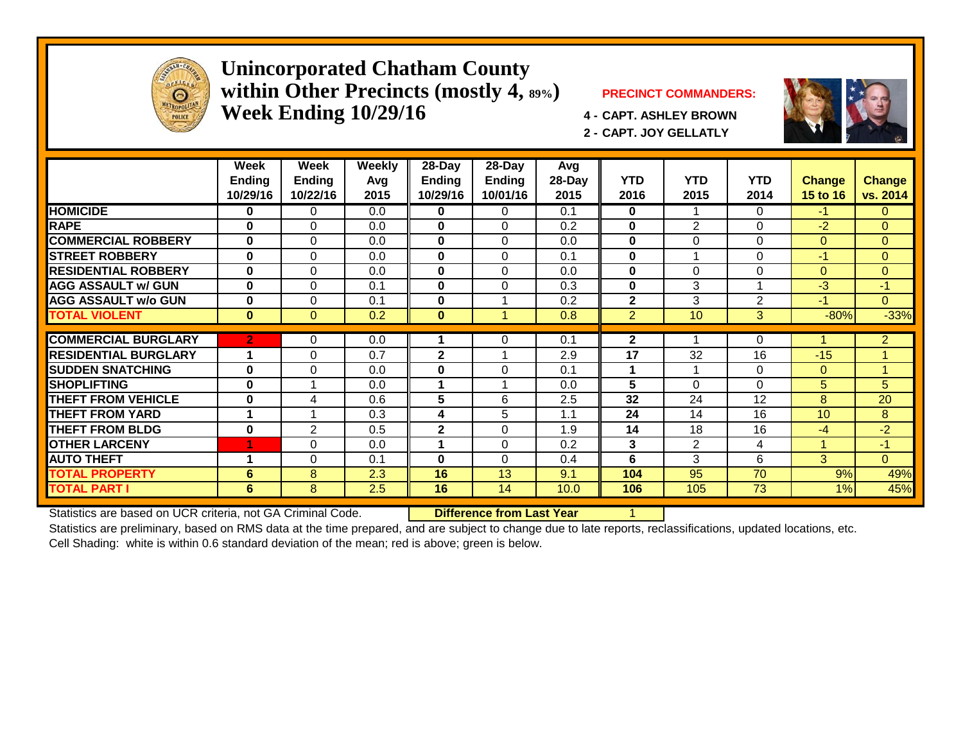

#### **Unincorporated Chatham County within Other Precincts (mostly 4, 89%) PRECINCT COMMANDERS: Week Ending 10/29/16 4 - CAPT. ASHLEY BROWN**



**2 - CAPT. JOY GELLATLY**



|                             | Week<br>Ending<br>10/29/16 | Week<br><b>Ending</b><br>10/22/16 | <b>Weekly</b><br>Avg<br>2015 | $28 - Day$<br>Endina<br>10/29/16 | $28 - Day$<br>Ending<br>10/01/16 | Avg<br>28-Day<br>2015 | <b>YTD</b><br>2016 | <b>YTD</b><br>2015 | <b>YTD</b><br>2014 | <b>Change</b><br>15 to 16 | <b>Change</b><br>vs. 2014 |
|-----------------------------|----------------------------|-----------------------------------|------------------------------|----------------------------------|----------------------------------|-----------------------|--------------------|--------------------|--------------------|---------------------------|---------------------------|
| <b>HOMICIDE</b>             | 0                          | 0                                 | 0.0                          | 0                                | 0                                | 0.1                   | 0                  |                    | 0                  | $-1$                      | $\mathbf{0}$              |
| <b>RAPE</b>                 | $\bf{0}$                   | $\Omega$                          | 0.0                          | $\mathbf{0}$                     | $\Omega$                         | 0.2                   | $\bf{0}$           | $\overline{2}$     | $\Omega$           | $-2$                      | $\overline{0}$            |
| <b>COMMERCIAL ROBBERY</b>   | $\bf{0}$                   | $\Omega$                          | 0.0                          | $\mathbf{0}$                     | $\Omega$                         | 0.0                   | $\bf{0}$           | 0                  | 0                  | $\Omega$                  | $\overline{0}$            |
| <b>STREET ROBBERY</b>       | $\bf{0}$                   | $\Omega$                          | 0.0                          | $\mathbf{0}$                     | $\Omega$                         | 0.1                   | 0                  | 1                  | $\Omega$           | $-1$                      | $\overline{0}$            |
| <b>RESIDENTIAL ROBBERY</b>  | $\bf{0}$                   | $\Omega$                          | 0.0                          | $\mathbf{0}$                     | $\Omega$                         | 0.0                   | $\bf{0}$           | $\Omega$           | 0                  | $\Omega$                  | $\Omega$                  |
| <b>AGG ASSAULT w/ GUN</b>   | $\mathbf{0}$               | $\Omega$                          | 0.1                          | $\bf{0}$                         | $\Omega$                         | 0.3                   | $\bf{0}$           | 3                  |                    | $-3$                      | $-1$                      |
| <b>AGG ASSAULT w/o GUN</b>  | $\bf{0}$                   | $\Omega$                          | 0.1                          | $\bf{0}$                         |                                  | 0.2                   | $\overline{2}$     | 3                  | 2                  | $-1$                      | $\Omega$                  |
| <b>TOTAL VIOLENT</b>        | $\bf{0}$                   | $\Omega$                          | 0.2                          | $\bf{0}$                         |                                  | 0.8                   | $\overline{2}$     | 10                 | 3                  | $-80%$                    | $-33%$                    |
|                             |                            |                                   |                              |                                  |                                  |                       |                    |                    |                    |                           |                           |
| <b>COMMERCIAL BURGLARY</b>  | $\overline{2}$             | $\Omega$                          | 0.0                          |                                  | 0                                | 0.1                   | $\mathbf{2}$       |                    | 0                  |                           | $\overline{2}$            |
| <b>RESIDENTIAL BURGLARY</b> |                            | $\Omega$                          | 0.7                          | $\mathbf{2}$                     | $\overline{\mathbf{A}}$          | 2.9                   | 17                 | 32                 | 16                 | $-15$                     | 1                         |
| <b>SUDDEN SNATCHING</b>     | $\bf{0}$                   | $\Omega$                          | 0.0                          | $\mathbf{0}$                     | $\Omega$                         | 0.1                   | 1                  | 1                  | 0                  | $\Omega$                  |                           |
| <b>SHOPLIFTING</b>          | $\bf{0}$                   |                                   | 0.0                          | 1                                |                                  | 0.0                   | 5                  | $\Omega$           | 0                  | 5                         | 5                         |
| <b>THEFT FROM VEHICLE</b>   | $\bf{0}$                   | 4                                 | 0.6                          | 5                                | 6                                | 2.5                   | 32 <sub>2</sub>    | 24                 | 12                 | 8                         | 20                        |
| <b>THEFT FROM YARD</b>      |                            |                                   | 0.3                          | 4                                | 5                                | 1.1                   | 24                 | 14                 | 16                 | 10 <sup>1</sup>           | 8                         |
| <b>THEFT FROM BLDG</b>      | $\bf{0}$                   | 2                                 | 0.5                          | $\mathbf{2}$                     | $\Omega$                         | 1.9                   | 14                 | 18                 | 16                 | $-4$                      | $-2$                      |
| <b>OTHER LARCENY</b>        | 4                          | $\Omega$                          | 0.0                          | 1                                | $\Omega$                         | 0.2                   | 3                  | $\overline{2}$     | 4                  | 4                         | $-1$                      |
| <b>AUTO THEFT</b>           | $\overline{\mathbf{A}}$    | $\Omega$                          | 0.1                          | $\mathbf{0}$                     | $\Omega$                         | 0.4                   | 6                  | 3                  | 6                  | 3                         | $\Omega$                  |
| <b>TOTAL PROPERTY</b>       | 6                          | 8                                 | 2.3                          | 16                               | 13                               | 9.1                   | 104                | 95                 | 70                 | 9%                        | 49%                       |
| <b>TOTAL PART I</b>         | 6                          | 8                                 | 2.5                          | 16                               | 14                               | 10.0                  | 106                | 105                | 73                 | 1%                        | 45%                       |

Statistics are based on UCR criteria, not GA Criminal Code. **Difference from Last Year** 1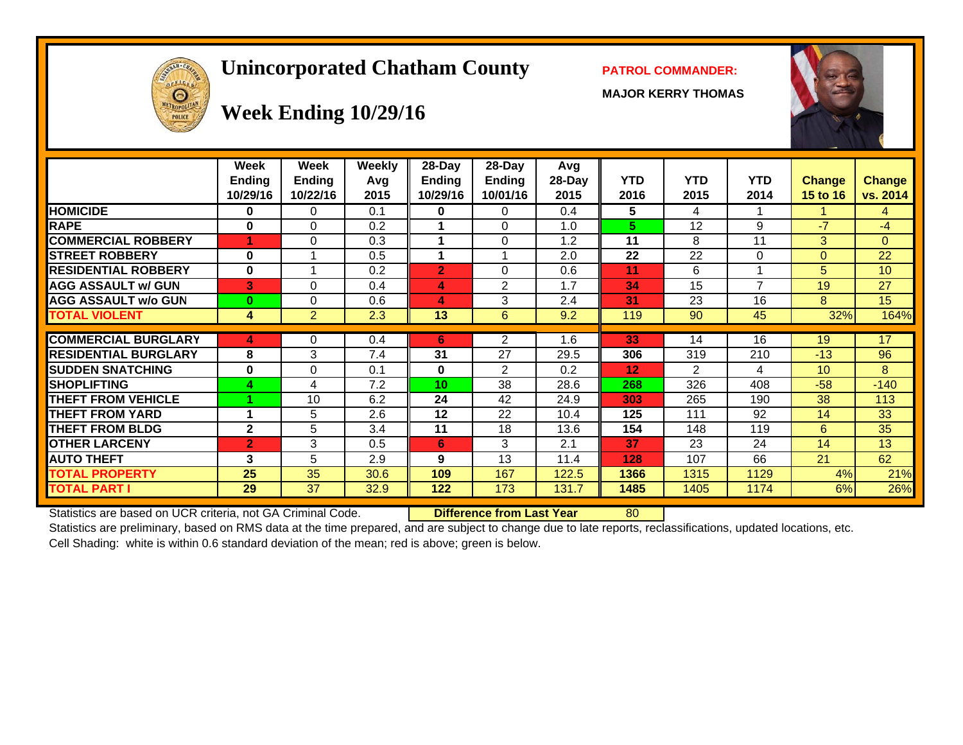# **Unincorporated Chatham County PATROL COMMANDER:**

**MAJOR KERRY THOMAS**





# **Week Ending 10/29/16**

|                             | Week<br><b>Ending</b><br>10/29/16 | Week<br><b>Ending</b><br>10/22/16 | Weekly<br>Avq<br>2015 | $28-Day$<br>Ending<br>10/29/16 | $28$ -Day<br><b>Ending</b><br>10/01/16 | Avg<br>28-Day<br>2015 | <b>YTD</b><br>2016 | <b>YTD</b><br>2015 | <b>YTD</b><br>2014 | Change<br>15 to 16 | <b>Change</b><br>vs. 2014 |
|-----------------------------|-----------------------------------|-----------------------------------|-----------------------|--------------------------------|----------------------------------------|-----------------------|--------------------|--------------------|--------------------|--------------------|---------------------------|
| <b>HOMICIDE</b>             | 0                                 | 0                                 | 0.1                   | 0                              | $\Omega$                               | 0.4                   | 5                  | 4                  |                    |                    | 4                         |
| <b>RAPE</b>                 | 0                                 | $\Omega$                          | 0.2                   |                                | $\Omega$                               | 1.0                   | 5                  | 12                 | 9                  | $-7$               | $-4$                      |
| <b>COMMERCIAL ROBBERY</b>   | 4                                 | $\Omega$                          | 0.3                   |                                | $\Omega$                               | 1.2                   | 11                 | 8                  | 11                 | 3                  | $\Omega$                  |
| <b>STREET ROBBERY</b>       | $\bf{0}$                          |                                   | 0.5                   |                                |                                        | 2.0                   | 22                 | 22                 | $\Omega$           | $\Omega$           | 22                        |
| <b>RESIDENTIAL ROBBERY</b>  | 0                                 | 1                                 | 0.2                   | 2                              | 0                                      | 0.6                   | 11                 | 6                  |                    | 5.                 | 10                        |
| <b>AGG ASSAULT w/ GUN</b>   | 3                                 | $\Omega$                          | 0.4                   | 4                              | $\overline{2}$                         | 1.7                   | 34                 | 15                 | 7                  | 19                 | 27                        |
| <b>AGG ASSAULT w/o GUN</b>  | $\bf{0}$                          | 0                                 | 0.6                   | 4                              | 3                                      | 2.4                   | 31                 | 23                 | 16                 | 8                  | 15                        |
| <b>TOTAL VIOLENT</b>        | 4                                 | $\overline{2}$                    | 2.3                   | 13                             | 6                                      | 9.2                   | 119                | 90                 | 45                 | 32%                | 164%                      |
|                             |                                   |                                   |                       |                                |                                        |                       |                    |                    | 16                 |                    |                           |
| <b>COMMERCIAL BURGLARY</b>  | 4                                 | 0                                 | 0.4                   | 6                              | 2                                      | 1.6                   | 33                 | 14                 |                    | 19                 | 17                        |
| <b>RESIDENTIAL BURGLARY</b> | 8                                 | 3                                 | 7.4                   | 31                             | 27                                     | 29.5                  | 306                | 319                | 210                | $-13$              | 96                        |
| <b>SUDDEN SNATCHING</b>     | 0                                 | $\Omega$                          | 0.1                   | 0                              | 2                                      | 0.2                   | 12                 | $\overline{2}$     | 4                  | 10 <sup>1</sup>    | 8                         |
| <b>SHOPLIFTING</b>          | 4                                 | 4                                 | 7.2                   | 10                             | 38                                     | 28.6                  | 268                | 326                | 408                | $-58$              | $-140$                    |
| <b>THEFT FROM VEHICLE</b>   |                                   | 10                                | 6.2                   | 24                             | 42                                     | 24.9                  | 303                | 265                | 190                | 38                 | 113                       |
| <b>THEFT FROM YARD</b>      | 4                                 | 5                                 | 2.6                   | 12                             | 22                                     | 10.4                  | 125                | 111                | 92                 | 14                 | 33                        |
| <b>THEFT FROM BLDG</b>      | $\mathbf{2}$                      | 5                                 | 3.4                   | 11                             | 18                                     | 13.6                  | 154                | 148                | 119                | 6                  | 35                        |
| <b>OTHER LARCENY</b>        | $\overline{2}$                    | 3                                 | 0.5                   | 6                              | 3                                      | 2.1                   | 37                 | 23                 | 24                 | 14                 | 13                        |
| <b>AUTO THEFT</b>           | 3                                 | 5                                 | 2.9                   | 9                              | 13                                     | 11.4                  | 128                | 107                | 66                 | 21                 | 62                        |
| <b>TOTAL PROPERTY</b>       | 25                                | 35                                | 30.6                  | 109                            | 167                                    | 122.5                 | 1366               | 1315               | 1129               | 4%                 | 21%                       |
| <b>TOTAL PART I</b>         | 29                                | 37                                | 32.9                  | 122                            | 173                                    | 131.7                 | 1485               | 1405               | 1174               | 6%                 | 26%                       |

Statistics are based on UCR criteria, not GA Criminal Code. **Difference from Last Year** 80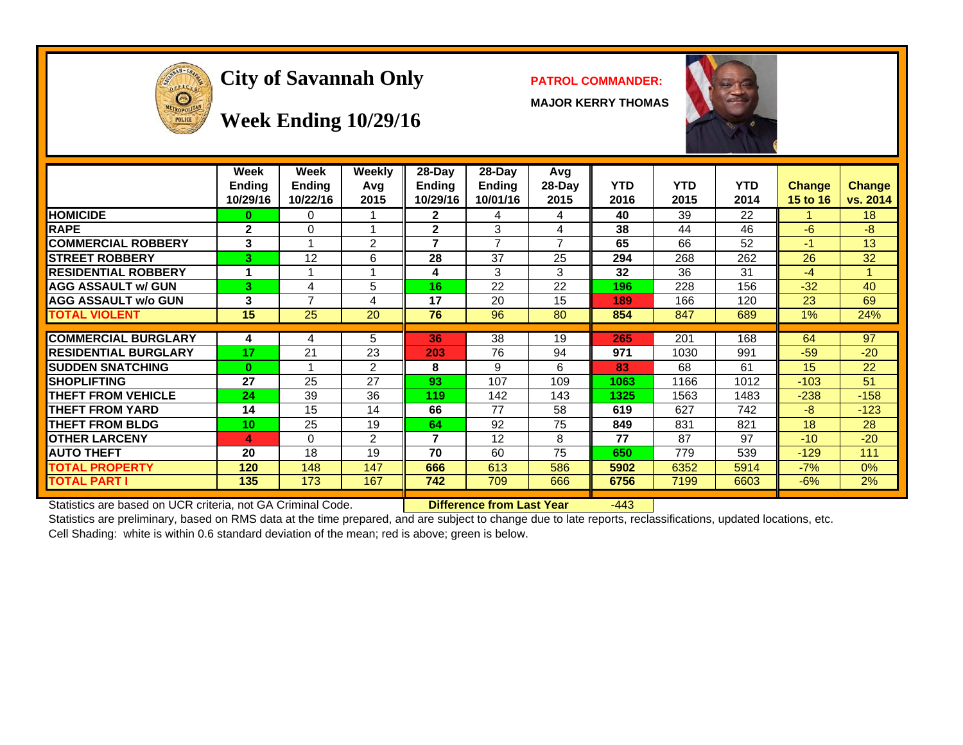

# **City of Savannah Only PATROL COMMANDER:**

**MAJOR KERRY THOMAS**



#### **Week Ending 10/29/16**

|                             | Week<br><b>Ending</b><br>10/29/16 | Week<br><b>Ending</b><br>10/22/16 | Weekly<br>Avq<br>2015 | 28-Day<br><b>Ending</b><br>10/29/16 | $28$ -Day<br><b>Ending</b><br>10/01/16 | Avg<br>$28-Day$<br>2015 | <b>YTD</b><br>2016 | <b>YTD</b><br>2015 | <b>YTD</b><br>2014 | <b>Change</b><br>15 to 16 | <b>Change</b><br>vs. 2014 |
|-----------------------------|-----------------------------------|-----------------------------------|-----------------------|-------------------------------------|----------------------------------------|-------------------------|--------------------|--------------------|--------------------|---------------------------|---------------------------|
| <b>HOMICIDE</b>             | 0                                 | 0                                 |                       | $\mathbf{2}$                        | 4                                      | 4                       | 40                 | 39                 | 22                 |                           | 18                        |
| <b>RAPE</b>                 | $\mathbf{2}$                      | 0                                 |                       | $\mathbf{2}$                        | 3                                      | 4                       | 38                 | 44                 | 46                 | -6                        | -8                        |
| <b>COMMERCIAL ROBBERY</b>   | 3                                 |                                   | 2                     | 7                                   | $\overline{7}$                         | 7                       | 65                 | 66                 | 52                 | $-1$                      | 13                        |
| <b>ISTREET ROBBERY</b>      | 3                                 | 12                                | 6                     | 28                                  | 37                                     | 25                      | 294                | 268                | 262                | 26                        | 32                        |
| <b>RESIDENTIAL ROBBERY</b>  | 4                                 | 4                                 |                       | 4                                   | 3                                      | 3                       | 32                 | 36                 | 31                 | $-4$                      |                           |
| <b>AGG ASSAULT w/ GUN</b>   | 3                                 | 4                                 | 5                     | 16                                  | 22                                     | 22                      | 196                | 228                | 156                | $-32$                     | 40                        |
| <b>AGG ASSAULT w/o GUN</b>  | 3                                 | 7                                 | 4                     | 17                                  | 20                                     | 15                      | 189                | 166                | 120                | 23                        | 69                        |
| <b>TOTAL VIOLENT</b>        | 15                                | 25                                | 20                    | 76                                  | 96                                     | 80                      | 854                | 847                | 689                | $1\%$                     | 24%                       |
|                             |                                   |                                   |                       |                                     |                                        |                         |                    |                    |                    |                           |                           |
| <b>COMMERCIAL BURGLARY</b>  | 4                                 | 4                                 | 5                     | 36                                  | 38                                     | 19                      | 265                | 201                | 168                | 64                        | 97                        |
| <b>RESIDENTIAL BURGLARY</b> | 17                                | 21                                | 23                    | 203                                 | 76                                     | 94                      | 971                | 1030               | 991                | $-59$                     | $-20$                     |
| <b>ISUDDEN SNATCHING</b>    | $\bf{0}$                          |                                   | 2                     | 8                                   | 9                                      | 6                       | 83                 | 68                 | 61                 | 15                        | 22                        |
| <b>ISHOPLIFTING</b>         | 27                                | 25                                | 27                    | 93                                  | 107                                    | 109                     | 1063               | 1166               | 1012               | $-103$                    | 51                        |
| <b>THEFT FROM VEHICLE</b>   | 24                                | 39                                | 36                    | 119                                 | 142                                    | 143                     | 1325               | 1563               | 1483               | $-238$                    | $-158$                    |
| <b>THEFT FROM YARD</b>      | 14                                | 15                                | 14                    | 66                                  | 77                                     | 58                      | 619                | 627                | 742                | $-8$                      | $-123$                    |
| <b>THEFT FROM BLDG</b>      | 10                                | 25                                | 19                    | 64                                  | 92                                     | 75                      | 849                | 831                | 821                | 18                        | 28                        |
| <b>IOTHER LARCENY</b>       | 4                                 | $\Omega$                          | 2                     | 7                                   | 12                                     | 8                       | 77                 | 87                 | 97                 | $-10$                     | $-20$                     |
| <b>AUTO THEFT</b>           | 20                                | 18                                | 19                    | 70                                  | 60                                     | 75                      | 650                | 779                | 539                | $-129$                    | 111                       |
| <b>TOTAL PROPERTY</b>       | 120                               | 148                               | 147                   | 666                                 | 613                                    | 586                     | 5902               | 6352               | 5914               | $-7%$                     | 0%                        |
| <b>TOTAL PART I</b>         | 135                               | 173                               | 167                   | 742                                 | 709                                    | 666                     | 6756               | 7199               | 6603               | $-6%$                     | 2%                        |

Statistics are based on UCR criteria, not GA Criminal Code. **Difference from Last Year** -443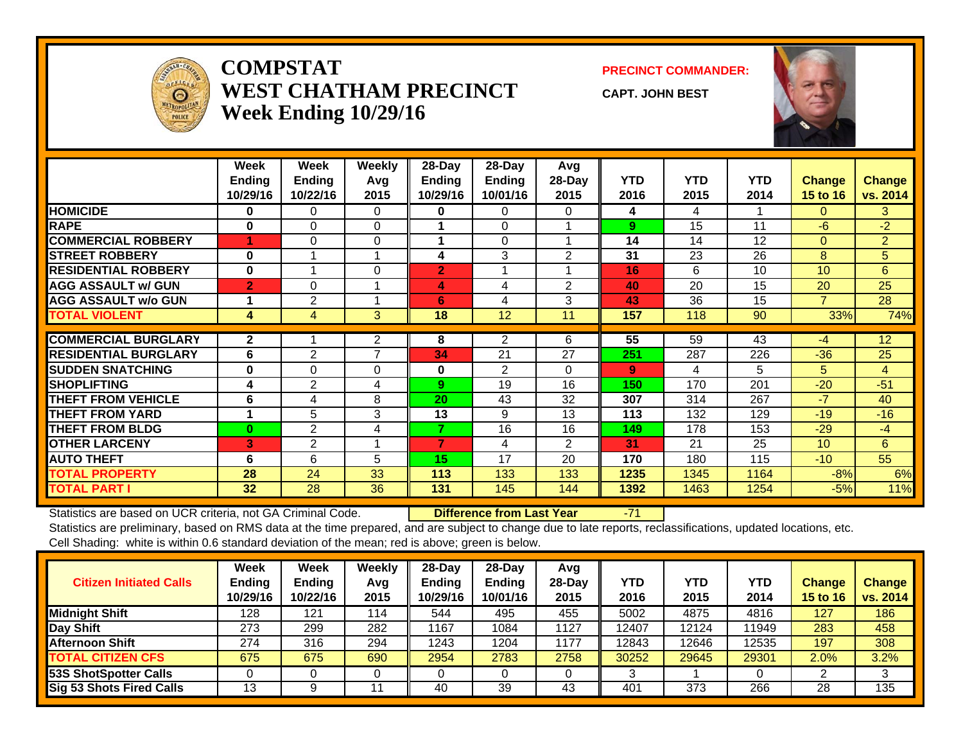

#### **COMPSTATWEST CHATHAM PRECINCTWeek Ending 10/29/16**

#### **PRECINCT COMMANDER:**

**CAPT. JOHN BEST**



|                             | Week<br><b>Ending</b><br>10/29/16 | Week<br><b>Ending</b><br>10/22/16 | Weekly<br>Avg<br>2015 | 28-Day<br><b>Ending</b><br>10/29/16 | 28-Day<br><b>Ending</b><br>10/01/16 | Avg<br>$28$ -Day<br>2015 | <b>YTD</b><br>2016 | <b>YTD</b><br>2015 | <b>YTD</b><br>2014 | <b>Change</b><br>15 to 16 | <b>Change</b><br>vs. 2014 |
|-----------------------------|-----------------------------------|-----------------------------------|-----------------------|-------------------------------------|-------------------------------------|--------------------------|--------------------|--------------------|--------------------|---------------------------|---------------------------|
| <b>HOMICIDE</b>             | 0                                 | 0                                 | $\Omega$              | 0                                   | 0                                   | 0                        | 4                  | 4                  |                    | 0                         | 3                         |
| <b>RAPE</b>                 | 0                                 | $\Omega$                          | $\Omega$              |                                     | $\Omega$                            |                          | 9                  | 15                 | 11                 | $-6$                      | $-2$                      |
| <b>COMMERCIAL ROBBERY</b>   |                                   | $\Omega$                          | $\Omega$              |                                     | 0                                   |                          | 14                 | 14                 | 12                 | $\Omega$                  | $\overline{2}$            |
| <b>STREET ROBBERY</b>       | $\bf{0}$                          |                                   |                       | 4                                   | 3                                   | 2                        | 31                 | 23                 | 26                 | 8                         | 5                         |
| <b>RESIDENTIAL ROBBERY</b>  | $\bf{0}$                          |                                   | 0                     | $\overline{2}$                      |                                     |                          | 16                 | 6                  | 10                 | 10 <sup>°</sup>           | 6                         |
| <b>AGG ASSAULT w/ GUN</b>   | $\overline{2}$                    | 0                                 |                       | 4                                   | 4                                   | $\overline{2}$           | 40                 | 20                 | 15                 | 20                        | 25                        |
| <b>AGG ASSAULT w/o GUN</b>  |                                   | $\overline{2}$                    |                       | 6                                   | 4                                   | 3                        | 43                 | 36                 | 15                 | $\overline{7}$            | 28                        |
| <b>TOTAL VIOLENT</b>        | 4                                 | 4                                 | 3                     | 18                                  | 12                                  | 11                       | 157                | 118                | 90                 | 33%                       | 74%                       |
|                             |                                   |                                   |                       |                                     |                                     |                          |                    |                    |                    |                           |                           |
| <b>COMMERCIAL BURGLARY</b>  | $\mathbf{2}$                      |                                   | $\overline{2}$        | 8                                   | 2                                   | 6                        | 55                 | 59                 | 43                 | $-4$                      | $\overline{12}$           |
| <b>RESIDENTIAL BURGLARY</b> | 6                                 | $\overline{2}$                    | 7                     | 34                                  | 21                                  | 27                       | 251                | 287                | 226                | $-36$                     | 25                        |
| <b>SUDDEN SNATCHING</b>     | 0                                 | $\Omega$                          | $\Omega$              | 0                                   | $\mathbf{2}$                        | 0                        | 9                  | 4                  | 5                  | 5                         | $\overline{4}$            |
| <b>SHOPLIFTING</b>          | 4                                 | $\overline{2}$                    | 4                     | 9                                   | 19                                  | 16                       | 150                | 170                | 201                | $-20$                     | $-51$                     |
| <b>THEFT FROM VEHICLE</b>   | 6                                 | 4                                 | 8                     | 20                                  | 43                                  | 32                       | 307                | 314                | 267                | $-7$                      | 40                        |
| <b>THEFT FROM YARD</b>      | $\blacktriangleleft$              | 5                                 | 3                     | 13                                  | 9                                   | 13                       | 113                | 132                | 129                | $-19$                     | $-16$                     |
| <b>THEFT FROM BLDG</b>      | 0                                 | $\overline{2}$                    | 4                     | 7                                   | 16                                  | 16                       | 149                | 178                | 153                | $-29$                     | $-4$                      |
| <b>OTHER LARCENY</b>        | 3                                 | $\overline{2}$                    |                       | 7                                   | 4                                   | 2                        | 31                 | 21                 | 25                 | 10 <sup>1</sup>           | 6                         |
| <b>AUTO THEFT</b>           | 6                                 | 6                                 | 5                     | 15                                  | 17                                  | 20                       | 170                | 180                | 115                | $-10$                     | 55                        |
| <b>TOTAL PROPERTY</b>       | 28                                | 24                                | 33                    | 113                                 | 133                                 | 133                      | 1235               | 1345               | 1164               | $-8%$                     | 6%                        |
| <b>TOTAL PART I</b>         | 32                                | 28                                | 36                    | 131                                 | 145                                 | 144                      | 1392               | 1463               | 1254               | $-5%$                     | 11%                       |

Statistics are based on UCR criteria, not GA Criminal Code. **Difference from Last Year** -71

| <b>Citizen Initiated Calls</b>  | Week<br><b>Ending</b><br>10/29/16 | <b>Week</b><br><b>Ending</b><br>10/22/16 | Weekly<br>Avg<br>2015 | 28-Day<br><b>Ending</b><br>10/29/16 | $28$ -Day<br><b>Ending</b><br>10/01/16 | Avg<br>$28-Day$<br>2015 | YTD<br>2016 | <b>YTD</b><br>2015 | YTD<br>2014 | <b>Change</b><br>15 to 16 | <b>Change</b><br>vs. 2014 |
|---------------------------------|-----------------------------------|------------------------------------------|-----------------------|-------------------------------------|----------------------------------------|-------------------------|-------------|--------------------|-------------|---------------------------|---------------------------|
| <b>Midnight Shift</b>           | 128                               | 121                                      | 114                   | 544                                 | 495                                    | 455                     | 5002        | 4875               | 4816        | 127                       | 186                       |
| Day Shift                       | 273                               | 299                                      | 282                   | 1167                                | 1084                                   | 1127                    | 12407       | 12124              | 11949       | 283                       | 458                       |
| <b>Afternoon Shift</b>          | 274                               | 316                                      | 294                   | 1243                                | 1204                                   | 1177                    | 12843       | 12646              | 12535       | 197                       | 308                       |
| <b>TOTAL CITIZEN CFS</b>        | 675                               | 675                                      | 690                   | 2954                                | 2783                                   | 2758                    | 30252       | 29645              | 29301       | 2.0%                      | 3.2%                      |
| 53S ShotSpotter Calls           |                                   |                                          |                       |                                     |                                        |                         |             |                    |             |                           |                           |
| <b>Sig 53 Shots Fired Calls</b> | 13                                |                                          |                       | 40                                  | 39                                     | 43                      | 401         | 373                | 266         | 28                        | 135                       |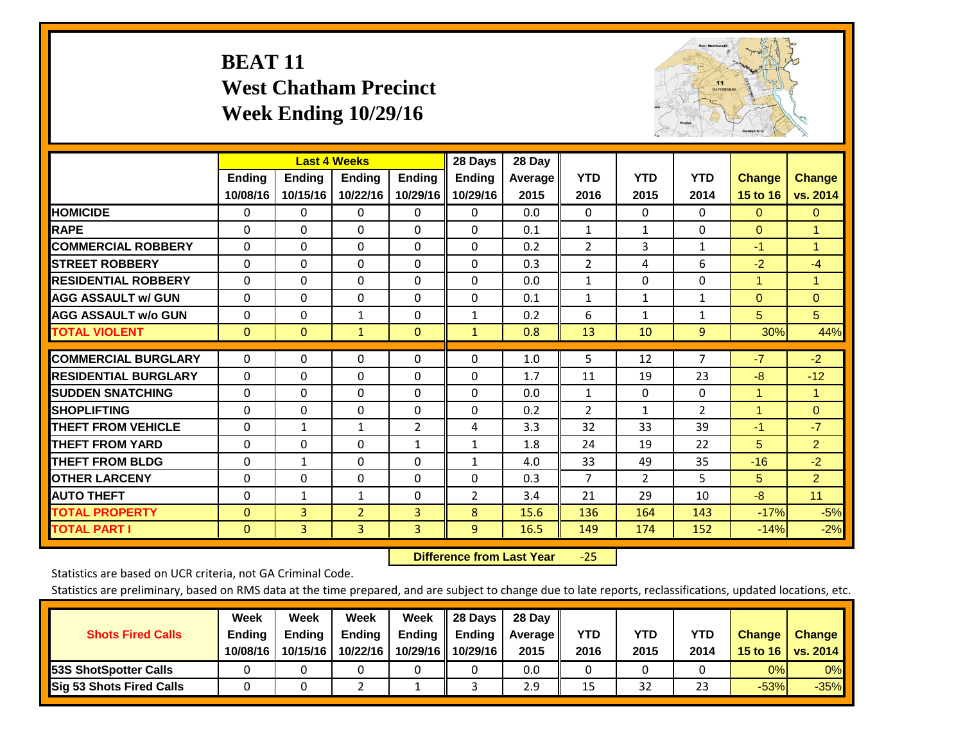# **BEAT 11 West Chatham Precinct Week Ending 10/29/16**



|                             |               | <b>Last 4 Weeks</b> |                |                | 28 Days        | 28 Day  |                |                |                |                |                      |
|-----------------------------|---------------|---------------------|----------------|----------------|----------------|---------|----------------|----------------|----------------|----------------|----------------------|
|                             | <b>Ending</b> | <b>Ending</b>       | <b>Ending</b>  | <b>Ending</b>  | <b>Ending</b>  | Average | <b>YTD</b>     | <b>YTD</b>     | <b>YTD</b>     | <b>Change</b>  | <b>Change</b>        |
|                             | 10/08/16      | 10/15/16            | 10/22/16       | 10/29/16       | 10/29/16       | 2015    | 2016           | 2015           | 2014           | 15 to 16       | vs. 2014             |
| <b>HOMICIDE</b>             | $\Omega$      | 0                   | $\Omega$       | $\Omega$       | 0              | 0.0     | $\mathbf{0}$   | $\mathbf{0}$   | $\Omega$       | $\Omega$       | $\overline{0}$       |
| <b>RAPE</b>                 | $\Omega$      | $\Omega$            | $\Omega$       | 0              | $\Omega$       | 0.1     | 1              | 1              | 0              | $\Omega$       | 1                    |
| <b>COMMERCIAL ROBBERY</b>   | $\Omega$      | $\Omega$            | $\mathbf{0}$   | $\Omega$       | $\Omega$       | 0.2     | $\overline{2}$ | 3              | 1              | $-1$           | $\blacktriangleleft$ |
| <b>STREET ROBBERY</b>       | $\Omega$      | $\Omega$            | $\Omega$       | $\Omega$       | $\Omega$       | 0.3     | $\overline{2}$ | 4              | 6              | $-2$           | $-4$                 |
| <b>RESIDENTIAL ROBBERY</b>  | $\Omega$      | $\Omega$            | $\mathbf{0}$   | $\Omega$       | $\Omega$       | 0.0     | $\mathbf{1}$   | $\Omega$       | 0              | $\overline{1}$ | 1                    |
| <b>AGG ASSAULT w/ GUN</b>   | 0             | $\Omega$            | $\Omega$       | $\Omega$       | $\Omega$       | 0.1     | $\mathbf{1}$   | 1              | 1              | $\Omega$       | $\mathbf{0}$         |
| <b>AGG ASSAULT w/o GUN</b>  | 0             | $\Omega$            | $\mathbf{1}$   | $\Omega$       | $\mathbf{1}$   | 0.2     | 6              | 1              | $\mathbf{1}$   | 5 <sup>5</sup> | 5                    |
| <b>TOTAL VIOLENT</b>        | $\mathbf{0}$  | $\Omega$            | $\mathbf{1}$   | $\mathbf{0}$   | $\mathbf{1}$   | 0.8     | 13             | 10             | 9              | 30%            | 44%                  |
|                             |               |                     |                |                |                |         |                |                |                |                |                      |
| <b>COMMERCIAL BURGLARY</b>  | $\Omega$      | $\Omega$            | $\Omega$       | $\Omega$       | $\Omega$       | 1.0     | 5              | 12             | 7              | $-7$           | $-2$                 |
| <b>RESIDENTIAL BURGLARY</b> | $\Omega$      | 0                   | $\mathbf{0}$   | $\Omega$       | 0              | 1.7     | 11             | 19             | 23             | -8             | $-12$                |
| <b>SUDDEN SNATCHING</b>     | $\Omega$      | 0                   | $\Omega$       | $\Omega$       | 0              | 0.0     | $\mathbf{1}$   | 0              | 0              | $\overline{1}$ | 1                    |
| <b>ISHOPLIFTING</b>         | $\Omega$      | $\Omega$            | $\mathbf{0}$   | $\Omega$       | 0              | 0.2     | 2              | $\mathbf{1}$   | $\overline{2}$ | $\overline{1}$ | $\Omega$             |
| <b>THEFT FROM VEHICLE</b>   | $\Omega$      | 1                   | $\mathbf{1}$   | 2              | 4              | 3.3     | 32             | 33             | 39             | $-1$           | $-7$                 |
| <b>THEFT FROM YARD</b>      | 0             | $\Omega$            | $\mathbf{0}$   | $\mathbf{1}$   | $\mathbf{1}$   | 1.8     | 24             | 19             | 22             | 5              | $\overline{2}$       |
| <b>THEFT FROM BLDG</b>      | $\Omega$      | $\mathbf{1}$        | $\Omega$       | 0              | $\mathbf{1}$   | 4.0     | 33             | 49             | 35             | $-16$          | $-2$                 |
| <b>OTHER LARCENY</b>        | $\Omega$      | $\Omega$            | $\Omega$       | 0              | 0              | 0.3     | $\overline{7}$ | $\overline{2}$ | 5              | 5              | $\overline{2}$       |
| <b>AUTO THEFT</b>           | $\mathbf 0$   | $\mathbf{1}$        | $\mathbf{1}$   | 0              | $\overline{2}$ | 3.4     | 21             | 29             | 10             | $-8$           | 11                   |
| <b>TOTAL PROPERTY</b>       | $\mathbf{0}$  | 3                   | $\overline{2}$ | 3              | 8              | 15.6    | 136            | 164            | 143            | $-17%$         | $-5%$                |
| <b>TOTAL PART I</b>         | $\mathbf{0}$  | $\overline{3}$      | $\overline{3}$ | $\overline{3}$ | 9              | 16.5    | 149            | 174            | 152            | $-14%$         | $-2%$                |

 **Difference from Last Year**‐25

Statistics are based on UCR criteria, not GA Criminal Code.

| <b>Shots Fired Calls</b>        | Week<br><b>Ending</b><br>10/08/16 | Week<br><b>Endina</b><br>10/15/16 | Week<br>Ending<br>10/22/16 | Week<br>Ending<br>10/29/16 | 28 Days<br><b>Ending</b><br>10/29/16 | 28 Day<br>Average II<br>2015 | YTD<br>2016 | YTD<br>2015 | <b>YTD</b><br>2014 | <b>Change</b><br>15 to $16$ | <b>Change</b><br>vs. 2014 |
|---------------------------------|-----------------------------------|-----------------------------------|----------------------------|----------------------------|--------------------------------------|------------------------------|-------------|-------------|--------------------|-----------------------------|---------------------------|
| <b>153S ShotSpotter Calls</b>   |                                   |                                   |                            |                            |                                      | 0.0                          |             |             |                    | 0%                          | 0%                        |
| <b>Sig 53 Shots Fired Calls</b> |                                   |                                   |                            |                            |                                      | 2.9                          | 15          | 32          | 23                 | $-53%$                      | $-35%$                    |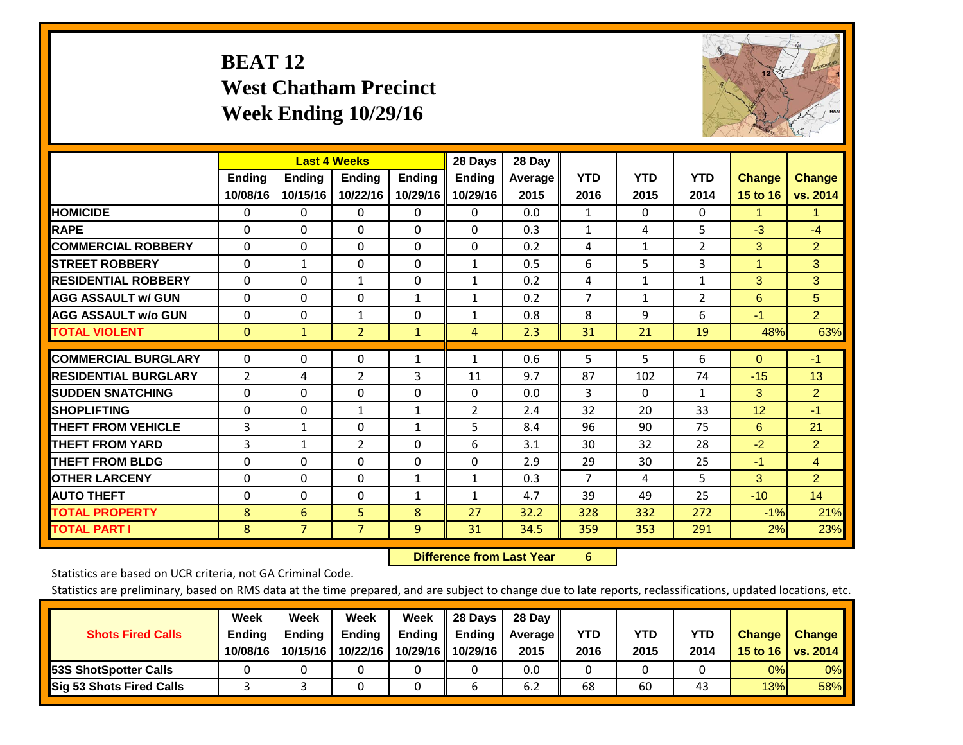# **BEAT 12 West Chatham Precinct Week Ending 10/29/16**



|                             |               | <b>Last 4 Weeks</b> |                |                | 28 Days        | 28 Day  |                |              |                |               |                |
|-----------------------------|---------------|---------------------|----------------|----------------|----------------|---------|----------------|--------------|----------------|---------------|----------------|
|                             | <b>Ending</b> | <b>Ending</b>       | <b>Endina</b>  | <b>Ending</b>  | <b>Endina</b>  | Average | <b>YTD</b>     | <b>YTD</b>   | <b>YTD</b>     | <b>Change</b> | <b>Change</b>  |
|                             | 10/08/16      | 10/15/16            | 10/22/16       | 10/29/16       | 10/29/16       | 2015    | 2016           | 2015         | 2014           | 15 to 16      | vs. 2014       |
| <b>HOMICIDE</b>             | 0             | 0                   | $\Omega$       | 0              | 0              | 0.0     | 1              | 0            | 0              | 1             | 1.             |
| <b>RAPE</b>                 | 0             | $\Omega$            | $\Omega$       | $\Omega$       | $\Omega$       | 0.3     | 1              | 4            | 5              | $-3$          | $-4$           |
| <b>COMMERCIAL ROBBERY</b>   | $\Omega$      | 0                   | $\Omega$       | 0              | $\Omega$       | 0.2     | 4              | $\mathbf{1}$ | $\overline{2}$ | 3             | $\overline{2}$ |
| <b>ISTREET ROBBERY</b>      | $\Omega$      | $\mathbf{1}$        | $\Omega$       | $\Omega$       | $\mathbf{1}$   | 0.5     | 6              | 5            | 3              | $\mathbf{1}$  | 3              |
| <b>RESIDENTIAL ROBBERY</b>  | $\Omega$      | $\Omega$            | 1              | 0              | 1              | 0.2     | 4              | 1            | 1              | 3             | $\overline{3}$ |
| <b>AGG ASSAULT w/ GUN</b>   | $\Omega$      | $\Omega$            | $\Omega$       | $\mathbf{1}$   | 1              | 0.2     | $\overline{7}$ | 1            | 2              | 6             | 5              |
| <b>AGG ASSAULT w/o GUN</b>  | 0             | 0                   | 1              | 0              | 1              | 0.8     | 8              | 9            | 6              | $-1$          | 2 <sup>1</sup> |
| <b>TOTAL VIOLENT</b>        | $\Omega$      | $\mathbf{1}$        | $\overline{2}$ | $\mathbf{1}$   | $\overline{4}$ | 2.3     | 31             | 21           | 19             | 48%           | 63%            |
| <b>COMMERCIAL BURGLARY</b>  |               | $\Omega$            |                |                |                |         |                | 5            | 6              |               |                |
|                             | $\Omega$      |                     | $\mathbf{0}$   | 1              | $\mathbf{1}$   | 0.6     | 5              |              |                | $\Omega$      | $-1$           |
| <b>RESIDENTIAL BURGLARY</b> | 2             | 4                   | 2              | 3              | 11             | 9.7     | 87             | 102          | 74             | $-15$         | 13             |
| <b>SUDDEN SNATCHING</b>     | $\Omega$      | 0                   | $\mathbf{0}$   | $\mathbf{0}$   | $\Omega$       | 0.0     | 3              | $\Omega$     | 1              | 3             | $\overline{2}$ |
| <b>SHOPLIFTING</b>          | $\Omega$      | $\Omega$            | $\mathbf{1}$   | 1              | $\overline{2}$ | 2.4     | 32             | 20           | 33             | 12            | $-1$           |
| <b>THEFT FROM VEHICLE</b>   | 3             | $\mathbf{1}$        | $\Omega$       | 1              | 5              | 8.4     | 96             | 90           | 75             | 6             | 21             |
| <b>THEFT FROM YARD</b>      | 3             | 1                   | $\overline{2}$ | 0              | 6              | 3.1     | 30             | 32           | 28             | $-2$          | $\overline{2}$ |
| <b>THEFT FROM BLDG</b>      | $\Omega$      | $\Omega$            | $\Omega$       | $\mathbf{0}$   | $\Omega$       | 2.9     | 29             | 30           | 25             | $-1$          | $\overline{4}$ |
| <b>OTHER LARCENY</b>        | $\Omega$      | 0                   | $\Omega$       | 1              | 1              | 0.3     | $\overline{7}$ | 4            | 5              | 3             | $\overline{2}$ |
| <b>AUTO THEFT</b>           | 0             | 0                   | 0              | 1              | 1              | 4.7     | 39             | 49           | 25             | $-10$         | 14             |
| <b>TOTAL PROPERTY</b>       | 8             | 6                   | 5              | 8              | 27             | 32.2    | 328            | 332          | 272            | $-1%$         | 21%            |
| <b>TOTAL PART I</b>         | 8             | $\overline{7}$      | $\overline{7}$ | $\overline{9}$ | 31             | 34.5    | 359            | 353          | 291            | 2%            | 23%            |

 **Difference from Last Year**r 6

Statistics are based on UCR criteria, not GA Criminal Code.

| <b>Shots Fired Calls</b>        | Week<br><b>Ending</b><br>10/08/16 | Week<br><b>Endina</b><br>10/15/16 | Week<br>Ending<br>10/22/16 | Week<br>Ending<br>10/29/16 | 28 Days<br><b>Ending</b><br>10/29/16 | 28 Day<br>Average II<br>2015 | YTD<br>2016 | YTD<br>2015 | <b>YTD</b><br>2014 | <b>Change</b><br>15 to 16 | <b>Change</b><br>vs. 2014 |
|---------------------------------|-----------------------------------|-----------------------------------|----------------------------|----------------------------|--------------------------------------|------------------------------|-------------|-------------|--------------------|---------------------------|---------------------------|
| <b>153S ShotSpotter Calls</b>   |                                   |                                   |                            |                            |                                      | 0.0                          |             |             |                    | 0%                        | 0%                        |
| <b>Sig 53 Shots Fired Calls</b> |                                   |                                   |                            |                            |                                      | 6.2                          | 68          | 60          | 43                 | 13%                       | 58%                       |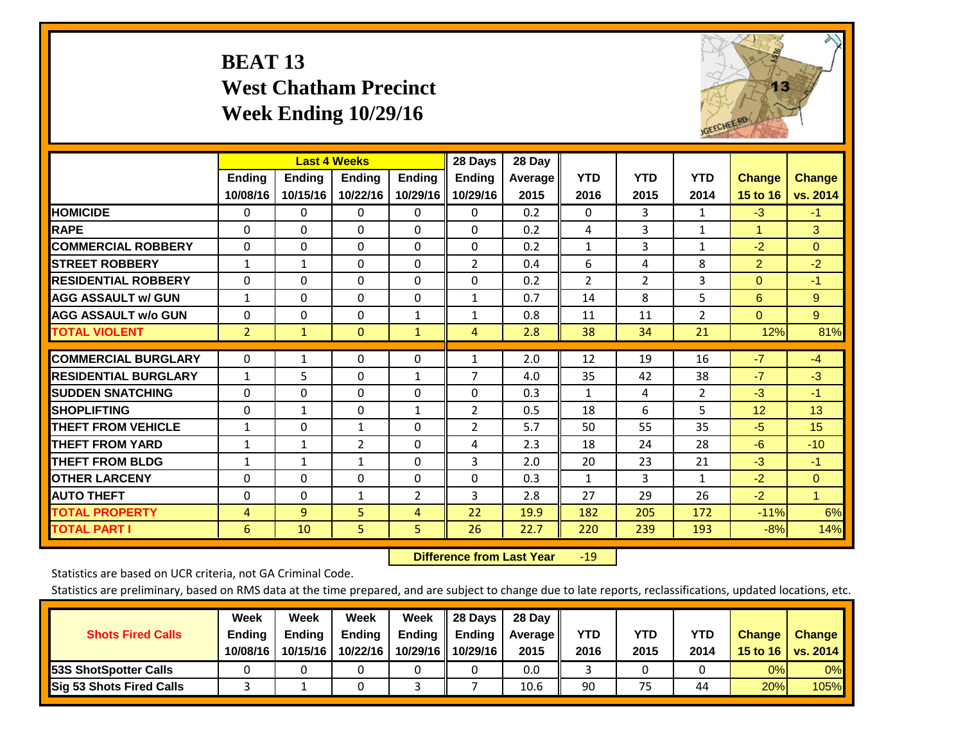# **BEAT 13 West Chatham Precinct Week Ending 10/29/16**



|                             |                           | <b>Last 4 Weeks</b>       |                           |                           | 28 Days                   | 28 Day            |                    |                    |                    |                           |                           |
|-----------------------------|---------------------------|---------------------------|---------------------------|---------------------------|---------------------------|-------------------|--------------------|--------------------|--------------------|---------------------------|---------------------------|
|                             | <b>Ending</b><br>10/08/16 | <b>Ending</b><br>10/15/16 | <b>Endina</b><br>10/22/16 | <b>Endina</b><br>10/29/16 | <b>Endina</b><br>10/29/16 | Average  <br>2015 | <b>YTD</b><br>2016 | <b>YTD</b><br>2015 | <b>YTD</b><br>2014 | <b>Change</b><br>15 to 16 | <b>Change</b><br>vs. 2014 |
| <b>HOMICIDE</b>             | 0                         | 0                         | 0                         | 0                         | 0                         | 0.2               | 0                  | 3                  | 1                  | $-3$                      | -1                        |
| <b>RAPE</b>                 | $\Omega$                  | $\Omega$                  | $\Omega$                  | $\Omega$                  | $\Omega$                  | 0.2               | 4                  | 3                  | 1                  | $\blacktriangleleft$      | 3                         |
| <b>COMMERCIAL ROBBERY</b>   | $\Omega$                  | $\Omega$                  | $\Omega$                  | $\mathbf{0}$              | $\Omega$                  | 0.2               | $\mathbf{1}$       | 3                  | $\mathbf{1}$       | $-2$                      | $\Omega$                  |
| <b>STREET ROBBERY</b>       | $\mathbf{1}$              | 1                         | $\mathbf{0}$              | $\mathbf{0}$              | 2                         | 0.4               | 6                  | 4                  | 8                  | $\overline{2}$            | $-2$                      |
| <b>RESIDENTIAL ROBBERY</b>  | 0                         | 0                         | $\Omega$                  | $\mathbf{0}$              | $\Omega$                  | 0.2               | $\overline{2}$     | 2                  | 3                  | $\Omega$                  | $-1$                      |
| <b>AGG ASSAULT w/ GUN</b>   | 1                         | $\Omega$                  | $\Omega$                  | $\mathbf{0}$              | $\mathbf{1}$              | 0.7               | 14                 | 8                  | 5                  | 6                         | 9                         |
| <b>AGG ASSAULT w/o GUN</b>  | $\Omega$                  | 0                         | $\mathbf{0}$              | 1                         | 1                         | 0.8               | 11                 | 11                 | 2                  | $\Omega$                  | 9                         |
| <b>TOTAL VIOLENT</b>        | $\overline{2}$            | $\mathbf{1}$              | $\mathbf{0}$              | $\mathbf{1}$              | $\overline{4}$            | 2.8               | 38                 | 34                 | 21                 | 12%                       | 81%                       |
| <b>COMMERCIAL BURGLARY</b>  | $\Omega$                  |                           | $\mathbf{0}$              | $\mathbf{0}$              | $\mathbf{1}$              | 2.0               | 12                 | 19                 | 16                 | $-7$                      | $-4$                      |
|                             |                           | 1                         |                           |                           | $\overline{7}$            |                   |                    |                    |                    |                           |                           |
| <b>RESIDENTIAL BURGLARY</b> | $\mathbf{1}$              | 5                         | $\mathbf{0}$              | 1                         |                           | 4.0               | 35                 | 42                 | 38                 | $-7$                      | $-3$                      |
| <b>ISUDDEN SNATCHING</b>    | 0                         | $\Omega$                  | $\Omega$                  | $\mathbf{0}$              | $\Omega$                  | 0.3               | $\mathbf{1}$       | 4                  | $\overline{2}$     | $-3$                      | $-1$                      |
| <b>SHOPLIFTING</b>          | $\Omega$                  | $\mathbf{1}$              | $\Omega$                  | 1                         | $\overline{2}$            | 0.5               | 18                 | 6                  | 5                  | 12                        | 13                        |
| <b>THEFT FROM VEHICLE</b>   | 1                         | 0                         | $\mathbf{1}$              | 0                         | 2                         | 5.7               | 50                 | 55                 | 35                 | $-5$                      | 15                        |
| <b>THEFT FROM YARD</b>      | $\mathbf{1}$              | 1                         | 2                         | $\mathbf 0$               | 4                         | 2.3               | 18                 | 24                 | 28                 | $-6$                      | $-10$                     |
| <b>THEFT FROM BLDG</b>      | 1                         | 1                         | $\mathbf{1}$              | $\Omega$                  | 3                         | 2.0               | 20                 | 23                 | 21                 | -3                        | $-1$                      |
| <b>OTHER LARCENY</b>        | 0                         | $\Omega$                  | $\Omega$                  | $\mathbf{0}$              | 0                         | 0.3               | 1                  | 3                  | 1                  | $-2$                      | $\mathbf{0}$              |
| <b>AUTO THEFT</b>           | 0                         | 0                         | 1                         | 2                         | 3                         | 2.8               | 27                 | 29                 | 26                 | $-2$                      | $\blacktriangleleft$      |
| <b>TOTAL PROPERTY</b>       | 4                         | $\overline{9}$            | 5                         | 4                         | 22                        | 19.9              | 182                | 205                | 172                | $-11%$                    | 6%                        |
| <b>TOTAL PART I</b>         | 6                         | 10                        | 5.                        | 5                         | 26                        | 22.7              | 220                | 239                | 193                | $-8%$                     | 14%                       |

 **Difference from Last Year**r -19

Statistics are based on UCR criteria, not GA Criminal Code.

| <b>Shots Fired Calls</b>        | Week<br><b>Ending</b><br>10/08/16 | Week<br><b>Endina</b><br>10/15/16 | Week<br>Ending<br>10/22/16 | Week<br>Ending<br>10/29/16 | 28 Days<br><b>Ending</b><br>10/29/16 | 28 Day<br>Average II<br>2015 | YTD<br>2016 | YTD<br>2015 | <b>YTD</b><br>2014 | <b>Change</b><br>15 to 16 $\vert$ | <b>Change</b><br>vs. 2014 |
|---------------------------------|-----------------------------------|-----------------------------------|----------------------------|----------------------------|--------------------------------------|------------------------------|-------------|-------------|--------------------|-----------------------------------|---------------------------|
| <b>153S ShotSpotter Calls</b>   |                                   |                                   |                            |                            |                                      | 0.0                          |             |             |                    | 0%                                | 0%                        |
| <b>Sig 53 Shots Fired Calls</b> |                                   |                                   |                            |                            |                                      | 10.6                         | 90          | 75          | 44                 | 20%                               | 105%                      |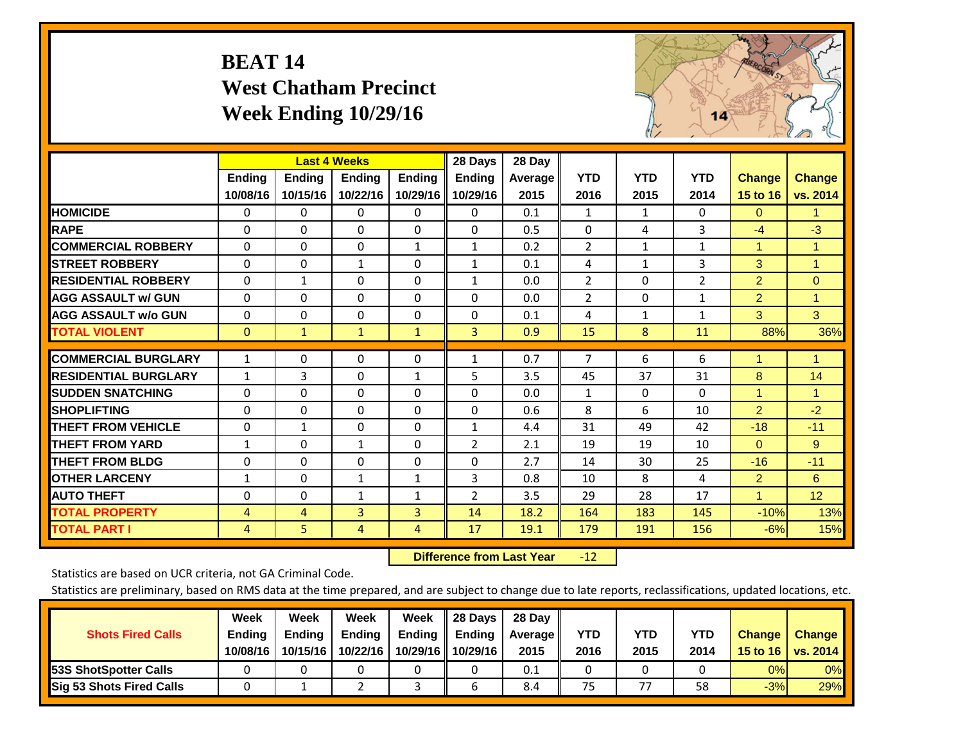# **BEAT 14 West Chatham Precinct Week Ending 10/29/16**



|                             |              |                | <b>Last 4 Weeks</b> |                | 28 Days        | 28 Day         |                |              |              |                |                |
|-----------------------------|--------------|----------------|---------------------|----------------|----------------|----------------|----------------|--------------|--------------|----------------|----------------|
|                             | Ending       | Ending         | <b>Ending</b>       | <b>Ending</b>  | <b>Ending</b>  | <b>Average</b> | <b>YTD</b>     | <b>YTD</b>   | <b>YTD</b>   | <b>Change</b>  | <b>Change</b>  |
|                             | 10/08/16     | 10/15/16       | 10/22/16            | 10/29/16       | 10/29/16       | 2015           | 2016           | 2015         | 2014         | 15 to 16       | vs. 2014       |
| <b>HOMICIDE</b>             | 0            | 0              | $\Omega$            | $\Omega$       | 0              | 0.1            | 1              | 1            | $\Omega$     | $\Omega$       | 1.             |
| <b>RAPE</b>                 | $\Omega$     | $\Omega$       | $\mathbf{0}$        | 0              | $\Omega$       | 0.5            | $\Omega$       | 4            | 3            | $-4$           | $-3$           |
| <b>COMMERCIAL ROBBERY</b>   | $\Omega$     | $\Omega$       | $\mathbf 0$         | 1              | 1              | 0.2            | $\overline{2}$ | 1            | 1            | $\mathbf{1}$   | 1              |
| <b>ISTREET ROBBERY</b>      | $\Omega$     | $\Omega$       | $\mathbf{1}$        | $\Omega$       | $\mathbf{1}$   | 0.1            | 4              | $\mathbf{1}$ | 3            | 3              | $\overline{1}$ |
| <b>RESIDENTIAL ROBBERY</b>  | $\Omega$     | $\mathbf{1}$   | $\mathbf 0$         | $\Omega$       | $\mathbf{1}$   | 0.0            | $\overline{2}$ | $\Omega$     | 2            | $\overline{2}$ | $\Omega$       |
| <b>AGG ASSAULT w/ GUN</b>   | $\Omega$     | $\Omega$       | $\mathbf{0}$        | $\Omega$       | $\Omega$       | 0.0            | $\overline{2}$ | 0            | $\mathbf{1}$ | $\overline{2}$ | 1              |
| <b>AGG ASSAULT w/o GUN</b>  | $\Omega$     | $\Omega$       | $\mathbf{0}$        | $\Omega$       | $\Omega$       | 0.1            | 4              | $\mathbf{1}$ | $\mathbf{1}$ | 3              | 3              |
| <b>TOTAL VIOLENT</b>        | $\mathbf{0}$ | $\mathbf{1}$   | $\mathbf{1}$        | $\mathbf{1}$   | 3              | 0.9            | 15             | 8            | 11           | 88%            | 36%            |
|                             |              |                |                     |                |                |                |                |              |              | 1              |                |
| <b>COMMERCIAL BURGLARY</b>  | $\mathbf{1}$ | 0              | 0                   | 0              | 1              | 0.7            | 7              | 6            | 6            |                | 1              |
| <b>RESIDENTIAL BURGLARY</b> | $\mathbf{1}$ | 3              | $\mathbf{0}$        | 1              | 5              | 3.5            | 45             | 37           | 31           | 8              | 14             |
| <b>ISUDDEN SNATCHING</b>    | $\Omega$     | 0              | $\mathbf{0}$        | $\Omega$       | $\Omega$       | 0.0            | 1              | 0            | $\Omega$     | 1              | 1.             |
| <b>SHOPLIFTING</b>          | $\Omega$     | $\Omega$       | $\mathbf 0$         | $\Omega$       | $\Omega$       | 0.6            | 8              | 6            | 10           | $\overline{2}$ | $-2$           |
| <b>THEFT FROM VEHICLE</b>   | $\Omega$     | $\mathbf{1}$   | $\Omega$            | $\Omega$       | $\mathbf{1}$   | 4.4            | 31             | 49           | 42           | $-18$          | $-11$          |
| <b>THEFT FROM YARD</b>      | $\mathbf{1}$ | $\Omega$       | 1                   | $\Omega$       | 2              | 2.1            | 19             | 19           | 10           | $\Omega$       | 9              |
| <b>THEFT FROM BLDG</b>      | 0            | 0              | 0                   | $\Omega$       | $\Omega$       | 2.7            | 14             | 30           | 25           | $-16$          | $-11$          |
| <b>OTHER LARCENY</b>        | $\mathbf{1}$ | 0              | $\mathbf{1}$        | $\mathbf{1}$   | 3              | 0.8            | 10             | 8            | 4            | $\overline{2}$ | 6              |
| <b>AUTO THEFT</b>           | 0            | 0              | $\mathbf{1}$        | $\mathbf{1}$   | $\overline{2}$ | 3.5            | 29             | 28           | 17           | 1              | 12             |
| <b>TOTAL PROPERTY</b>       | 4            | $\overline{4}$ | 3                   | 3              | 14             | 18.2           | 164            | 183          | 145          | $-10%$         | 13%            |
| <b>TOTAL PART I</b>         | 4            | 5              | 4                   | $\overline{4}$ | 17             | 19.1           | 179            | 191          | 156          | $-6%$          | 15%            |

 **Difference from Last Year**r -12

Statistics are based on UCR criteria, not GA Criminal Code.

| <b>Shots Fired Calls</b>        | Week<br><b>Ending</b><br>10/08/16 | Week<br><b>Endina</b><br>10/15/16 | Week<br>Ending<br>10/22/16 | Week<br>Ending<br>10/29/16 | 28 Days<br><b>Ending</b><br>10/29/16 | 28 Day<br>Average II<br>2015 | YTD<br>2016 | YTD<br>2015 | <b>YTD</b><br>2014 | <b>Change</b><br>15 to $16$ | <b>Change</b><br>vs. 2014 |
|---------------------------------|-----------------------------------|-----------------------------------|----------------------------|----------------------------|--------------------------------------|------------------------------|-------------|-------------|--------------------|-----------------------------|---------------------------|
| <b>153S ShotSpotter Calls</b>   |                                   |                                   |                            |                            |                                      | 0.1                          |             |             |                    | 0%                          | 0%                        |
| <b>Sig 53 Shots Fired Calls</b> |                                   |                                   |                            |                            |                                      | 8.4                          | 75          | 77          | 58                 | $-3%$                       | 29%                       |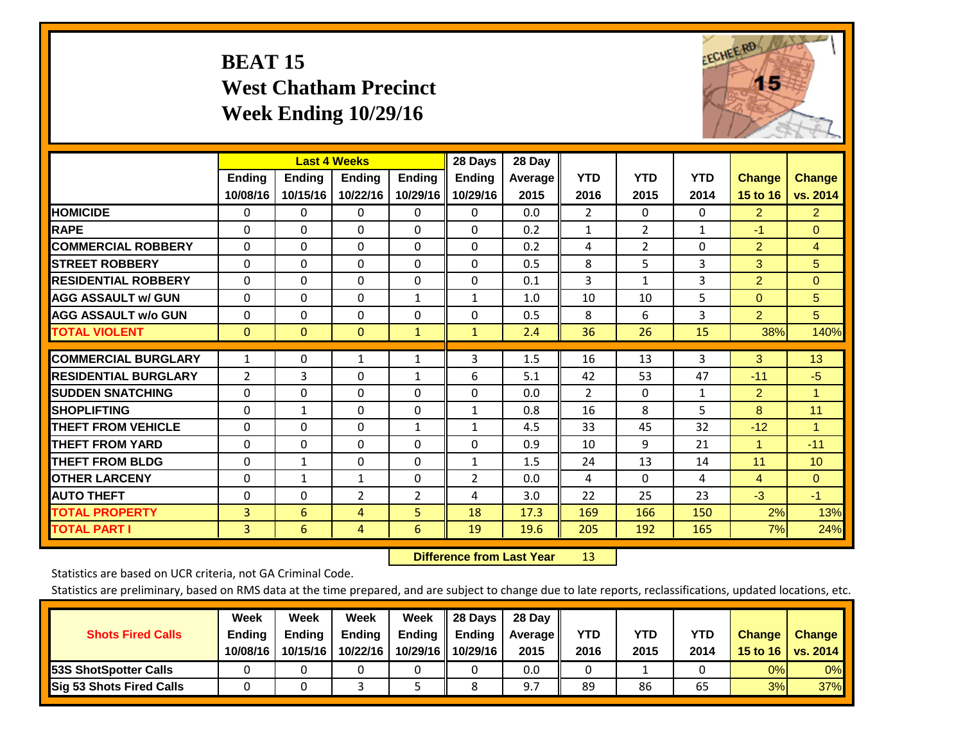# **BEAT 15 West Chatham Precinct Week Ending 10/29/16**



|                             |                           | <b>Last 4 Weeks</b>       |                           |                           | 28 Days                   | 28 Day          |                    |                    |                    |                           |                           |
|-----------------------------|---------------------------|---------------------------|---------------------------|---------------------------|---------------------------|-----------------|--------------------|--------------------|--------------------|---------------------------|---------------------------|
|                             | <b>Ending</b><br>10/08/16 | <b>Ending</b><br>10/15/16 | <b>Endina</b><br>10/22/16 | <b>Ending</b><br>10/29/16 | <b>Endina</b><br>10/29/16 | Average<br>2015 | <b>YTD</b><br>2016 | <b>YTD</b><br>2015 | <b>YTD</b><br>2014 | <b>Change</b><br>15 to 16 | <b>Change</b><br>vs. 2014 |
| <b>HOMICIDE</b>             | 0                         | 0                         | $\Omega$                  | 0                         | 0                         | 0.0             | $\overline{2}$     | $\Omega$           | 0                  | $\overline{2}$            | $\mathbf{2}$              |
| <b>RAPE</b>                 | 0                         | $\Omega$                  | $\Omega$                  | $\Omega$                  | 0                         | 0.2             | 1                  | $\overline{2}$     | $\mathbf{1}$       | $-1$                      | $\Omega$                  |
| <b>COMMERCIAL ROBBERY</b>   | $\Omega$                  | 0                         | $\Omega$                  | $\mathbf 0$               | $\Omega$                  | 0.2             | 4                  | 2                  | 0                  | $\overline{2}$            | $\overline{4}$            |
| <b>STREET ROBBERY</b>       | $\Omega$                  | $\Omega$                  | $\Omega$                  | $\Omega$                  | $\Omega$                  | 0.5             | 8                  | 5                  | 3                  | 3                         | 5                         |
| <b>RESIDENTIAL ROBBERY</b>  | $\Omega$                  | $\Omega$                  | $\Omega$                  | $\mathbf{0}$              | $\Omega$                  | 0.1             | $\overline{3}$     | 1                  | 3                  | $\overline{2}$            | $\Omega$                  |
| <b>AGG ASSAULT w/ GUN</b>   | $\Omega$                  | $\Omega$                  | $\Omega$                  | 1                         | $\mathbf{1}$              | 1.0             | 10                 | 10                 | 5                  | $\mathbf{0}$              | 5                         |
| <b>AGG ASSAULT w/o GUN</b>  | $\Omega$                  | $\Omega$                  | $\Omega$                  | $\Omega$                  | $\Omega$                  | 0.5             | 8                  | 6                  | 3                  | $\overline{2}$            | 5                         |
| <b>TOTAL VIOLENT</b>        | $\mathbf{0}$              | $\mathbf{0}$              | $\mathbf{0}$              | $\mathbf{1}$              | $\mathbf{1}$              | 2.4             | 36                 | 26                 | 15                 | 38%                       | 140%                      |
| <b>COMMERCIAL BURGLARY</b>  | $\mathbf{1}$              | $\Omega$                  | 1                         | 1                         | 3                         | 1.5             | 16                 | 13                 | 3                  | 3                         | 13                        |
| <b>RESIDENTIAL BURGLARY</b> | 2                         | 3                         | $\mathbf{0}$              | 1                         | 6                         | 5.1             | 42                 | 53                 | 47                 | $-11$                     | $-5$                      |
| <b>SUDDEN SNATCHING</b>     | $\Omega$                  | $\Omega$                  | $\Omega$                  | $\Omega$                  | $\Omega$                  | 0.0             | $\overline{2}$     | $\Omega$           | 1                  | 2                         | 1.                        |
| <b>SHOPLIFTING</b>          | $\Omega$                  | $\mathbf{1}$              | $\Omega$                  | 0                         | $\mathbf{1}$              | 0.8             | 16                 | 8                  | 5                  | 8                         | 11                        |
| <b>THEFT FROM VEHICLE</b>   | $\Omega$                  | 0                         | $\Omega$                  | 1                         | $\mathbf{1}$              | 4.5             | 33                 | 45                 | 32                 | $-12$                     | $\blacktriangleleft$      |
| <b>THEFT FROM YARD</b>      | $\Omega$                  | $\Omega$                  | $\Omega$                  | $\mathbf{0}$              | $\Omega$                  | 0.9             | 10                 | 9                  | 21                 | $\mathbf{1}$              | $-11$                     |
| <b>THEFT FROM BLDG</b>      | $\Omega$                  | $\mathbf{1}$              | $\Omega$                  | $\Omega$                  | $\mathbf{1}$              | 1.5             | 24                 | 13                 | 14                 | 11                        | 10                        |
| <b>OTHER LARCENY</b>        | $\mathbf{0}$              | $\mathbf{1}$              | $\mathbf{1}$              | $\Omega$                  | $\overline{2}$            | 0.0             | 4                  | 0                  | 4                  | $\overline{4}$            | $\mathbf{0}$              |
| <b>AUTO THEFT</b>           | $\mathbf 0$               | 0                         | $\overline{2}$            | $\overline{2}$            | 4                         | 3.0             | 22                 | 25                 | 23                 | $-3$                      | $-1$                      |
| <b>TOTAL PROPERTY</b>       | 3                         | 6                         | 4                         | 5                         | 18                        | 17.3            | 169                | 166                | 150                | 2%                        | 13%                       |
| <b>TOTAL PART I</b>         | 3                         | 6                         | 4                         | 6                         | 19                        | 19.6            | 205                | 192                | 165                | 7%                        | 24%                       |

 **Difference from Last Year**r 13

Statistics are based on UCR criteria, not GA Criminal Code.

| <b>Shots Fired Calls</b>        | Week<br><b>Ending</b><br>10/08/16 | Week<br><b>Endina</b><br>10/15/16 | Week<br>Ending<br>10/22/16 | Week<br>Ending<br>10/29/16 | 28 Days<br><b>Ending</b><br>10/29/16 | 28 Day<br>Average II<br>2015 | YTD<br>2016 | YTD<br>2015 | <b>YTD</b><br>2014 | <b>Change</b><br>15 to 16 $\vert$ | <b>Change</b><br>vs. 2014 |
|---------------------------------|-----------------------------------|-----------------------------------|----------------------------|----------------------------|--------------------------------------|------------------------------|-------------|-------------|--------------------|-----------------------------------|---------------------------|
| <b>153S ShotSpotter Calls</b>   |                                   |                                   |                            |                            |                                      | 0.0                          |             |             |                    | 0%                                | 0%                        |
| <b>Sig 53 Shots Fired Calls</b> |                                   |                                   |                            |                            |                                      | 9.7                          | 89          | 86          | 65                 | 3%                                | <b>37%</b>                |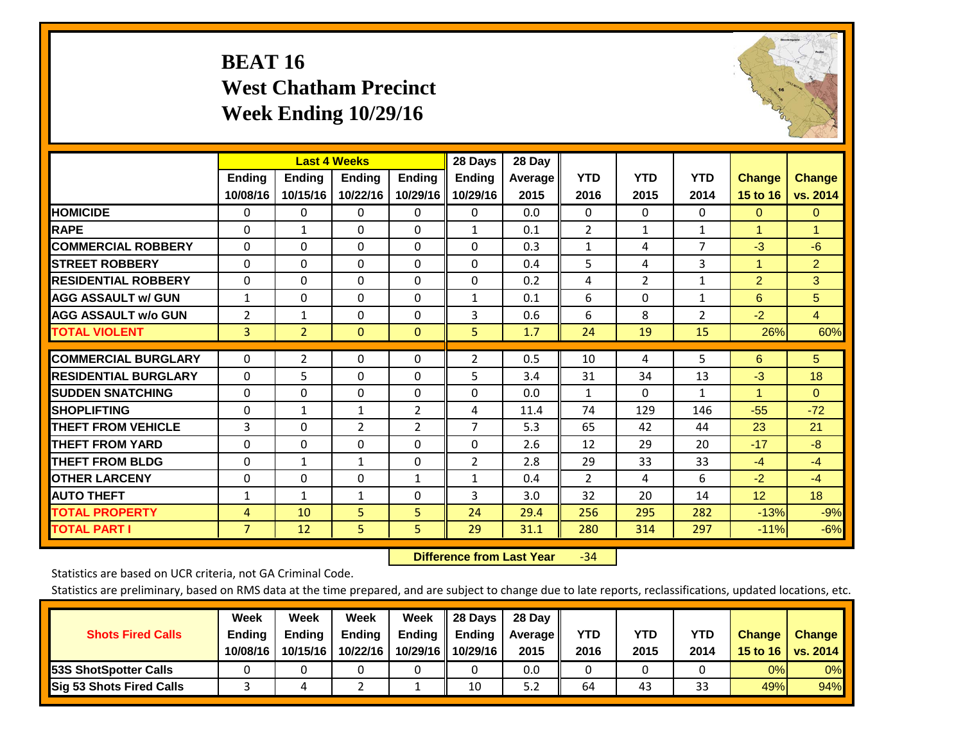# **BEAT 16 West Chatham Precinct Week Ending 10/29/16**



|                             |                           | <b>Last 4 Weeks</b>       |                           |                           | 28 Days                   | 28 Day            |                    |                    |                    |                           |                           |
|-----------------------------|---------------------------|---------------------------|---------------------------|---------------------------|---------------------------|-------------------|--------------------|--------------------|--------------------|---------------------------|---------------------------|
|                             | <b>Ending</b><br>10/08/16 | <b>Ending</b><br>10/15/16 | <b>Endina</b><br>10/22/16 | <b>Endina</b><br>10/29/16 | <b>Endina</b><br>10/29/16 | Average  <br>2015 | <b>YTD</b><br>2016 | <b>YTD</b><br>2015 | <b>YTD</b><br>2014 | <b>Change</b><br>15 to 16 | <b>Change</b><br>vs. 2014 |
| <b>HOMICIDE</b>             | 0                         | 0                         | $\Omega$                  | 0                         | 0                         | 0.0               | $\mathbf{0}$       | $\Omega$           | 0                  | $\mathbf{0}$              | $\Omega$                  |
| <b>RAPE</b>                 | 0                         | $\mathbf{1}$              | $\Omega$                  | $\Omega$                  | $\mathbf{1}$              | 0.1               | $\overline{2}$     | $\mathbf{1}$       | $\mathbf{1}$       | 1                         | 1                         |
| <b>COMMERCIAL ROBBERY</b>   | $\Omega$                  | 0                         | $\Omega$                  | $\mathbf{0}$              | $\Omega$                  | 0.3               | $\mathbf{1}$       | 4                  | 7                  | $-3$                      | $-6$                      |
| <b>ISTREET ROBBERY</b>      | $\Omega$                  | $\Omega$                  | $\Omega$                  | $\Omega$                  | $\Omega$                  | 0.4               | 5                  | 4                  | 3                  | $\overline{1}$            | $\overline{2}$            |
| <b>RESIDENTIAL ROBBERY</b>  | 0                         | 0                         | $\mathbf{0}$              | $\mathbf{0}$              | $\Omega$                  | 0.2               | 4                  | 2                  | 1                  | 2                         | 3                         |
| <b>AGG ASSAULT w/ GUN</b>   | $\mathbf{1}$              | 0                         | $\Omega$                  | $\mathbf{0}$              | $\mathbf{1}$              | 0.1               | 6                  | $\Omega$           | 1                  | 6                         | 5                         |
| <b>AGG ASSAULT w/o GUN</b>  | 2                         | $\mathbf{1}$              | $\mathbf{0}$              | $\Omega$                  | 3                         | 0.6               | 6                  | 8                  | $\overline{2}$     | $-2$                      | $\overline{4}$            |
| <b>TOTAL VIOLENT</b>        | 3                         | $\overline{2}$            | $\mathbf{0}$              | $\mathbf{0}$              | 5.                        | 1.7               | 24                 | 19                 | 15                 | 26%                       | 60%                       |
| <b>COMMERCIAL BURGLARY</b>  | $\Omega$                  | $\overline{2}$            | $\Omega$                  | $\mathbf{0}$              | 2                         | 0.5               | 10                 | 4                  | 5                  | 6                         | 5 <sup>5</sup>            |
| <b>RESIDENTIAL BURGLARY</b> | 0                         | 5                         | $\mathbf{0}$              | $\Omega$                  | 5                         | 3.4               | 31                 | 34                 | 13                 | $-3$                      | 18                        |
| <b>SUDDEN SNATCHING</b>     | 0                         | 0                         | $\mathbf{0}$              | $\mathbf{0}$              | $\Omega$                  | 0.0               | 1                  | 0                  | 1                  | 1                         | $\Omega$                  |
| <b>SHOPLIFTING</b>          | 0                         | 1                         | 1                         | 2                         | 4                         | 11.4              | 74                 | 129                | 146                | $-55$                     | $-72$                     |
| <b>THEFT FROM VEHICLE</b>   | 3                         | 0                         | $\overline{2}$            | 2                         | 7                         | 5.3               | 65                 | 42                 | 44                 | 23                        | 21                        |
| <b>THEFT FROM YARD</b>      | $\Omega$                  | $\Omega$                  | $\mathbf{0}$              | $\mathbf{0}$              | $\Omega$                  | 2.6               | 12                 | 29                 | 20                 | $-17$                     | $-8$                      |
| <b>THEFT FROM BLDG</b>      | 0                         | $\mathbf{1}$              | $\mathbf{1}$              | $\Omega$                  | $\overline{2}$            | 2.8               | 29                 | 33                 | 33                 | $-4$                      | $-4$                      |
| <b>OTHER LARCENY</b>        | $\Omega$                  | $\Omega$                  | $\Omega$                  | $\mathbf{1}$              | $\mathbf{1}$              | 0.4               | $\overline{2}$     | 4                  | 6                  | $-2$                      | $-4$                      |
| <b>AUTO THEFT</b>           | 1                         | 1                         | 1                         | $\mathbf{0}$              | 3                         | 3.0               | 32                 | 20                 | 14                 | 12                        | 18                        |
| <b>TOTAL PROPERTY</b>       | 4                         | 10                        | 5                         | 5                         | 24                        | 29.4              | 256                | 295                | 282                | $-13%$                    | $-9%$                     |
| <b>TOTAL PART I</b>         | $\overline{7}$            | 12                        | 5.                        | 5                         | 29                        | 31.1              | 280                | 314                | 297                | $-11%$                    | $-6%$                     |

 **Difference from Last Year**r -34

Statistics are based on UCR criteria, not GA Criminal Code.

| <b>Shots Fired Calls</b>        | Week<br><b>Ending</b><br>10/08/16 | Week<br><b>Endina</b><br>10/15/16 | Week<br>Ending<br>10/22/16 | Week<br>Ending<br>10/29/16 | 28 Days<br><b>Ending</b><br>10/29/16 | 28 Day<br>Average II<br>2015 | YTD<br>2016 | YTD<br>2015 | <b>YTD</b><br>2014 | <b>Change</b><br>15 to $16$ | <b>Change</b><br>vs. 2014 |
|---------------------------------|-----------------------------------|-----------------------------------|----------------------------|----------------------------|--------------------------------------|------------------------------|-------------|-------------|--------------------|-----------------------------|---------------------------|
| <b>153S ShotSpotter Calls</b>   |                                   |                                   |                            |                            |                                      | 0.0                          |             |             |                    | 0%                          | 0%                        |
| <b>Sig 53 Shots Fired Calls</b> |                                   |                                   |                            |                            | 10                                   | 5.2                          | 64          | 43          | ີ<br>33            | 49%l                        | 94%                       |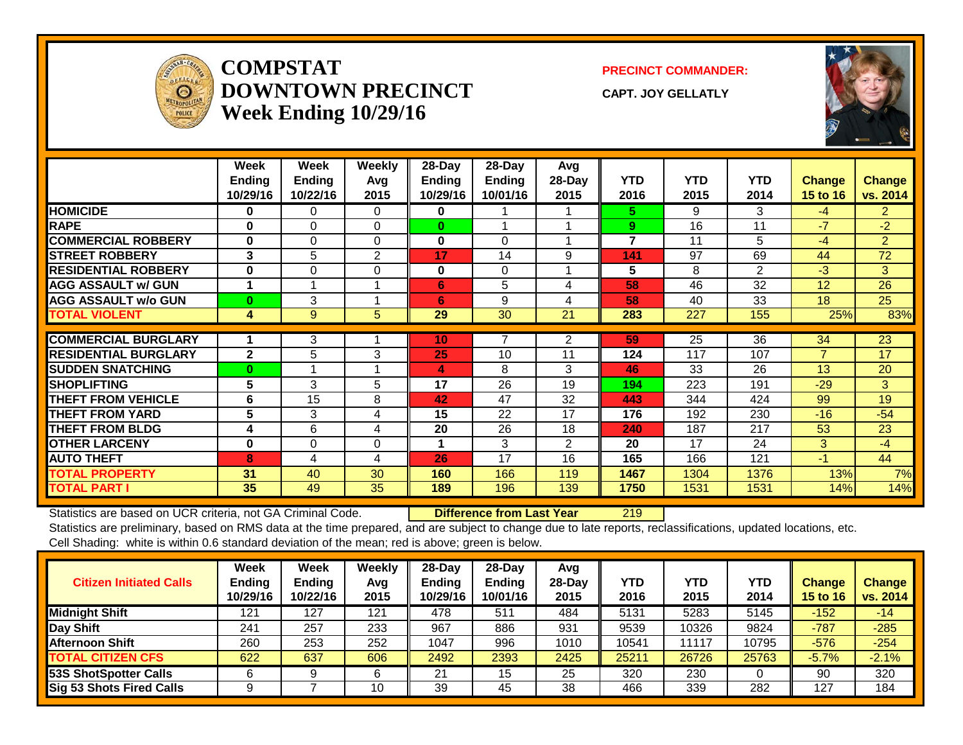

#### **COMPSTATDOWNTOWN PRECINCTWeek Ending 10/29/16**

**PRECINCT COMMANDER:**

**CAPT. JOY GELLATLY**



|                             | Week<br><b>Ending</b><br>10/29/16 | Week<br>Ending<br>10/22/16 | Weekly<br>Avq<br>2015 | 28-Day<br>Ending<br>10/29/16 | 28-Day<br>Ending<br>10/01/16 | Avg<br>28-Day<br>2015 | <b>YTD</b><br>2016 | <b>YTD</b><br>2015 | <b>YTD</b><br>2014 | <b>Change</b><br><b>15 to 16</b> | <b>Change</b><br>vs. 2014 |
|-----------------------------|-----------------------------------|----------------------------|-----------------------|------------------------------|------------------------------|-----------------------|--------------------|--------------------|--------------------|----------------------------------|---------------------------|
| <b>HOMICIDE</b>             | $\bf{0}$                          | 0                          | $\Omega$              | 0                            |                              |                       | 5.                 | 9                  | 3                  | $-4$                             | $\overline{2}$            |
| <b>RAPE</b>                 | $\bf{0}$                          | $\Omega$                   | $\Omega$              | $\bf{0}$                     |                              |                       | 9                  | 16                 | 11                 | $-7$                             | $-2$                      |
| <b>COMMERCIAL ROBBERY</b>   | $\bf{0}$                          | $\Omega$                   | $\Omega$              | $\mathbf{0}$                 | $\Omega$                     |                       | $\overline{7}$     | 11                 | 5                  | $-4$                             | $\overline{2}$            |
| <b>STREET ROBBERY</b>       | 3                                 | 5                          | $\mathbf{2}$          | 17                           | 14                           | 9                     | 141                | 97                 | 69                 | 44                               | 72                        |
| <b>RESIDENTIAL ROBBERY</b>  | $\bf{0}$                          | $\Omega$                   | $\Omega$              | $\bf{0}$                     | $\Omega$                     |                       | 5                  | 8                  | 2                  | $-3$                             | 3                         |
| <b>AGG ASSAULT w/ GUN</b>   | 1                                 |                            |                       | 6                            | 5                            | 4                     | 58                 | 46                 | 32                 | 12                               | 26                        |
| <b>AGG ASSAULT w/o GUN</b>  | $\mathbf{0}$                      | 3                          |                       | 6                            | 9                            | 4                     | 58                 | 40                 | 33                 | 18                               | 25                        |
| <b>TOTAL VIOLENT</b>        | 4                                 | 9                          | 5                     | 29                           | 30                           | 21                    | 283                | 227                | 155                | 25%                              | 83%                       |
| <b>COMMERCIAL BURGLARY</b>  |                                   |                            |                       |                              |                              |                       | 59                 | 25                 | 36                 | 34                               | 23                        |
|                             |                                   | 3                          |                       | 10                           |                              | 2                     |                    |                    |                    |                                  |                           |
| <b>RESIDENTIAL BURGLARY</b> | $\mathbf{2}$                      | 5                          | 3                     | 25                           | 10                           | 11                    | 124                | 117                | 107                | $\overline{7}$                   | 17                        |
| <b>SUDDEN SNATCHING</b>     | $\mathbf{0}$                      |                            |                       | 4                            | 8                            | 3                     | 46                 | 33                 | 26                 | 13                               | 20                        |
| <b>SHOPLIFTING</b>          | 5.                                | 3                          | 5                     | 17                           | 26                           | 19                    | 194                | 223                | 191                | $-29$                            | 3                         |
| <b>THEFT FROM VEHICLE</b>   | 6                                 | 15                         | 8                     | 42                           | 47                           | 32                    | 443                | 344                | 424                | 99                               | 19                        |
| <b>THEFT FROM YARD</b>      | 5                                 | 3                          | 4                     | 15                           | 22                           | 17                    | 176                | 192                | 230                | $-16$                            | $-54$                     |
| <b>THEFT FROM BLDG</b>      | 4                                 | 6                          | 4                     | 20                           | 26                           | 18                    | 240                | 187                | 217                | 53                               | 23                        |
| <b>OTHER LARCENY</b>        | $\bf{0}$                          | $\Omega$                   | $\Omega$              |                              | 3                            | $\overline{2}$        | 20                 | 17                 | 24                 | 3                                | $-4$                      |
| <b>AUTO THEFT</b>           | 8                                 | 4                          | 4                     | 26                           | 17                           | 16                    | 165                | 166                | 121                | $-1$                             | 44                        |
| <b>TOTAL PROPERTY</b>       | 31                                | 40                         | 30                    | 160                          | 166                          | 119                   | 1467               | 1304               | 1376               | 13%                              | 7%                        |
| <b>TOTAL PART I</b>         | 35                                | 49                         | 35                    | 189                          | 196                          | 139                   | 1750               | 1531               | 1531               | 14%                              | 14%                       |

Statistics are based on UCR criteria, not GA Criminal Code. **Difference from Last Year** 219

| <b>Citizen Initiated Calls</b>  | <b>Week</b><br><b>Ending</b><br>10/29/16 | Week<br><b>Ending</b><br>10/22/16 | Weekly<br>Avg<br>2015 | $28$ -Day<br><b>Ending</b><br>10/29/16 | $28-Day$<br><b>Ending</b><br>10/01/16 | Avg<br>$28$ -Day<br>2015 | YTD<br>2016 | YTD<br>2015 | YTD<br>2014 | <b>Change</b><br><b>15 to 16</b> | <b>Change</b><br>vs. 2014 |
|---------------------------------|------------------------------------------|-----------------------------------|-----------------------|----------------------------------------|---------------------------------------|--------------------------|-------------|-------------|-------------|----------------------------------|---------------------------|
| <b>Midnight Shift</b>           | 121                                      | 127                               | 121                   | 478                                    | 511                                   | 484                      | 5131        | 5283        | 5145        | $-152$                           | $-14$                     |
| Day Shift                       | 241                                      | 257                               | 233                   | 967                                    | 886                                   | 931                      | 9539        | 10326       | 9824        | $-787$                           | $-285$                    |
| <b>Afternoon Shift</b>          | 260                                      | 253                               | 252                   | 1047                                   | 996                                   | 1010                     | 10541       | 11117       | 10795       | $-576$                           | $-254$                    |
| <b>TOTAL CITIZEN CFS</b>        | 622                                      | 637                               | 606                   | 2492                                   | 2393                                  | 2425                     | 25211       | 26726       | 25763       | $-5.7%$                          | $-2.1%$                   |
| <b>53S ShotSpotter Calls</b>    |                                          |                                   |                       | 21                                     | 15                                    | 25                       | 320         | 230         |             | 90                               | 320                       |
| <b>Sig 53 Shots Fired Calls</b> |                                          |                                   | 10                    | 39                                     | 45                                    | 38                       | 466         | 339         | 282         | 127                              | 184                       |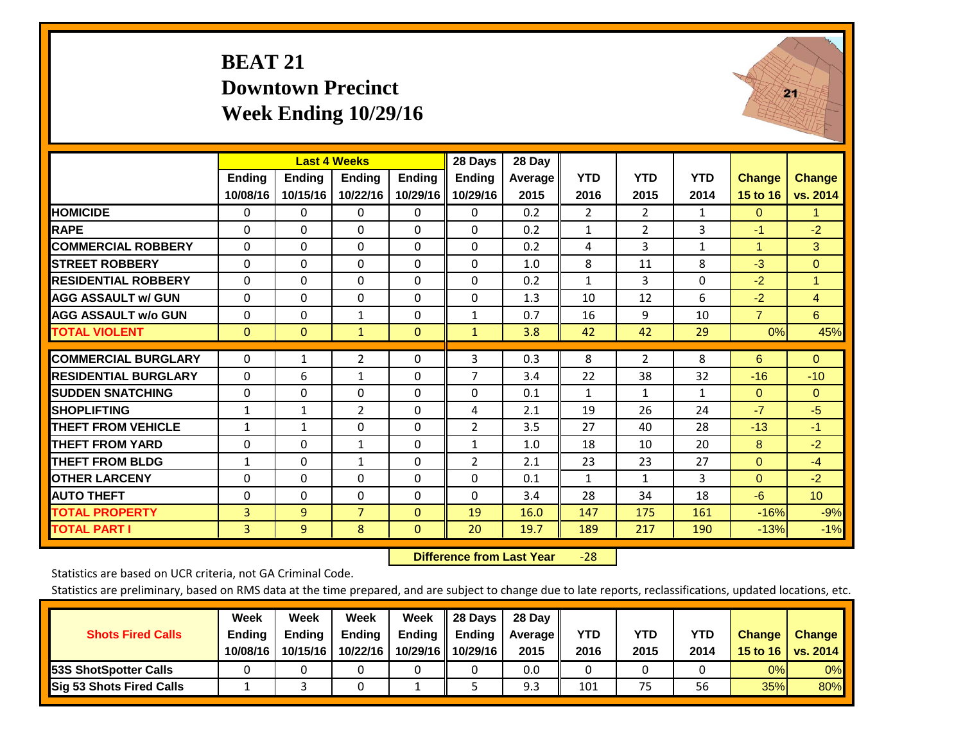### **BEAT 21 Downtown Precinct Week Ending 10/29/16**



|                             |               | <b>Last 4 Weeks</b> |                |               | 28 Days        | 28 Day  |                |                |              |                      |                 |
|-----------------------------|---------------|---------------------|----------------|---------------|----------------|---------|----------------|----------------|--------------|----------------------|-----------------|
|                             | <b>Ending</b> | <b>Ending</b>       | <b>Endina</b>  | <b>Ending</b> | Ending         | Average | <b>YTD</b>     | <b>YTD</b>     | <b>YTD</b>   | <b>Change</b>        | <b>Change</b>   |
|                             | 10/08/16      | 10/15/16            | 10/22/16       | 10/29/16      | 10/29/16       | 2015    | 2016           | 2015           | 2014         | 15 to 16             | vs. 2014        |
| <b>HOMICIDE</b>             | 0             | $\mathbf{0}$        | $\Omega$       | $\Omega$      | $\mathbf{0}$   | 0.2     | $\overline{2}$ | $\overline{2}$ | $\mathbf{1}$ | $\mathbf{0}$         | 1.              |
| <b>RAPE</b>                 | $\Omega$      | 0                   | $\Omega$       | $\mathbf{0}$  | $\Omega$       | 0.2     | $\mathbf{1}$   | 2              | 3            | $-1$                 | $-2$            |
| <b>COMMERCIAL ROBBERY</b>   | $\Omega$      | 0                   | $\Omega$       | $\Omega$      | $\Omega$       | 0.2     | 4              | 3              | $\mathbf{1}$ | $\blacktriangleleft$ | 3               |
| <b>STREET ROBBERY</b>       | $\Omega$      | $\Omega$            | $\Omega$       | $\Omega$      | $\Omega$       | 1.0     | 8              | 11             | 8            | $-3$                 | $\Omega$        |
| <b>RESIDENTIAL ROBBERY</b>  | $\Omega$      | $\Omega$            | $\Omega$       | $\mathbf{0}$  | $\Omega$       | 0.2     | $\mathbf{1}$   | 3              | $\Omega$     | $-2$                 | $\mathbf{1}$    |
| <b>AGG ASSAULT w/ GUN</b>   | $\Omega$      | 0                   | $\mathbf{0}$   | 0             | $\Omega$       | 1.3     | 10             | 12             | 6            | $-2$                 | $\overline{4}$  |
| <b>AGG ASSAULT w/o GUN</b>  | $\Omega$      | $\Omega$            | $\mathbf{1}$   | $\mathbf{0}$  | $\mathbf{1}$   | 0.7     | 16             | 9              | 10           | $\overline{7}$       | 6               |
| <b>TOTAL VIOLENT</b>        | $\mathbf{0}$  | $\mathbf{0}$        | $\mathbf{1}$   | $\mathbf{0}$  | $\mathbf{1}$   | 3.8     | 42             | 42             | 29           | 0%                   | 45%             |
| <b>COMMERCIAL BURGLARY</b>  | $\Omega$      |                     | $\overline{2}$ | $\Omega$      | 3              | 0.3     | 8              | $\overline{2}$ | 8            | 6                    | $\Omega$        |
|                             |               | $\mathbf{1}$        |                |               |                |         |                |                |              |                      |                 |
| <b>RESIDENTIAL BURGLARY</b> | $\Omega$      | 6                   | 1              | $\mathbf{0}$  | $\overline{7}$ | 3.4     | 22             | 38             | 32           | $-16$                | $-10$           |
| <b>ISUDDEN SNATCHING</b>    | $\Omega$      | $\Omega$            | $\mathbf{0}$   | $\mathbf{0}$  | $\Omega$       | 0.1     | 1              | 1              | 1            | $\mathbf{0}$         | $\Omega$        |
| <b>SHOPLIFTING</b>          | 1             | 1                   | $\overline{2}$ | $\mathbf{0}$  | 4              | 2.1     | 19             | 26             | 24           | $-7$                 | $-5$            |
| <b>THEFT FROM VEHICLE</b>   | 1             | 1                   | $\Omega$       | $\Omega$      | 2              | 3.5     | 27             | 40             | 28           | $-13$                | $-1$            |
| <b>THEFT FROM YARD</b>      | $\Omega$      | $\Omega$            | $\mathbf{1}$   | $\Omega$      | $\mathbf{1}$   | 1.0     | 18             | 10             | 20           | 8                    | $-2$            |
| <b>THEFT FROM BLDG</b>      | 1             | 0                   | $\mathbf{1}$   | $\Omega$      | $\overline{2}$ | 2.1     | 23             | 23             | 27           | $\mathbf{0}$         | $-4$            |
| <b>OTHER LARCENY</b>        | $\Omega$      | 0                   | $\Omega$       | $\mathbf{0}$  | 0              | 0.1     | 1              | 1              | 3            | $\Omega$             | $-2$            |
| <b>AUTO THEFT</b>           | 0             | $\Omega$            | $\Omega$       | $\Omega$      | $\Omega$       | 3.4     | 28             | 34             | 18           | $-6$                 | 10 <sub>1</sub> |
| <b>TOTAL PROPERTY</b>       | 3             | 9                   | $\overline{7}$ | $\mathbf{0}$  | 19             | 16.0    | 147            | 175            | 161          | $-16%$               | $-9%$           |
| <b>TOTAL PART I</b>         | 3             | 9                   | 8              | $\mathbf{0}$  | 20             | 19.7    | 189            | 217            | 190          | $-13%$               | $-1%$           |

 **Difference from Last Year**‐28

Statistics are based on UCR criteria, not GA Criminal Code.

| <b>Shots Fired Calls</b>        | Week<br><b>Ending</b><br>10/08/16 | Week<br><b>Endina</b><br>10/15/16 | Week<br>Ending<br>10/22/16 | Week<br>Ending<br>10/29/16 | 28 Days<br><b>Ending</b><br>10/29/16 | 28 Day<br>Average II<br>2015 | YTD<br>2016 | YTD<br>2015 | <b>YTD</b><br>2014 | <b>Change</b><br>15 to 16 $\vert$ | <b>Change</b><br>vs. 2014 |
|---------------------------------|-----------------------------------|-----------------------------------|----------------------------|----------------------------|--------------------------------------|------------------------------|-------------|-------------|--------------------|-----------------------------------|---------------------------|
| <b>153S ShotSpotter Calls</b>   |                                   |                                   |                            |                            |                                      | 0.0                          |             |             |                    | 0%                                | 0%                        |
| <b>Sig 53 Shots Fired Calls</b> |                                   |                                   |                            |                            |                                      | 9.3                          | 101         | 75          | 56                 | 35%                               | 80%                       |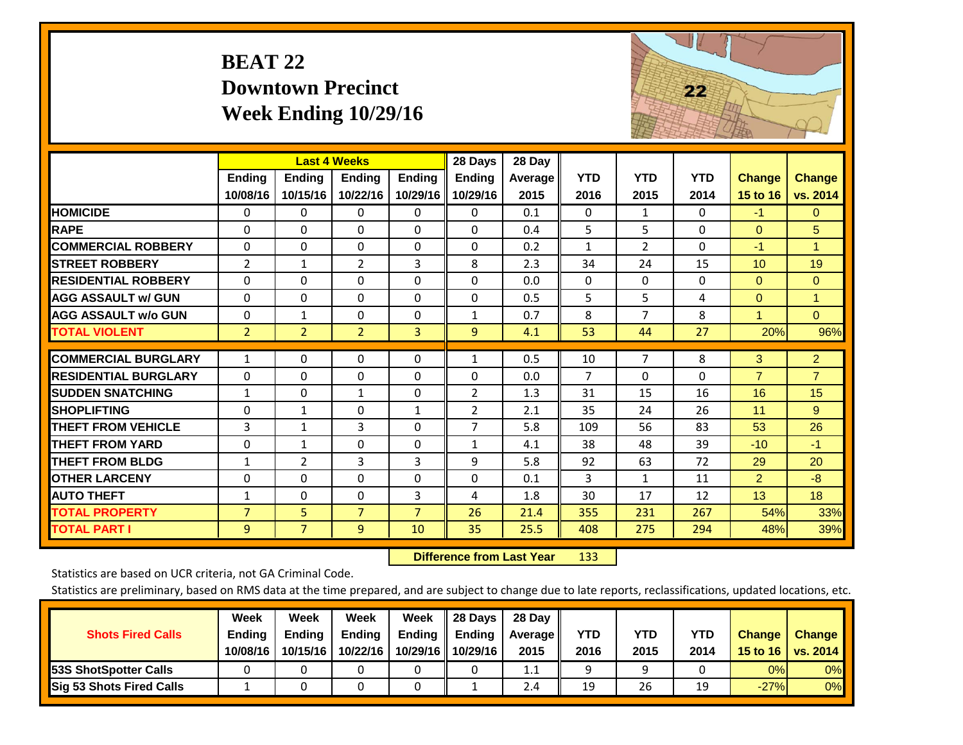| <b>BEAT 22</b>           |
|--------------------------|
| <b>Downtown Precinct</b> |
| Week Ending $10/29/16$   |



|                             |                | <b>Last 4 Weeks</b> |                |                | 28 Days        | 28 Day  |                |                |            |                         |                |
|-----------------------------|----------------|---------------------|----------------|----------------|----------------|---------|----------------|----------------|------------|-------------------------|----------------|
|                             | Ending         | <b>Ending</b>       | <b>Endina</b>  | <b>Ending</b>  | Ending         | Average | <b>YTD</b>     | <b>YTD</b>     | <b>YTD</b> | <b>Change</b>           | <b>Change</b>  |
|                             | 10/08/16       | 10/15/16            | 10/22/16       | 10/29/16       | 10/29/16       | 2015    | 2016           | 2015           | 2014       | 15 to 16                | vs. 2014       |
| <b>HOMICIDE</b>             | 0              | 0                   | 0              | 0              | $\mathbf{0}$   | 0.1     | $\Omega$       | 1              | 0          | $-1$                    | $\mathbf{0}$   |
| <b>RAPE</b>                 | $\Omega$       | $\Omega$            | $\Omega$       | 0              | $\Omega$       | 0.4     | 5              | 5              | 0          | $\Omega$                | 5              |
| <b>COMMERCIAL ROBBERY</b>   | $\Omega$       | 0                   | $\Omega$       | 0              | $\Omega$       | 0.2     | $\mathbf{1}$   | $\overline{2}$ | 0          | -1                      | 1              |
| <b>STREET ROBBERY</b>       | $\overline{2}$ | $\mathbf{1}$        | $\overline{2}$ | 3              | 8              | 2.3     | 34             | 24             | 15         | 10 <sup>1</sup>         | 19             |
| <b>RESIDENTIAL ROBBERY</b>  | $\Omega$       | 0                   | $\Omega$       | 0              | $\Omega$       | 0.0     | $\mathbf{0}$   | $\Omega$       | 0          | $\Omega$                | $\mathbf{0}$   |
| <b>AGG ASSAULT w/ GUN</b>   | $\Omega$       | $\Omega$            | $\Omega$       | $\Omega$       | $\Omega$       | 0.5     | 5              | 5              | 4          | $\Omega$                | $\mathbf{1}$   |
| <b>AGG ASSAULT w/o GUN</b>  | $\Omega$       | 1                   | $\Omega$       | $\Omega$       | 1              | 0.7     | 8              | 7              | 8          | $\overline{\mathbf{A}}$ | $\Omega$       |
| <b>TOTAL VIOLENT</b>        | $\overline{2}$ | $\overline{2}$      | $\overline{2}$ | 3              | 9              | 4.1     | 53             | 44             | 27         | 20%                     | 96%            |
| <b>COMMERCIAL BURGLARY</b>  | $\mathbf{1}$   | $\mathbf 0$         | 0              | 0              | 1              | 0.5     | 10             | $\overline{7}$ | 8          | 3                       | 2 <sup>1</sup> |
| <b>RESIDENTIAL BURGLARY</b> | $\mathbf{0}$   | $\Omega$            | $\Omega$       | $\Omega$       | $\Omega$       | 0.0     | $\overline{7}$ | $\Omega$       | 0          | $\overline{7}$          | $\overline{7}$ |
| <b>SUDDEN SNATCHING</b>     | $\mathbf{1}$   | 0                   | 1              | 0              | 2              | 1.3     | 31             | 15             | 16         | 16                      | 15             |
| <b>SHOPLIFTING</b>          | $\Omega$       | $\mathbf{1}$        | $\Omega$       | $\mathbf{1}$   | 2              | 2.1     | 35             | 24             | 26         | 11                      | 9              |
| <b>THEFT FROM VEHICLE</b>   | 3              |                     | 3              |                | $\overline{7}$ | 5.8     |                | 56             | 83         |                         | 26             |
|                             |                | $\mathbf{1}$        |                | 0              |                |         | 109            |                |            | 53                      |                |
| <b>THEFT FROM YARD</b>      | 0              | $\mathbf{1}$        | $\Omega$       | 0              | $\mathbf{1}$   | 4.1     | 38             | 48             | 39         | $-10$                   | $-1$           |
| <b>THEFT FROM BLDG</b>      | $\mathbf{1}$   | 2                   | 3              | 3              | 9              | 5.8     | 92             | 63             | 72         | 29                      | 20             |
| <b>OTHER LARCENY</b>        | 0              | 0                   | $\Omega$       | 0              | $\Omega$       | 0.1     | 3              | $\mathbf{1}$   | 11         | 2                       | $-8$           |
| <b>AUTO THEFT</b>           | $\mathbf{1}$   | $\Omega$            | $\Omega$       | 3              | 4              | 1.8     | 30             | 17             | 12         | 13                      | 18             |
| <b>TOTAL PROPERTY</b>       | $\overline{7}$ | 5                   | $\overline{7}$ | $\overline{7}$ | 26             | 21.4    | 355            | 231            | 267        | 54%                     | 33%            |
| <b>TOTAL PART I</b>         | 9              | $\overline{7}$      | 9              | 10             | 35             | 25.5    | 408            | 275            | 294        | 48%                     | 39%            |

 **Difference from Last Year**r 133

Statistics are based on UCR criteria, not GA Criminal Code.

| <b>Shots Fired Calls</b>        | Week<br><b>Ending</b><br>10/08/16 | Week<br><b>Endina</b><br>10/15/16 | Week<br>Ending<br>10/22/16 | Week<br>Ending<br>10/29/16 | 28 Days<br><b>Ending</b><br>10/29/16 | 28 Day<br>Average II<br>2015 | YTD<br>2016 | YTD<br>2015 | <b>YTD</b><br>2014 | <b>Change</b><br>15 to 16 $\vert$ | <b>Change</b><br>vs. 2014 |
|---------------------------------|-----------------------------------|-----------------------------------|----------------------------|----------------------------|--------------------------------------|------------------------------|-------------|-------------|--------------------|-----------------------------------|---------------------------|
| <b>153S ShotSpotter Calls</b>   |                                   |                                   |                            |                            |                                      | 1.1                          |             |             |                    | 0%                                | 0%                        |
| <b>Sig 53 Shots Fired Calls</b> |                                   |                                   |                            |                            |                                      | 2.4                          | 19          | 26          | 19                 | $-27%$                            | 0%                        |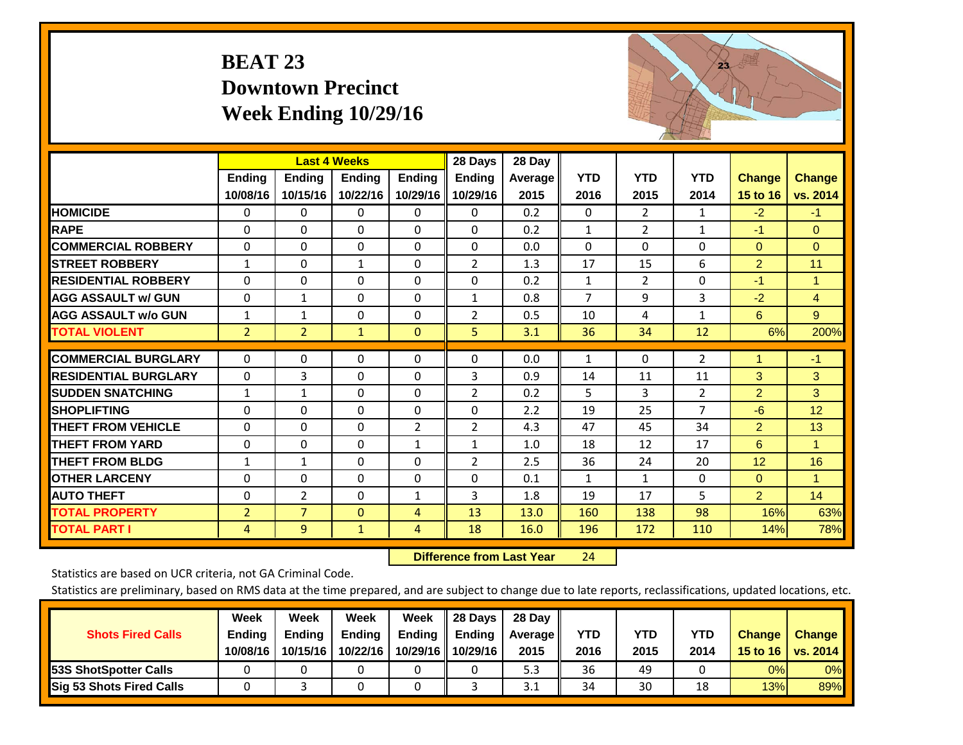## **BEAT 23 Downtown Precinct Week Ending 10/29/16**



|                             |                | <b>Last 4 Weeks</b> |               |                | 28 Days        | 28 Day  |                |                |                |                |                |
|-----------------------------|----------------|---------------------|---------------|----------------|----------------|---------|----------------|----------------|----------------|----------------|----------------|
|                             | <b>Ending</b>  | <b>Ending</b>       | <b>Endina</b> | <b>Ending</b>  | <b>Ending</b>  | Average | <b>YTD</b>     | <b>YTD</b>     | <b>YTD</b>     | <b>Change</b>  | <b>Change</b>  |
|                             | 10/08/16       | 10/15/16            | 10/22/16      | 10/29/16       | 10/29/16       | 2015    | 2016           | 2015           | 2014           | 15 to 16       | vs. 2014       |
| <b>HOMICIDE</b>             | 0              | 0                   | $\Omega$      | $\mathbf{0}$   | $\Omega$       | 0.2     | $\mathbf{0}$   | $\overline{2}$ | 1              | $-2$           | $-1$           |
| <b>RAPE</b>                 | $\Omega$       | $\Omega$            | $\Omega$      | $\Omega$       | $\Omega$       | 0.2     | 1              | $\overline{2}$ | 1              | $-1$           | $\Omega$       |
| <b>COMMERCIAL ROBBERY</b>   | $\Omega$       | 0                   | $\mathbf{0}$  | $\Omega$       | 0              | 0.0     | $\mathbf{0}$   | 0              | 0              | $\Omega$       | $\mathbf{0}$   |
| <b>STREET ROBBERY</b>       | 1              | $\Omega$            | $\mathbf{1}$  | $\Omega$       | $\overline{2}$ | 1.3     | 17             | 15             | 6              | $\overline{2}$ | 11             |
| <b>RESIDENTIAL ROBBERY</b>  | $\Omega$       | $\Omega$            | $\Omega$      | 0              | $\Omega$       | 0.2     | $\mathbf{1}$   | $\overline{2}$ | 0              | $-1$           | $\blacksquare$ |
| <b>AGG ASSAULT w/ GUN</b>   | $\Omega$       | 1                   | $\mathbf{0}$  | $\Omega$       | $\mathbf{1}$   | 0.8     | $\overline{7}$ | 9              | 3              | $-2$           | $\overline{4}$ |
| <b>AGG ASSAULT w/o GUN</b>  | $\mathbf{1}$   | 1                   | $\mathbf{0}$  | 0              | $\overline{2}$ | 0.5     | 10             | 4              | $\mathbf{1}$   | 6              | 9              |
| <b>TOTAL VIOLENT</b>        | $\overline{2}$ | $\overline{2}$      | $\mathbf{1}$  | $\mathbf{0}$   | 5              | 3.1     | 36             | 34             | 12             | 6%             | 200%           |
| <b>COMMERCIAL BURGLARY</b>  | $\Omega$       | $\Omega$            | $\Omega$      | $\mathbf{0}$   | $\Omega$       | 0.0     | 1              | $\Omega$       | $\overline{2}$ |                | $-1$           |
| <b>RESIDENTIAL BURGLARY</b> | $\Omega$       | 3                   | $\mathbf{0}$  | $\Omega$       | 3              | 0.9     | 14             | 11             | 11             | 3              | 3              |
| <b>SUDDEN SNATCHING</b>     | $\mathbf{1}$   | 1                   | $\mathbf{0}$  | $\Omega$       | $\overline{2}$ | 0.2     | 5              | 3              | $\overline{2}$ | $\overline{2}$ | 3              |
| <b>SHOPLIFTING</b>          | 0              | 0                   | $\Omega$      | 0              | $\Omega$       | 2.2     | 19             | 25             | $\overline{7}$ | $-6$           | 12             |
| <b>THEFT FROM VEHICLE</b>   | $\Omega$       | $\Omega$            | $\Omega$      | $\overline{2}$ | $\overline{2}$ | 4.3     | 47             | 45             | 34             | $\overline{2}$ | 13             |
| <b>THEFT FROM YARD</b>      | $\Omega$       | $\Omega$            | $\mathbf{0}$  | $\mathbf{1}$   | $\mathbf{1}$   | 1.0     | 18             | 12             | 17             | 6              | $\mathbf{1}$   |
| <b>THEFT FROM BLDG</b>      | $\mathbf{1}$   | 1                   | $\mathbf{0}$  | $\Omega$       | $\overline{2}$ | 2.5     | 36             | 24             | 20             | 12             | 16             |
| <b>OTHER LARCENY</b>        | 0              | 0                   | $\mathbf{0}$  | 0              | $\Omega$       | 0.1     | $\mathbf{1}$   | $\mathbf{1}$   | 0              | $\Omega$       | 1              |
| <b>AUTO THEFT</b>           | $\Omega$       | $\overline{2}$      | $\mathbf{0}$  | $\mathbf{1}$   | 3              | 1.8     | 19             | 17             | 5              | $\overline{2}$ | 14             |
| <b>TOTAL PROPERTY</b>       | $\overline{2}$ | $\overline{7}$      | $\mathbf{0}$  | 4              | 13             | 13.0    | 160            | 138            | 98             | 16%            | 63%            |
| <b>TOTAL PART I</b>         | 4              | 9                   | $\mathbf{1}$  | 4              | 18             | 16.0    | 196            | 172            | 110            | 14%            | 78%            |

 **Difference from Last Year**r 24

Statistics are based on UCR criteria, not GA Criminal Code.

| <b>Shots Fired Calls</b>        | Week<br><b>Ending</b><br>10/08/16 | Week<br><b>Endina</b><br>10/15/16 | <b>Week</b><br><b>Ending</b><br>10/22/16 | Week<br>Ending<br>10/29/16 | 28 Days<br><b>Ending</b><br>10/29/16 | 28 Day<br>Average II<br>2015 | YTD<br>2016 | YTD<br>2015 | <b>YTD</b><br>2014 | <b>Change</b><br>15 to $16$ | <b>Change</b><br>vs. 2014 |
|---------------------------------|-----------------------------------|-----------------------------------|------------------------------------------|----------------------------|--------------------------------------|------------------------------|-------------|-------------|--------------------|-----------------------------|---------------------------|
| 53S ShotSpotter Calls           |                                   |                                   |                                          |                            |                                      | 5.3                          | 36          | 49          |                    | 0%                          | 0%                        |
| <b>Sig 53 Shots Fired Calls</b> |                                   |                                   |                                          |                            |                                      | 3.1                          | 34          | 30          | 18                 | 13%                         | 89%                       |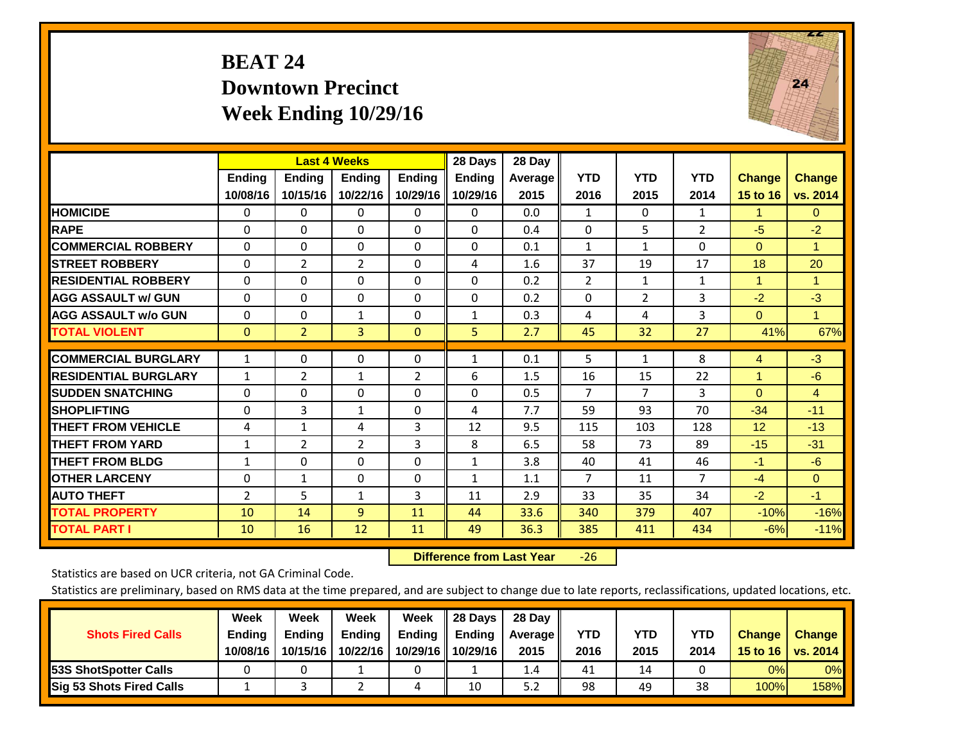## **BEAT 24 Downtown Precinct Week Ending 10/29/16**



|                             |                           | <b>Last 4 Weeks</b>       |                          |                           | 28 Days                   | 28 Day          |                      |                    |                    |                           |                           |
|-----------------------------|---------------------------|---------------------------|--------------------------|---------------------------|---------------------------|-----------------|----------------------|--------------------|--------------------|---------------------------|---------------------------|
|                             | <b>Ending</b><br>10/08/16 | <b>Ending</b><br>10/15/16 | Endina<br>10/22/16       | <b>Endina</b><br>10/29/16 | <b>Ending</b><br>10/29/16 | Average<br>2015 | <b>YTD</b><br>2016   | <b>YTD</b><br>2015 | <b>YTD</b><br>2014 | <b>Change</b><br>15 to 16 | <b>Change</b><br>vs. 2014 |
| <b>HOMICIDE</b>             | 0                         | 0                         | $\Omega$                 | $\Omega$                  | 0                         | 0.0             | 1                    | 0                  | 1                  | 1                         | $\mathbf{0}$              |
| <b>RAPE</b>                 | $\Omega$                  | 0                         | $\Omega$                 | 0                         | $\Omega$                  | 0.4             | 0                    | 5                  | $\overline{2}$     | $-5$                      | $-2$                      |
| <b>COMMERCIAL ROBBERY</b>   | $\Omega$                  | $\Omega$                  | $\Omega$                 | $\mathbf{0}$              | $\Omega$                  | 0.1             | $\mathbf{1}$         | 1                  | $\Omega$           | $\mathbf{0}$              | $\mathbf{1}$              |
| <b>STREET ROBBERY</b>       | $\Omega$                  | 2                         | 2                        | $\mathbf{0}$              | 4                         | 1.6             | 37                   | 19                 | 17                 | 18                        | 20                        |
| <b>RESIDENTIAL ROBBERY</b>  | $\Omega$                  | $\Omega$                  | $\Omega$                 | $\Omega$                  | $\Omega$                  | 0.2             | $\overline{2}$       | $\mathbf{1}$       | 1                  | 1                         | 1.                        |
| <b>AGG ASSAULT w/ GUN</b>   | $\Omega$                  | 0                         | $\Omega$                 | $\mathbf{0}$              | $\Omega$                  | 0.2             | $\Omega$             | $\overline{2}$     | 3                  | $-2$                      | $-3$                      |
| <b>AGG ASSAULT w/o GUN</b>  | $\Omega$                  | $\Omega$                  | $\mathbf{1}$             | $\mathbf{0}$              | $\mathbf{1}$              | 0.3             | 4                    | 4                  | 3                  | $\mathbf{0}$              | $\mathbf{1}$              |
| <b>TOTAL VIOLENT</b>        | $\mathbf{0}$              | $\overline{2}$            | 3                        | $\mathbf{0}$              | 5.                        | 2.7             | 45                   | 32                 | 27                 | 41%                       | 67%                       |
| <b>COMMERCIAL BURGLARY</b>  | $\mathbf{1}$              | 0                         | $\Omega$                 | $\mathbf 0$               | 1                         | 0.1             | 5                    | $\mathbf 1$        | 8                  | 4                         | $-3$                      |
| <b>RESIDENTIAL BURGLARY</b> |                           |                           |                          |                           | 6                         | 1.5             |                      |                    | 22                 | 1                         | $-6$                      |
| <b>ISUDDEN SNATCHING</b>    | $\mathbf{1}$<br>$\Omega$  | 2<br>$\Omega$             | $\mathbf{1}$<br>$\Omega$ | 2<br>$\Omega$             | $\Omega$                  | 0.5             | 16<br>$\overline{7}$ | 15<br>7            | 3                  | $\mathbf{0}$              | $\overline{4}$            |
| <b>SHOPLIFTING</b>          | $\Omega$                  | 3                         | $\mathbf{1}$             | $\Omega$                  | 4                         | 7.7             | 59                   | 93                 | 70                 | $-34$                     |                           |
| <b>THEFT FROM VEHICLE</b>   |                           |                           |                          | 3                         |                           |                 |                      |                    |                    |                           | $-11$                     |
| <b>THEFT FROM YARD</b>      | 4                         | $\mathbf{1}$              | 4<br>2                   | 3                         | 12                        | 9.5             | 115<br>58            | 103<br>73          | 128<br>89          | 12<br>$-15$               | $-13$                     |
|                             | $\mathbf{1}$              | $\overline{2}$            |                          |                           | 8                         | 6.5             |                      |                    |                    |                           | $-31$                     |
| <b>THEFT FROM BLDG</b>      | $\mathbf{1}$              | $\Omega$                  | $\Omega$                 | $\Omega$                  | $\mathbf{1}$              | 3.8             | 40                   | 41                 | 46                 | $-1$                      | $-6$                      |
| <b>IOTHER LARCENY</b>       | $\mathbf 0$               | $\mathbf{1}$              | $\Omega$                 | $\mathbf 0$               | $\mathbf{1}$              | 1.1             | $\overline{7}$       | 11                 | $\overline{7}$     | $-4$                      | $\Omega$                  |
| <b>AUTO THEFT</b>           | 2                         | 5                         | 1                        | 3                         | 11                        | 2.9             | 33                   | 35                 | 34                 | $-2$                      | $-1$                      |
| <b>TOTAL PROPERTY</b>       | 10                        | 14                        | 9                        | 11                        | 44                        | 33.6            | 340                  | 379                | 407                | $-10%$                    | $-16%$                    |
| <b>TOTAL PART I</b>         | 10                        | 16                        | 12                       | 11                        | 49                        | 36.3            | 385                  | 411                | 434                | $-6%$                     | $-11%$                    |

 **Difference from Last Year**‐26

Statistics are based on UCR criteria, not GA Criminal Code.

|                                 | Week          | Week          | Week          | Week               | II 28 Davs         | 28 Day         |            |            |      |               |               |
|---------------------------------|---------------|---------------|---------------|--------------------|--------------------|----------------|------------|------------|------|---------------|---------------|
| <b>Shots Fired Calls</b>        | <b>Ending</b> | <b>Endina</b> | <b>Ending</b> | Ending $\parallel$ | $\parallel$ Ending | <b>Average</b> | <b>YTD</b> | <b>YTD</b> | YTD  | <b>Change</b> | <b>Change</b> |
|                                 | 10/08/16      | 10/15/16      | 10/22/16      |                    | 10/29/16 10/29/16  | 2015           | 2016       | 2015       | 2014 | 15 to 16      | vs. $2014$    |
| <b>153S ShotSpotter Calls</b>   |               |               |               |                    |                    | $1.4^{\circ}$  | 41         | 14         |      | 0%            | $0\%$         |
| <b>Sig 53 Shots Fired Calls</b> |               |               |               | 4                  | 10                 | 5.2            | 98         | 49         | 38   | 100%          | 158%          |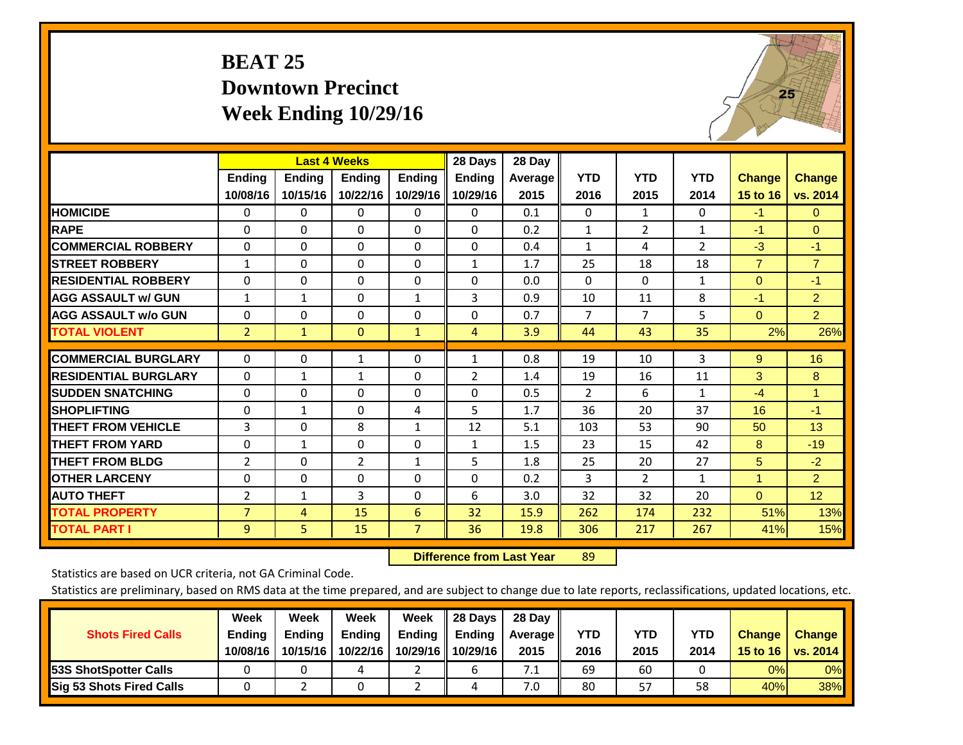## **BEAT 25 Downtown Precinct Week Ending 10/29/16**



|                             |                | <b>Last 4 Weeks</b> |               |                | 28 Days       | 28 Day  |                |                |                |                |                |
|-----------------------------|----------------|---------------------|---------------|----------------|---------------|---------|----------------|----------------|----------------|----------------|----------------|
|                             | <b>Ending</b>  | Ending              | <b>Ending</b> | <b>Endina</b>  | <b>Ending</b> | Average | <b>YTD</b>     | <b>YTD</b>     | <b>YTD</b>     | <b>Change</b>  | <b>Change</b>  |
|                             | 10/08/16       | 10/15/16            | 10/22/16      | 10/29/16       | 10/29/16      | 2015    | 2016           | 2015           | 2014           | 15 to 16       | vs. 2014       |
| <b>HOMICIDE</b>             | 0              | 0                   | 0             | 0              | $\Omega$      | 0.1     | $\Omega$       | $\mathbf{1}$   | 0              | $-1$           | $\mathbf{0}$   |
| <b>RAPE</b>                 | $\Omega$       | 0                   | $\Omega$      | 0              | 0             | 0.2     | 1              | $\overline{2}$ | $\mathbf{1}$   | -1             | $\Omega$       |
| <b>COMMERCIAL ROBBERY</b>   | $\Omega$       | $\Omega$            | $\mathbf{0}$  | $\Omega$       | $\Omega$      | 0.4     | 1              | 4              | $\overline{2}$ | $-3$           | $-1$           |
| <b>STREET ROBBERY</b>       | $\mathbf{1}$   | $\Omega$            | $\Omega$      | $\Omega$       | $\mathbf{1}$  | 1.7     | 25             | 18             | 18             | $\overline{7}$ | $\overline{7}$ |
| <b>RESIDENTIAL ROBBERY</b>  | 0              | $\Omega$            | $\Omega$      | $\Omega$       | $\Omega$      | 0.0     | $\mathbf{0}$   | $\Omega$       | 1              | $\mathbf{0}$   | $-1$           |
| <b>AGG ASSAULT w/ GUN</b>   | 1              | 1                   | $\Omega$      | 1              | 3             | 0.9     | 10             | 11             | 8              | -1             | $\overline{2}$ |
| <b>AGG ASSAULT w/o GUN</b>  | 0              | $\Omega$            | $\Omega$      | 0              | $\Omega$      | 0.7     | $\overline{7}$ | $\overline{7}$ | 5              | $\mathbf{0}$   | $\overline{2}$ |
| <b>TOTAL VIOLENT</b>        | $\overline{2}$ | 1                   | $\mathbf{0}$  | $\mathbf{1}$   | 4             | 3.9     | 44             | 43             | 35             | 2%             | 26%            |
|                             |                |                     |               |                |               |         |                |                |                |                |                |
| <b>COMMERCIAL BURGLARY</b>  | $\Omega$       | 0                   | 1             | 0              | 1             | 0.8     | 19             | 10             | 3              | 9              | 16             |
| <b>RESIDENTIAL BURGLARY</b> | $\Omega$       | $\mathbf{1}$        | 1             | 0              | 2             | 1.4     | 19             | 16             | 11             | $\mathbf{3}$   | 8              |
| <b>SUDDEN SNATCHING</b>     | $\Omega$       | 0                   | $\Omega$      | 0              | 0             | 0.5     | 2              | 6              | 1              | $-4$           | $\mathbf{1}$   |
| <b>SHOPLIFTING</b>          | $\Omega$       | $\mathbf{1}$        | $\Omega$      | 4              | 5             | 1.7     | 36             | 20             | 37             | 16             | $-1$           |
| <b>THEFT FROM VEHICLE</b>   | 3              | 0                   | 8             | $\mathbf{1}$   | 12            | 5.1     | 103            | 53             | 90             | 50             | 13             |
| <b>THEFT FROM YARD</b>      | $\Omega$       | 1                   | $\Omega$      | $\Omega$       | $\mathbf{1}$  | 1.5     | 23             | 15             | 42             | 8              | $-19$          |
| <b>THEFT FROM BLDG</b>      | 2              | 0                   | 2             | 1              | 5             | 1.8     | 25             | 20             | 27             | 5              | $-2$           |
| <b>OTHER LARCENY</b>        | $\Omega$       | $\Omega$            | $\Omega$      | 0              | 0             | 0.2     | 3              | $\overline{2}$ | 1              | 1              | $\overline{2}$ |
| <b>AUTO THEFT</b>           | $\overline{2}$ | $\mathbf{1}$        | 3             | $\Omega$       | 6             | 3.0     | 32             | 32             | 20             | $\overline{0}$ | 12             |
| <b>TOTAL PROPERTY</b>       | 7              | 4                   | 15            | 6              | 32            | 15.9    | 262            | 174            | 232            | 51%            | 13%            |
| <b>TOTAL PART I</b>         | 9              | 5                   | 15            | $\overline{7}$ | 36            | 19.8    | 306            | 217            | 267            | 41%            | 15%            |

 **Difference from Last Year**r 89

Statistics are based on UCR criteria, not GA Criminal Code.

| <b>Shots Fired Calls</b>        | Week<br><b>Ending</b><br>10/08/16 | Week<br><b>Endina</b><br>10/15/16 | Week<br>Ending<br>10/22/16 | Week<br>Ending<br>10/29/16 | 28 Days<br><b>Ending</b><br>10/29/16 | 28 Day<br>Average II<br>2015 | YTD<br>2016 | YTD<br>2015 | <b>YTD</b><br>2014 | <b>Change</b><br>15 to 16 | <b>Change</b><br>vs. 2014 |
|---------------------------------|-----------------------------------|-----------------------------------|----------------------------|----------------------------|--------------------------------------|------------------------------|-------------|-------------|--------------------|---------------------------|---------------------------|
| <b>153S ShotSpotter Calls</b>   |                                   |                                   |                            |                            |                                      | 7.1                          | 69          | 60          |                    | 0%                        | 0%                        |
| <b>Sig 53 Shots Fired Calls</b> |                                   |                                   |                            |                            |                                      | 7.0                          | 80          | 57          | 58                 | 40%                       | 38%                       |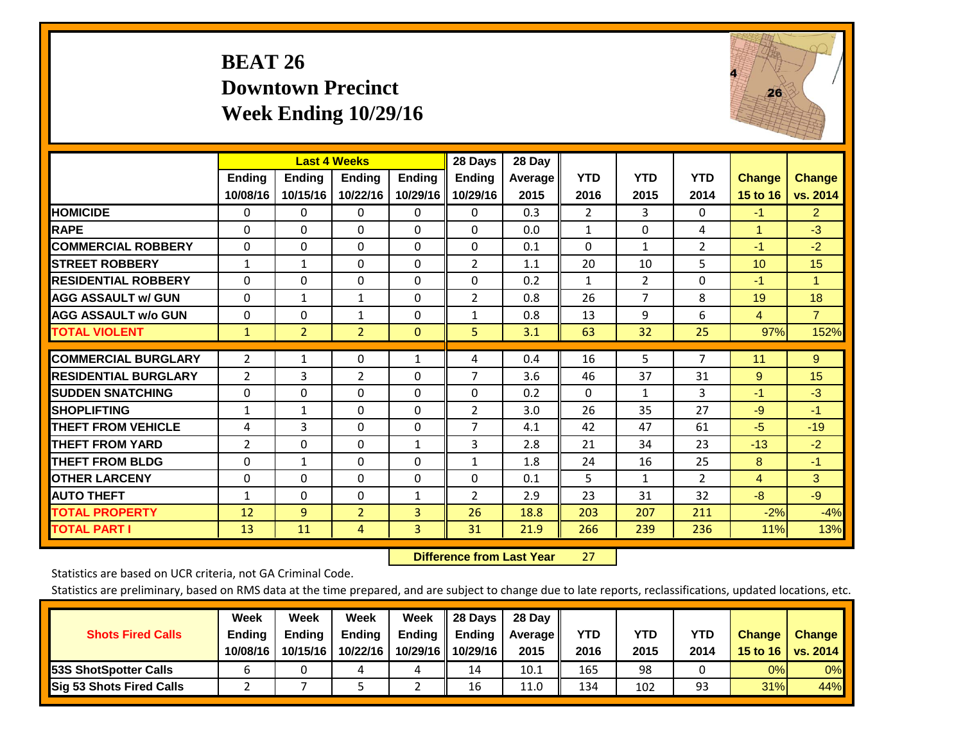## **BEAT 26 Downtown Precinct Week Ending 10/29/16**



|                             |                           | <b>Last 4 Weeks</b>       |                           |                           | 28 Days                   | 28 Day             |                    |                    |                    |                           |                           |
|-----------------------------|---------------------------|---------------------------|---------------------------|---------------------------|---------------------------|--------------------|--------------------|--------------------|--------------------|---------------------------|---------------------------|
|                             | <b>Ending</b><br>10/08/16 | <b>Ending</b><br>10/15/16 | <b>Endina</b><br>10/22/16 | <b>Endina</b><br>10/29/16 | <b>Endina</b><br>10/29/16 | Average   <br>2015 | <b>YTD</b><br>2016 | <b>YTD</b><br>2015 | <b>YTD</b><br>2014 | <b>Change</b><br>15 to 16 | <b>Change</b><br>vs. 2014 |
| <b>HOMICIDE</b>             | 0                         | 0                         | $\Omega$                  | 0                         | 0                         | 0.3                | $\overline{2}$     | 3                  | 0                  | $-1$                      | $\overline{2}$            |
| <b>RAPE</b>                 | 0                         | $\Omega$                  | $\Omega$                  | $\Omega$                  | $\Omega$                  | 0.0                | $\mathbf{1}$       | $\Omega$           | 4                  | 1                         | $-3$                      |
| <b>COMMERCIAL ROBBERY</b>   | $\Omega$                  | $\Omega$                  | $\Omega$                  | $\mathbf{0}$              | $\Omega$                  | 0.1                | $\Omega$           | 1                  | $\overline{2}$     | $-1$                      | $-2$                      |
| <b>ISTREET ROBBERY</b>      | $\mathbf{1}$              | 1                         | $\Omega$                  | $\Omega$                  | 2                         | 1.1                | 20                 | 10                 | 5                  | 10                        | 15                        |
| <b>RESIDENTIAL ROBBERY</b>  | $\Omega$                  | 0                         | $\mathbf{0}$              | 0                         | $\Omega$                  | 0.2                | $\mathbf{1}$       | 2                  | 0                  | $-1$                      | 1                         |
| <b>AGG ASSAULT w/ GUN</b>   | 0                         | $\mathbf{1}$              | $\mathbf{1}$              | $\mathbf{0}$              | $\overline{2}$            | 0.8                | 26                 | 7                  | 8                  | 19                        | 18                        |
| <b>AGG ASSAULT w/o GUN</b>  | $\Omega$                  | 0                         | $\mathbf{1}$              | $\Omega$                  | $\mathbf{1}$              | 0.8                | 13                 | 9                  | 6                  | $\overline{4}$            | $\overline{7}$            |
| <b>TOTAL VIOLENT</b>        | $\mathbf{1}$              | $\overline{2}$            | $\overline{2}$            | $\mathbf{0}$              | 5.                        | 3.1                | 63                 | 32                 | 25                 | 97%                       | 152%                      |
| <b>COMMERCIAL BURGLARY</b>  | 2                         | 1                         | $\Omega$                  | 1                         | 4                         | 0.4                | 16                 | 5                  | 7                  | 11                        | 9                         |
| <b>RESIDENTIAL BURGLARY</b> | 2                         | 3                         | 2                         | $\Omega$                  | $\overline{7}$            | 3.6                | 46                 | 37                 | 31                 | 9                         | 15                        |
| <b>SUDDEN SNATCHING</b>     | 0                         | 0                         | $\Omega$                  | $\mathbf{0}$              | $\Omega$                  | 0.2                | 0                  | 1                  | 3                  | $-1$                      | $-3$                      |
| <b>SHOPLIFTING</b>          | 1                         | 1                         | $\Omega$                  | 0                         | $\overline{2}$            | 3.0                | 26                 | 35                 | 27                 | $-9$                      | $-1$                      |
| <b>THEFT FROM VEHICLE</b>   | 4                         | 3                         | $\mathbf{0}$              | $\mathbf{0}$              | 7                         | 4.1                | 42                 | 47                 | 61                 | -5                        | $-19$                     |
| <b>THEFT FROM YARD</b>      | $\overline{2}$            | $\Omega$                  | $\mathbf{0}$              | $\mathbf{1}$              | 3                         | 2.8                | 21                 | 34                 | 23                 | $-13$                     | $-2$                      |
| <b>THEFT FROM BLDG</b>      | 0                         | 1                         | $\Omega$                  | $\mathbf{0}$              | 1                         | 1.8                | 24                 | 16                 | 25                 | 8                         | $-1$                      |
| <b>OTHER LARCENY</b>        | 0                         | $\Omega$                  | $\Omega$                  | $\Omega$                  | 0                         | 0.1                | 5                  | $\mathbf{1}$       | $\overline{2}$     | $\overline{4}$            | 3                         |
| <b>AUTO THEFT</b>           | 1                         | $\Omega$                  | $\Omega$                  | 1                         | 2                         | 2.9                | 23                 | 31                 | 32                 | $-8$                      | $-9$                      |
| <b>TOTAL PROPERTY</b>       | 12                        | $\overline{9}$            | $\overline{2}$            | 3                         | 26                        | 18.8               | 203                | 207                | 211                | $-2%$                     | $-4%$                     |
| <b>TOTAL PART I</b>         | 13                        | 11                        | 4                         | 3                         | 31                        | 21.9               | 266                | 239                | 236                | 11%                       | 13%                       |

 **Difference from Last Year**r 27

Statistics are based on UCR criteria, not GA Criminal Code.

|                                 | Week          | Week          | Week     | Week     | 28 Days       | 28 Day            |      |      |            |               |                 |
|---------------------------------|---------------|---------------|----------|----------|---------------|-------------------|------|------|------------|---------------|-----------------|
| <b>Shots Fired Calls</b>        | <b>Ending</b> | <b>Endina</b> | Ending   | Ending   | <b>Ending</b> | <b>Average</b> II | YTD  | YTD  | <b>YTD</b> | <b>Change</b> | <b>Change</b>   |
|                                 | 10/08/16      | 10/15/16      | 10/22/16 | 10/29/16 | 10/29/16      | 2015              | 2016 | 2015 | 2014       | 15 to 16      | <b>VS. 2014</b> |
| <b>153S ShotSpotter Calls</b>   |               |               |          | ப        | 14            | 10.1              | 165  | 98   |            | 0%            | 0%              |
| <b>Sig 53 Shots Fired Calls</b> |               |               |          |          | 16            | 11.0              | 134  | 102  | 93         | 31%           | 44%             |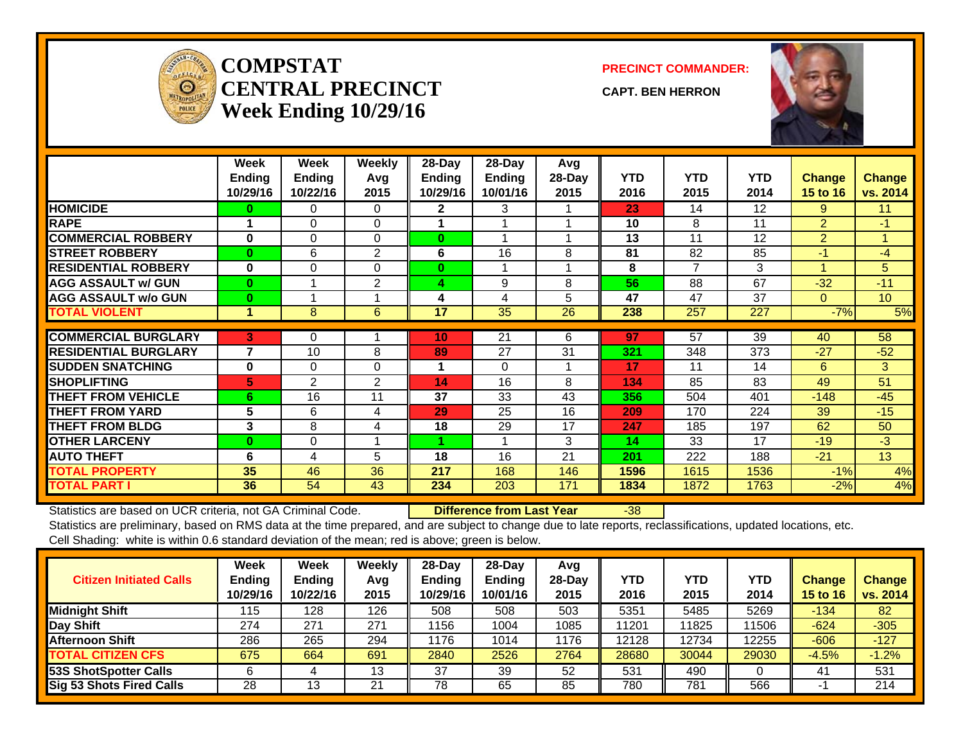

#### **COMPSTATCENTRAL PRECINCTWeek Ending 10/29/16**

**PRECINCT COMMANDER:**

**CAPT. BEN HERRON**



|                             | Week<br><b>Ending</b> | Week<br>Ending | Weekly<br>Avg | 28-Day<br><b>Ending</b> | 28-Day<br><b>Ending</b> | Avg<br>28-Day | <b>YTD</b> | <b>YTD</b>      | <b>YTD</b> | <b>Change</b>  | <b>Change</b>        |
|-----------------------------|-----------------------|----------------|---------------|-------------------------|-------------------------|---------------|------------|-----------------|------------|----------------|----------------------|
|                             | 10/29/16              | 10/22/16       | 2015          | 10/29/16                | 10/01/16                | 2015          | 2016       | 2015            | 2014       | 15 to 16       | vs. 2014             |
| <b>HOMICIDE</b>             | 0                     | 0              | 0             | $\mathbf{2}$            | 3                       |               | 23         | 14              | 12         | 9              | 11                   |
| <b>RAPE</b>                 |                       | $\Omega$       | $\Omega$      |                         |                         |               | 10         | 8               | 11         | $\overline{2}$ | $-1$                 |
| <b>COMMERCIAL ROBBERY</b>   | $\bf{0}$              | 0              | $\Omega$      | $\bf{0}$                |                         |               | 13         | 11              | 12         | $\overline{2}$ | $\blacktriangleleft$ |
| <b>STREET ROBBERY</b>       | $\bf{0}$              | 6              | 2             | 6                       | 16                      | 8             | 81         | 82              | 85         | $-1$           | $-4$                 |
| <b>RESIDENTIAL ROBBERY</b>  | $\bf{0}$              | $\Omega$       | $\Omega$      | $\bf{0}$                |                         |               | 8          | 7               | 3          | 4              | 5                    |
| <b>AGG ASSAULT w/ GUN</b>   | $\bf{0}$              |                | 2             | 4                       | 9                       | 8             | 56         | 88              | 67         | $-32$          | $-11$                |
| <b>AGG ASSAULT w/o GUN</b>  | $\bf{0}$              |                |               | 4                       | 4                       | 5             | 47         | 47              | 37         | 0              | 10 <sup>°</sup>      |
| <b>TOTAL VIOLENT</b>        | 1                     | 8              | 6             | 17                      | 35                      | 26            | 238        | 257             | 227        | $-7%$          | 5%                   |
| <b>COMMERCIAL BURGLARY</b>  |                       |                |               | 10                      |                         |               | 97         | $\overline{57}$ | 39         |                | 58                   |
|                             | 3                     | 0              |               |                         | 21                      | 6             |            |                 |            | 40             |                      |
| <b>RESIDENTIAL BURGLARY</b> | 7                     | 10             | 8             | 89                      | 27                      | 31            | 321        | 348             | 373        | $-27$          | $-52$                |
| <b>SUDDEN SNATCHING</b>     | $\bf{0}$              | $\Omega$       | $\Omega$      |                         | $\Omega$                |               | 17         | 11              | 14         | 6              | 3                    |
| <b>SHOPLIFTING</b>          | 5                     | 2              | 2             | 14                      | 16                      | 8             | 134        | 85              | 83         | 49             | 51                   |
| <b>THEFT FROM VEHICLE</b>   | 6                     | 16             | 11            | 37                      | 33                      | 43            | 356        | 504             | 401        | $-148$         | $-45$                |
| <b>THEFT FROM YARD</b>      | 5                     | 6              | 4             | 29                      | 25                      | 16            | 209        | 170             | 224        | 39             | $-15$                |
| <b>THEFT FROM BLDG</b>      | 3                     | 8              | 4             | 18                      | 29                      | 17            | 247        | 185             | 197        | 62             | 50                   |
| <b>OTHER LARCENY</b>        | $\bf{0}$              | $\Omega$       |               |                         |                         | 3             | 14         | 33              | 17         | $-19$          | $-3$                 |
| <b>AUTO THEFT</b>           | 6                     | 4              | 5             | 18                      | 16                      | 21            | 201        | 222             | 188        | $-21$          | 13                   |
| <b>TOTAL PROPERTY</b>       | 35                    | 46             | 36            | 217                     | 168                     | 146           | 1596       | 1615            | 1536       | $-1%$          | 4%                   |
| <b>TOTAL PART I</b>         | 36                    | 54             | 43            | 234                     | 203                     | 171           | 1834       | 1872            | 1763       | $-2%$          | 4%                   |

Statistics are based on UCR criteria, not GA Criminal Code. **Difference from Last Year** -38

| <b>Citizen Initiated Calls</b>  | Week<br><b>Ending</b><br>10/29/16 | <b>Week</b><br><b>Ending</b><br>10/22/16 | Weekly<br>Avg<br>2015 | $28$ -Day<br><b>Ending</b><br>10/29/16 | 28-Dav<br><b>Ending</b><br>10/01/16 | Avg<br>$28-Dav$<br>2015 | <b>YTD</b><br>2016 | <b>YTD</b><br>2015 | YTD<br>2014 | Change<br>15 to 16 | <b>Change</b><br>vs. 2014 |
|---------------------------------|-----------------------------------|------------------------------------------|-----------------------|----------------------------------------|-------------------------------------|-------------------------|--------------------|--------------------|-------------|--------------------|---------------------------|
| <b>Midnight Shift</b>           | 115                               | 128                                      | 126                   | 508                                    | 508                                 | 503                     | 5351               | 5485               | 5269        | $-134$             | 82                        |
| Day Shift                       | 274                               | 271                                      | 271                   | 1156                                   | 1004                                | 1085                    | 11201              | 11825              | 11506       | $-624$             | $-305$                    |
| <b>Afternoon Shift</b>          | 286                               | 265                                      | 294                   | 1176                                   | 1014                                | 1176                    | 12128              | 12734              | 12255       | $-606$             | $-127$                    |
| <b>TOTAL CITIZEN CFS</b>        | 675                               | 664                                      | 691                   | 2840                                   | 2526                                | 2764                    | 28680              | 30044              | 29030       | $-4.5%$            | $-1.2%$                   |
| <b>53S ShotSpotter Calls</b>    |                                   |                                          | 13                    | 37                                     | 39                                  | 52                      | 531                | 490                |             | 41                 | 531                       |
| <b>Sig 53 Shots Fired Calls</b> | 28                                | 13                                       | 21                    | 78                                     | 65                                  | 85                      | 780                | 781                | 566         |                    | 214                       |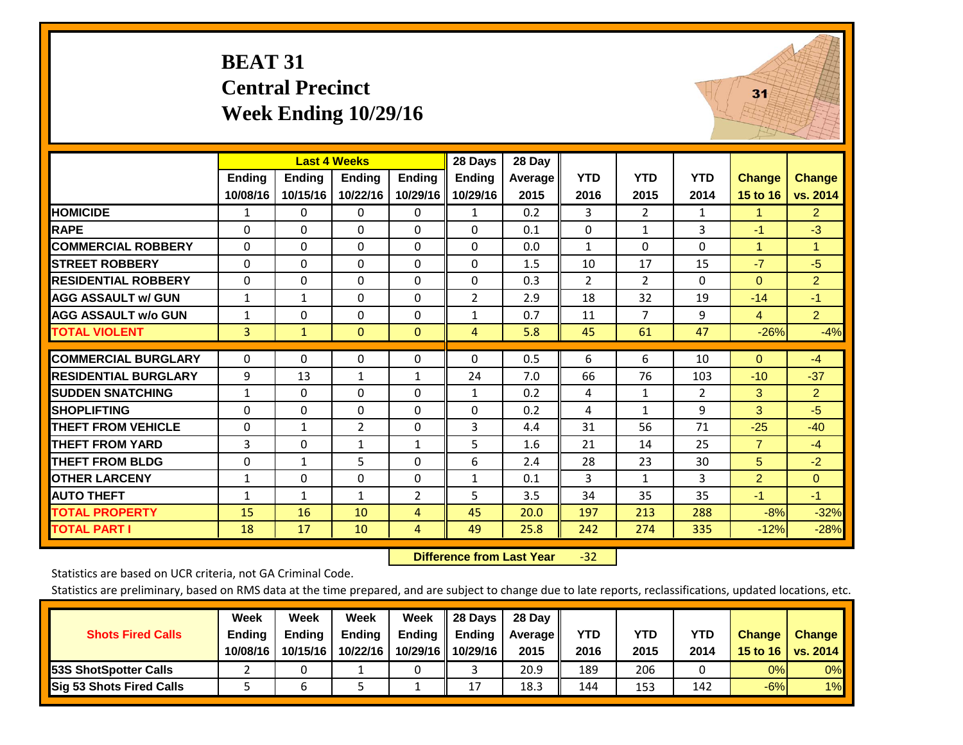#### **BEAT 31 Central Precinct Week Ending 10/29/16**



|                             |               |               | <b>Last 4 Weeks</b> |                | 28 Days        | 28 Day  |                |                |            |                |                      |
|-----------------------------|---------------|---------------|---------------------|----------------|----------------|---------|----------------|----------------|------------|----------------|----------------------|
|                             | <b>Ending</b> | <b>Ending</b> | <b>Ending</b>       | <b>Ending</b>  | <b>Ending</b>  | Average | <b>YTD</b>     | <b>YTD</b>     | <b>YTD</b> | <b>Change</b>  | <b>Change</b>        |
|                             | 10/08/16      | 10/15/16      | 10/22/16            | 10/29/16       | 10/29/16       | 2015    | 2016           | 2015           | 2014       | 15 to 16       | vs. 2014             |
| <b>HOMICIDE</b>             | 1             | 0             | $\Omega$            | $\Omega$       | 1              | 0.2     | 3              | $\overline{2}$ | 1          |                | 2 <sup>1</sup>       |
| <b>RAPE</b>                 | 0             | $\Omega$      | $\Omega$            | $\Omega$       | $\Omega$       | 0.1     | $\Omega$       | 1              | 3          | $-1$           | $-3$                 |
| <b>COMMERCIAL ROBBERY</b>   | $\Omega$      | $\Omega$      | $\Omega$            | $\mathbf{0}$   | $\Omega$       | 0.0     | $\mathbf{1}$   | $\Omega$       | $\Omega$   | 1              | $\blacktriangleleft$ |
| <b>STREET ROBBERY</b>       | $\Omega$      | $\Omega$      | $\Omega$            | $\Omega$       | $\Omega$       | 1.5     | 10             | 17             | 15         | $-7$           | $-5$                 |
| <b>RESIDENTIAL ROBBERY</b>  | $\Omega$      | $\Omega$      | $\Omega$            | $\Omega$       | $\Omega$       | 0.3     | $\overline{2}$ | 2              | $\Omega$   | $\Omega$       | $\overline{2}$       |
| <b>AGG ASSAULT w/ GUN</b>   | $\mathbf{1}$  | 1             | 0                   | $\mathbf{0}$   | $\overline{2}$ | 2.9     | 18             | 32             | 19         | $-14$          | $-1$                 |
| <b>AGG ASSAULT w/o GUN</b>  | $\mathbf{1}$  | 0             | $\Omega$            | $\mathbf{0}$   | $\mathbf{1}$   | 0.7     | 11             | $\overline{7}$ | 9          | $\overline{4}$ | 2 <sup>1</sup>       |
| <b>TOTAL VIOLENT</b>        | 3             | $\mathbf{1}$  | $\mathbf{0}$        | $\mathbf{0}$   | 4              | 5.8     | 45             | 61             | 47         | $-26%$         | $-4%$                |
|                             |               |               |                     |                |                |         |                |                |            |                |                      |
| <b>COMMERCIAL BURGLARY</b>  | $\Omega$      | $\Omega$      | 0                   | $\Omega$       | $\Omega$       | 0.5     | 6              | 6              | 10         | $\Omega$       | $-4$                 |
| <b>RESIDENTIAL BURGLARY</b> | 9             | 13            | $\mathbf{1}$        | $\mathbf{1}$   | 24             | 7.0     | 66             | 76             | 103        | $-10$          | $-37$                |
| <b>SUDDEN SNATCHING</b>     | $\mathbf{1}$  | 0             | 0                   | $\mathbf{0}$   | 1              | 0.2     | 4              | 1              | 2          | 3              | $\overline{2}$       |
| <b>SHOPLIFTING</b>          | $\Omega$      | 0             | 0                   | $\mathbf{0}$   | $\Omega$       | 0.2     | 4              | $\mathbf{1}$   | 9          | 3              | $-5$                 |
| <b>THEFT FROM VEHICLE</b>   | 0             | $\mathbf{1}$  | $\overline{2}$      | $\Omega$       | 3              | 4.4     | 31             | 56             | 71         | $-25$          | $-40$                |
| <b>THEFT FROM YARD</b>      | 3             | $\mathbf{0}$  | 1                   | 1              | 5              | 1.6     | 21             | 14             | 25         | $\overline{7}$ | $-4$                 |
| <b>THEFT FROM BLDG</b>      | $\Omega$      | $\mathbf{1}$  | 5                   | $\mathbf{0}$   | 6              | 2.4     | 28             | 23             | 30         | 5              | $-2$                 |
| <b>OTHER LARCENY</b>        | 1             | 0             | 0                   | $\mathbf{0}$   | $\mathbf{1}$   | 0.1     | 3              | $\mathbf{1}$   | 3          | $\overline{2}$ | $\Omega$             |
| <b>AUTO THEFT</b>           | $\mathbf{1}$  | 1             | $\mathbf{1}$        | $\overline{2}$ | 5              | 3.5     | 34             | 35             | 35         | $-1$           | $-1$                 |
| <b>TOTAL PROPERTY</b>       | 15            | 16            | 10                  | $\overline{4}$ | 45             | 20.0    | 197            | 213            | 288        | $-8%$          | $-32%$               |
| <b>TOTAL PART I</b>         | 18            | 17            | 10                  | 4              | 49             | 25.8    | 242            | 274            | 335        | $-12%$         | $-28%$               |

 **Difference from Last Year**‐32

Statistics are based on UCR criteria, not GA Criminal Code.

|                                 | Week          | Week          | <b>Week</b>   | Week   | 28 Days             | 28 Dav     |            |      |      |               |                                    |
|---------------------------------|---------------|---------------|---------------|--------|---------------------|------------|------------|------|------|---------------|------------------------------------|
| <b>Shots Fired Calls</b>        | <b>Ending</b> | <b>Endina</b> | <b>Ending</b> | Ending | <b>Ending</b>       | Average II | <b>YTD</b> | YTD  | YTD  | <b>Change</b> | <b>Change</b>                      |
|                                 | 10/08/16      | 10/15/16      | 10/22/16      |        | 10/29/16   10/29/16 | 2015       | 2016       | 2015 | 2014 |               | 15 to 16   vs. 2014 $\blacksquare$ |
| <b>153S ShotSpotter Calls</b>   |               |               |               |        |                     | 20.9       | 189        | 206  |      | 0%            | 0%                                 |
| <b>Sig 53 Shots Fired Calls</b> |               |               |               |        | 17<br>∸             | 18.3       | 144        | 153  | 142  | $-6%$         | 1%                                 |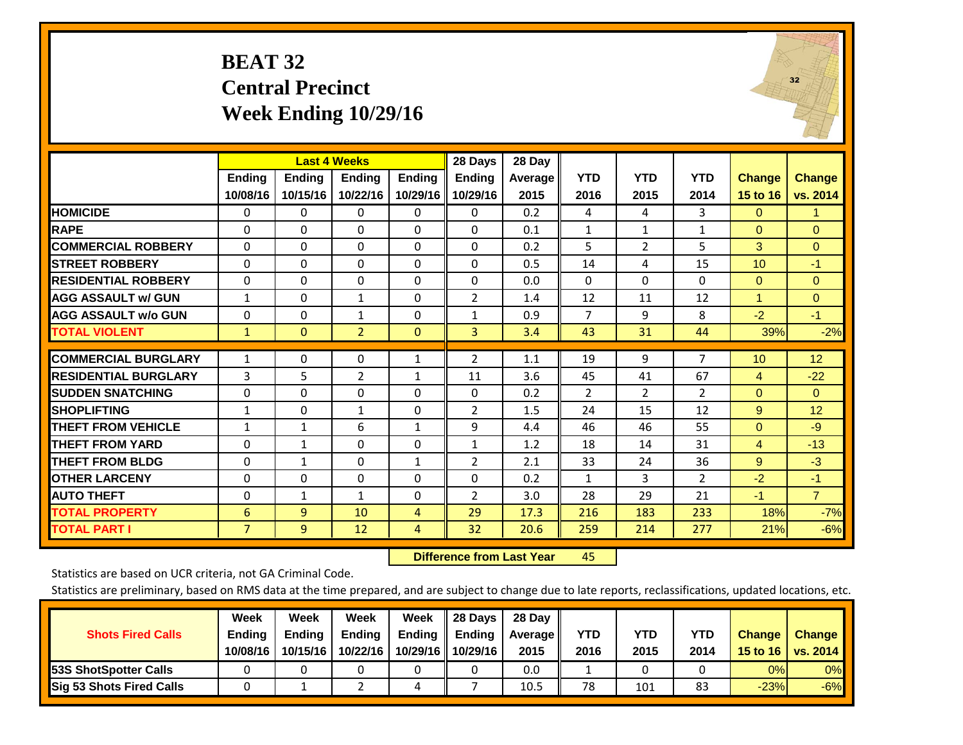#### **BEAT 32 Central Precinct Week Ending 10/29/16**



|                             |                | <b>Last 4 Weeks</b> |                |               | 28 Days        | 28 Day  |                |                |                |                      |                |
|-----------------------------|----------------|---------------------|----------------|---------------|----------------|---------|----------------|----------------|----------------|----------------------|----------------|
|                             | <b>Ending</b>  | <b>Endina</b>       | <b>Endina</b>  | <b>Endina</b> | <b>Endina</b>  | Average | <b>YTD</b>     | <b>YTD</b>     | <b>YTD</b>     | <b>Change</b>        | <b>Change</b>  |
|                             | 10/08/16       | 10/15/16            | 10/22/16       | 10/29/16      | 10/29/16       | 2015    | 2016           | 2015           | 2014           | <b>15 to 16</b>      | vs. 2014       |
| <b>HOMICIDE</b>             | $\mathbf{0}$   | 0                   | 0              | 0             | $\Omega$       | 0.2     | 4              | 4              | 3              | $\Omega$             | 1.             |
| <b>RAPE</b>                 | 0              | 0                   | $\Omega$       | 0             | $\Omega$       | 0.1     | $\mathbf{1}$   | $\mathbf{1}$   | 1              | $\Omega$             | $\mathbf{0}$   |
| <b>COMMERCIAL ROBBERY</b>   | $\Omega$       | $\Omega$            | $\Omega$       | $\Omega$      | $\Omega$       | 0.2     | 5              | $\overline{2}$ | 5              | 3                    | $\Omega$       |
| <b>STREET ROBBERY</b>       | 0              | 0                   | 0              | $\Omega$      | 0              | 0.5     | 14             | 4              | 15             | 10 <sup>°</sup>      | $-1$           |
| <b>RESIDENTIAL ROBBERY</b>  | 0              | 0                   | $\Omega$       | $\Omega$      | 0              | 0.0     | $\Omega$       | $\Omega$       | 0              | $\Omega$             | $\mathbf{0}$   |
| <b>AGG ASSAULT w/ GUN</b>   | 1              | 0                   | $\mathbf{1}$   | $\Omega$      | $\overline{2}$ | 1.4     | 12             | 11             | 12             | $\blacktriangleleft$ | $\mathbf{0}$   |
| <b>AGG ASSAULT w/o GUN</b>  | $\mathbf 0$    | 0                   | $\mathbf{1}$   | $\Omega$      | $\mathbf{1}$   | 0.9     | $\overline{7}$ | 9              | 8              | $-2$                 | $-1$           |
| <b>TOTAL VIOLENT</b>        | $\mathbf{1}$   | $\Omega$            | $\overline{2}$ | $\mathbf{0}$  | 3              | 3.4     | 43             | 31             | 44             | 39%                  | $-2%$          |
|                             |                |                     |                |               |                |         |                |                |                |                      |                |
| <b>COMMERCIAL BURGLARY</b>  | 1              | 0                   | 0              | 1             | $\overline{2}$ | 1.1     | 19             | 9              | 7              | 10                   | 12             |
| <b>RESIDENTIAL BURGLARY</b> | 3              | 5                   | $\overline{2}$ | 1             | 11             | 3.6     | 45             | 41             | 67             | 4                    | $-22$          |
| <b>SUDDEN SNATCHING</b>     | 0              | $\Omega$            | $\Omega$       | $\Omega$      | $\Omega$       | 0.2     | $\overline{2}$ | $\overline{2}$ | $\overline{2}$ | $\Omega$             | $\Omega$       |
| <b>SHOPLIFTING</b>          | 1              | 0                   | 1              | 0             | 2              | 1.5     | 24             | 15             | 12             | 9                    | 12             |
| <b>THEFT FROM VEHICLE</b>   | $\mathbf{1}$   | $\mathbf{1}$        | 6              | $\mathbf{1}$  | 9              | 4.4     | 46             | 46             | 55             | $\Omega$             | $-9$           |
| <b>THEFT FROM YARD</b>      | $\Omega$       | 1                   | $\Omega$       | $\Omega$      | $\mathbf{1}$   | 1.2     | 18             | 14             | 31             | 4                    | $-13$          |
| <b>THEFT FROM BLDG</b>      | 0              | 1                   | 0              | 1             | $\overline{2}$ | 2.1     | 33             | 24             | 36             | 9                    | $-3$           |
| <b>OTHER LARCENY</b>        | $\Omega$       | $\Omega$            | $\Omega$       | $\Omega$      | $\Omega$       | 0.2     | $\mathbf{1}$   | 3              | $\overline{2}$ | $-2$                 | $-1$           |
| <b>AUTO THEFT</b>           | 0              | $\mathbf{1}$        | $\mathbf{1}$   | $\Omega$      | $\overline{2}$ | 3.0     | 28             | 29             | 21             | $-1$                 | $\overline{7}$ |
| <b>TOTAL PROPERTY</b>       | 6              | 9                   | 10             | 4             | 29             | 17.3    | 216            | 183            | 233            | 18%                  | $-7%$          |
| <b>TOTAL PART I</b>         | $\overline{7}$ | 9                   | 12             | 4             | 32             | 20.6    | 259            | 214            | 277            | 21%                  | $-6%$          |

 **Difference from Last Yearr** 45

Statistics are based on UCR criteria, not GA Criminal Code.

|                                 | Week          | Week          | Week          | Week   | 28 Days             | 28 Dav     |            |      |      |               |                     |
|---------------------------------|---------------|---------------|---------------|--------|---------------------|------------|------------|------|------|---------------|---------------------|
| <b>Shots Fired Calls</b>        | <b>Ending</b> | <b>Endina</b> | <b>Ending</b> | Ending | <b>Ending</b>       | Average II | <b>YTD</b> | YTD  | YTD  | <b>Change</b> | <b>Change</b>       |
|                                 | 10/08/16      | 10/15/16      | 10/22/16      |        | 10/29/16   10/29/16 | 2015       | 2016       | 2015 | 2014 |               | 15 to 16   vs. 2014 |
| <b>153S ShotSpotter Calls</b>   |               |               |               |        |                     | 0.0        |            |      |      | 0%            | 0%                  |
| <b>Sig 53 Shots Fired Calls</b> |               |               |               | 4      |                     | 10.5       | 78         | 101  | 83   | $-23%$        | $-6%$               |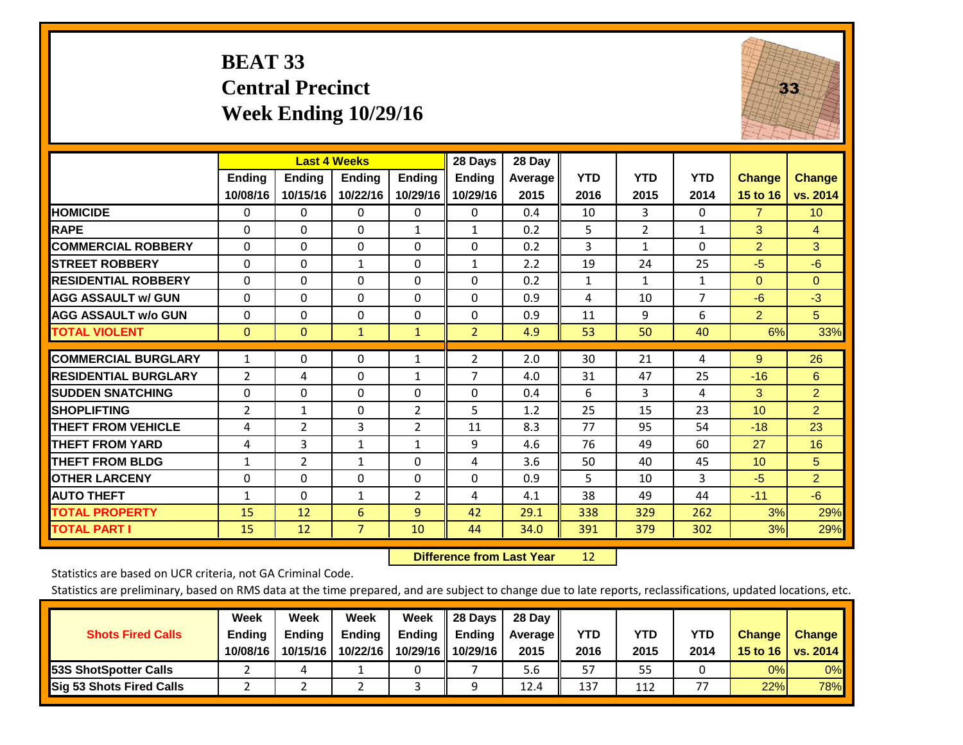### **BEAT 33 Central Precinct Week Ending 10/29/16**



|                             |                           | <b>Last 4 Weeks</b>       |                           |                           | 28 Days                   | 28 Day             |                    |                    |                    |                           |                           |
|-----------------------------|---------------------------|---------------------------|---------------------------|---------------------------|---------------------------|--------------------|--------------------|--------------------|--------------------|---------------------------|---------------------------|
|                             | <b>Ending</b><br>10/08/16 | <b>Endina</b><br>10/15/16 | <b>Endina</b><br>10/22/16 | <b>Endina</b><br>10/29/16 | <b>Ending</b><br>10/29/16 | Average   <br>2015 | <b>YTD</b><br>2016 | <b>YTD</b><br>2015 | <b>YTD</b><br>2014 | <b>Change</b><br>15 to 16 | <b>Change</b><br>vs. 2014 |
| <b>HOMICIDE</b>             | 0                         | $\mathbf{0}$              | $\Omega$                  | $\Omega$                  | 0                         | 0.4                | 10                 | 3                  | 0                  | $\overline{7}$            | 10 <sup>°</sup>           |
| <b>RAPE</b>                 | 0                         | 0                         | $\Omega$                  | 1                         | $\mathbf{1}$              | 0.2                | 5                  | $\overline{2}$     | $\mathbf{1}$       | 3                         | $\overline{4}$            |
| <b>COMMERCIAL ROBBERY</b>   | $\Omega$                  | 0                         | $\Omega$                  | $\Omega$                  | $\Omega$                  | 0.2                | 3                  | $\mathbf{1}$       | 0                  | $\overline{2}$            | 3                         |
| <b>STREET ROBBERY</b>       | $\Omega$                  | 0                         | $\mathbf{1}$              | $\Omega$                  | $\mathbf{1}$              | 2.2                | 19                 | 24                 | 25                 | $-5$                      | $-6$                      |
| <b>RESIDENTIAL ROBBERY</b>  | $\Omega$                  | $\Omega$                  | $\Omega$                  | 0                         | $\Omega$                  | 0.2                | $\mathbf{1}$       | $\mathbf{1}$       | $\mathbf{1}$       | $\mathbf{0}$              | $\Omega$                  |
| <b>AGG ASSAULT w/ GUN</b>   | $\Omega$                  | 0                         | $\Omega$                  | $\mathbf{0}$              | $\Omega$                  | 0.9                | 4                  | 10                 | $\overline{7}$     | -6                        | $-3$                      |
| <b>AGG ASSAULT w/o GUN</b>  | 0                         | 0                         | $\Omega$                  | 0                         | $\Omega$                  | 0.9                | 11                 | 9                  | 6                  | $\overline{2}$            | 5 <sup>5</sup>            |
| <b>TOTAL VIOLENT</b>        | $\mathbf{0}$              | $\mathbf{0}$              | $\mathbf{1}$              | $\mathbf{1}$              | $\overline{2}$            | 4.9                | 53                 | 50                 | 40                 | 6%                        | 33%                       |
| <b>COMMERCIAL BURGLARY</b>  | $\mathbf{1}$              | 0                         | $\mathbf{0}$              | 1                         | 2                         | 2.0                | 30                 | 21                 | 4                  | 9                         | 26                        |
| <b>RESIDENTIAL BURGLARY</b> | 2                         | 4                         | 0                         | 1                         | $\overline{ }$            | 4.0                | 31                 | 47                 | 25                 | $-16$                     | 6                         |
| <b>SUDDEN SNATCHING</b>     | 0                         | 0                         | $\mathbf{0}$              | $\mathbf{0}$              | 0                         | 0.4                | 6                  | 3                  | 4                  | 3                         | $\overline{2}$            |
| <b>SHOPLIFTING</b>          | 2                         | $\mathbf{1}$              | $\Omega$                  | 2                         | 5                         | 1.2                | 25                 | 15                 | 23                 | 10 <sup>1</sup>           | $\overline{2}$            |
| <b>THEFT FROM VEHICLE</b>   | 4                         | 2                         | 3                         | 2                         | 11                        | 8.3                | 77                 | 95                 | 54                 | $-18$                     | 23                        |
| <b>THEFT FROM YARD</b>      | 4                         | 3                         | $\mathbf{1}$              | 1                         | 9                         | 4.6                | 76                 | 49                 | 60                 | 27                        | 16                        |
| <b>THEFT FROM BLDG</b>      | 1                         | 2                         | $\mathbf{1}$              | $\mathbf{0}$              | 4                         | 3.6                | 50                 | 40                 | 45                 | 10                        | 5                         |
| <b>OTHER LARCENY</b>        | $\Omega$                  | 0                         | $\Omega$                  | $\Omega$                  | $\Omega$                  | 0.9                | 5                  | 10                 | 3                  | $-5$                      | $\overline{2}$            |
| <b>AUTO THEFT</b>           | 1                         | $\Omega$                  | 1                         | 2                         | 4                         | 4.1                | 38                 | 49                 | 44                 | $-11$                     | $-6$                      |
| <b>TOTAL PROPERTY</b>       | 15                        | 12                        | 6                         | 9                         | 42                        | 29.1               | 338                | 329                | 262                | 3%                        | 29%                       |
| <b>TOTAL PART I</b>         | 15                        | 12                        | 7                         | 10                        | 44                        | 34.0               | 391                | 379                | 302                | 3%                        | 29%                       |

 **Difference from Last Year**r 12

Statistics are based on UCR criteria, not GA Criminal Code.

|                                 | Week          | Week          | Week          | Week | II 28 Davs                | 28 Day         |      |            |      |               |               |
|---------------------------------|---------------|---------------|---------------|------|---------------------------|----------------|------|------------|------|---------------|---------------|
| <b>Shots Fired Calls</b>        | <b>Ending</b> | <b>Endina</b> | <b>Ending</b> |      | Ending $\parallel$ Ending | <b>Average</b> | YTD  | <b>YTD</b> | YTD  | <b>Change</b> | <b>Change</b> |
|                                 | 10/08/16      | 10/15/16      | 10/22/16      |      | 10/29/16 10/29/16         | 2015           | 2016 | 2015       | 2014 | 15 to 16      | vs. 2014      |
| <b>153S ShotSpotter Calls</b>   |               |               |               |      |                           | 5.6            | 57   | 55         |      | 0%            | $0\%$         |
| <b>Sig 53 Shots Fired Calls</b> |               |               |               |      |                           | 12.4           | 137  | 112        |      | 22%           | 78%           |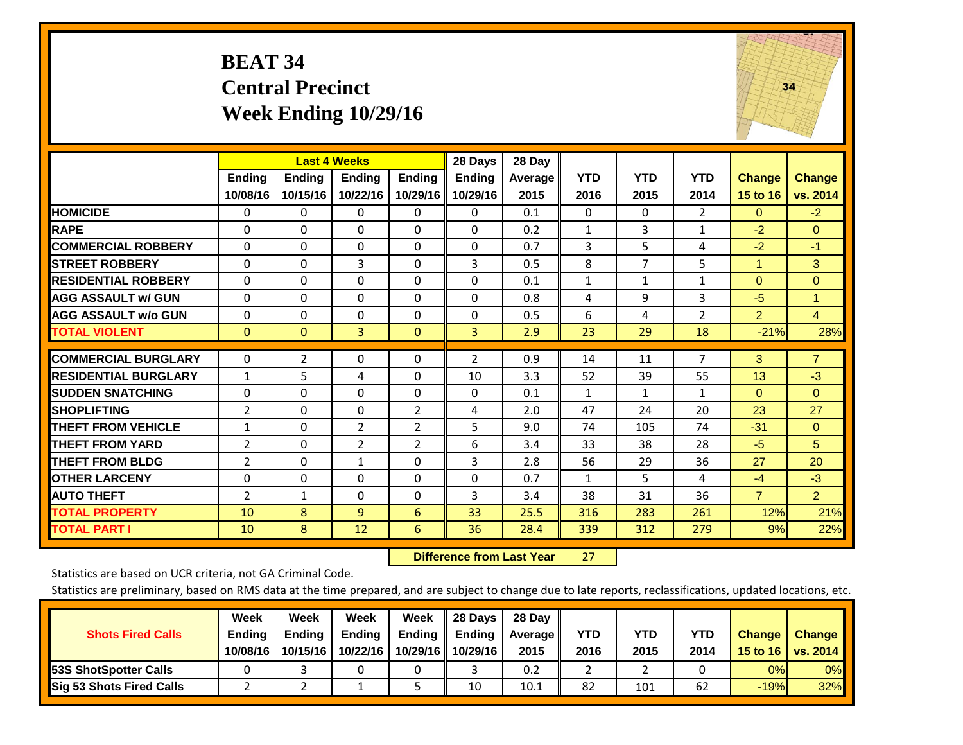#### **BEAT 34 Central Precinct Week Ending 10/29/16**



|                             |                    | <b>Last 4 Weeks</b>       |                           |                           | 28 Days                   | 28 Day          |                    |                    |                    |                           |                           |
|-----------------------------|--------------------|---------------------------|---------------------------|---------------------------|---------------------------|-----------------|--------------------|--------------------|--------------------|---------------------------|---------------------------|
|                             | Ending<br>10/08/16 | <b>Ending</b><br>10/15/16 | <b>Endina</b><br>10/22/16 | <b>Ending</b><br>10/29/16 | <b>Ending</b><br>10/29/16 | Average<br>2015 | <b>YTD</b><br>2016 | <b>YTD</b><br>2015 | <b>YTD</b><br>2014 | <b>Change</b><br>15 to 16 | <b>Change</b><br>vs. 2014 |
| <b>HOMICIDE</b>             | 0                  | 0                         | $\Omega$                  | 0                         | $\Omega$                  | 0.1             | 0                  | $\Omega$           | $\overline{2}$     | 0                         | $-2$                      |
| <b>RAPE</b>                 | 0                  | 0                         | $\Omega$                  | $\Omega$                  | 0                         | 0.2             | 1                  | 3                  | 1                  | $-2$                      | $\Omega$                  |
| <b>COMMERCIAL ROBBERY</b>   | $\Omega$           | $\Omega$                  | $\mathbf{0}$              | $\Omega$                  | $\Omega$                  | 0.7             | 3                  | 5                  | 4                  | $-2$                      | $-1$                      |
| <b>STREET ROBBERY</b>       | $\Omega$           | $\Omega$                  | 3                         | 0                         | 3                         | 0.5             | 8                  | $\overline{7}$     | 5                  | 1                         | 3                         |
| <b>RESIDENTIAL ROBBERY</b>  | $\Omega$           | $\Omega$                  | $\mathbf{0}$              | $\Omega$                  | $\Omega$                  | 0.1             | $\mathbf{1}$       | $\mathbf{1}$       | 1                  | $\Omega$                  | $\Omega$                  |
| <b>AGG ASSAULT w/ GUN</b>   | $\Omega$           | $\Omega$                  | $\mathbf{0}$              | $\Omega$                  | 0                         | 0.8             | 4                  | 9                  | 3                  | $-5$                      | 1                         |
| <b>AGG ASSAULT w/o GUN</b>  | $\Omega$           | $\Omega$                  | $\Omega$                  | $\Omega$                  | 0                         | 0.5             | 6                  | 4                  | $\overline{2}$     | $\overline{2}$            | 4                         |
| <b>TOTAL VIOLENT</b>        | $\mathbf{0}$       | 0                         | $\overline{3}$            | $\mathbf{0}$              | 3                         | 2.9             | 23                 | 29                 | 18                 | $-21%$                    | 28%                       |
| <b>COMMERCIAL BURGLARY</b>  | $\Omega$           | $\overline{2}$            | $\mathbf{0}$              | 0                         | 2                         | 0.9             | 14                 | 11                 | 7                  | 3                         | $\overline{7}$            |
| <b>RESIDENTIAL BURGLARY</b> | $\mathbf{1}$       | 5                         | 4                         | $\Omega$                  | 10                        | 3.3             | 52                 | 39                 | 55                 | 13                        | $-3$                      |
| <b>SUDDEN SNATCHING</b>     | $\Omega$           | 0                         | $\Omega$                  | $\mathbf{0}$              | 0                         | 0.1             | $\mathbf{1}$       | 1                  | 1                  | $\Omega$                  | $\Omega$                  |
| <b>SHOPLIFTING</b>          | 2                  | $\Omega$                  | $\Omega$                  | $\overline{2}$            | 4                         | 2.0             | 47                 | 24                 | 20                 | 23                        | 27                        |
| <b>THEFT FROM VEHICLE</b>   | $\mathbf{1}$       | $\Omega$                  | $\overline{2}$            | $\overline{2}$            | 5                         | 9.0             | 74                 | 105                | 74                 | $-31$                     | $\Omega$                  |
| <b>THEFT FROM YARD</b>      | 2                  | $\Omega$                  | $\overline{2}$            | $\overline{2}$            | 6                         | 3.4             | 33                 | 38                 | 28                 | $-5$                      | 5                         |
| <b>THEFT FROM BLDG</b>      | $\overline{2}$     | $\Omega$                  | $\mathbf{1}$              | $\Omega$                  | 3                         | 2.8             | 56                 | 29                 | 36                 | 27                        | 20                        |
| <b>OTHER LARCENY</b>        | $\Omega$           | 0                         | $\Omega$                  | $\Omega$                  | $\Omega$                  | 0.7             | $\mathbf{1}$       | 5.                 | 4                  | $-4$                      | $-3$                      |
| <b>AUTO THEFT</b>           | 2                  | $\mathbf{1}$              | $\Omega$                  | $\Omega$                  | 3                         | 3.4             | 38                 | 31                 | 36                 | $\overline{7}$            | $\overline{2}$            |
| <b>TOTAL PROPERTY</b>       | 10                 | 8                         | 9                         | 6                         | 33                        | 25.5            | 316                | 283                | 261                | 12%                       | 21%                       |
| <b>TOTAL PART I</b>         | 10                 | 8                         | 12                        | 6                         | 36                        | 28.4            | 339                | 312                | 279                | 9%                        | 22%                       |

 **Difference from Last Year**r 27

Statistics are based on UCR criteria, not GA Criminal Code.

| <b>Shots Fired Calls</b>        | Week<br><b>Ending</b><br>10/08/16 | Week<br><b>Endina</b><br>10/15/16 | Week<br>Ending<br>10/22/16 | Week<br>Ending<br>10/29/16 | 28 Days<br><b>Ending</b><br>10/29/16 | 28 Day<br>Average II<br>2015 | YTD<br>2016 | YTD<br>2015 | <b>YTD</b><br>2014 | <b>Change</b><br>15 to 16 | <b>Change</b><br>vs. 2014 |
|---------------------------------|-----------------------------------|-----------------------------------|----------------------------|----------------------------|--------------------------------------|------------------------------|-------------|-------------|--------------------|---------------------------|---------------------------|
| <b>153S ShotSpotter Calls</b>   |                                   |                                   |                            |                            |                                      | 0.2                          |             |             |                    | 0%                        | 0%                        |
| <b>Sig 53 Shots Fired Calls</b> |                                   |                                   |                            |                            | 10                                   | 10.1                         | 82          | 101         | 62                 | $-19%$                    | 32%                       |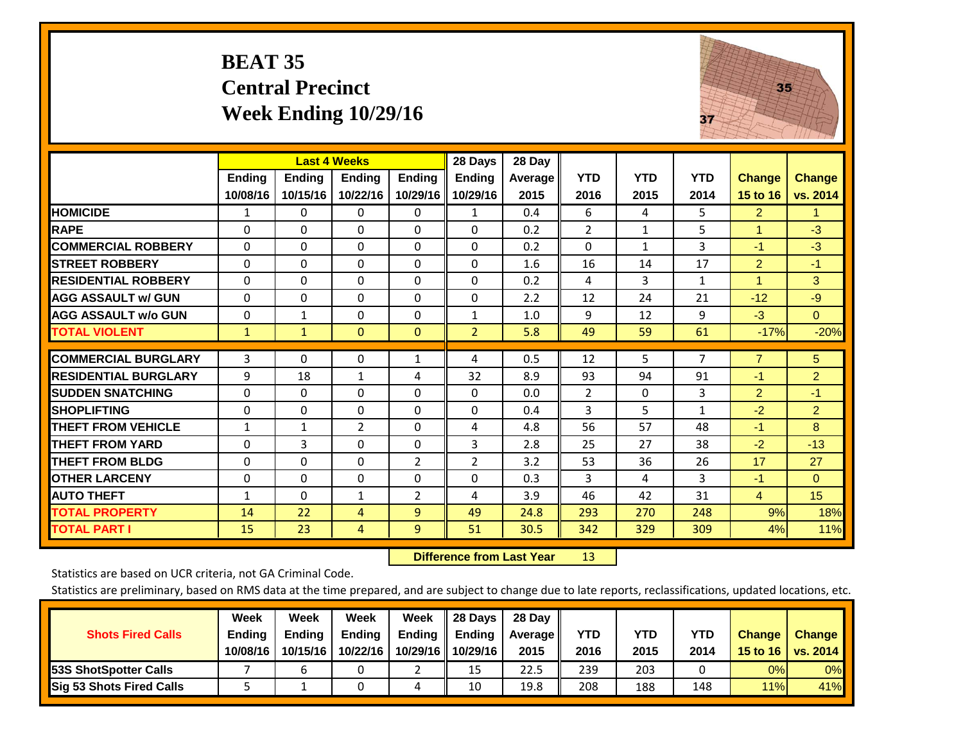#### **BEAT 35 Central Precinct Week Ending 10/29/16**



|                             |               | <b>Last 4 Weeks</b> |                |                | 28 Days        | 28 Day  |                |                |                |                      |                |
|-----------------------------|---------------|---------------------|----------------|----------------|----------------|---------|----------------|----------------|----------------|----------------------|----------------|
|                             | <b>Ending</b> | <b>Ending</b>       | <b>Ending</b>  | <b>Ending</b>  | Ending         | Average | <b>YTD</b>     | <b>YTD</b>     | <b>YTD</b>     | <b>Change</b>        | <b>Change</b>  |
|                             | 10/08/16      | 10/15/16            | 10/22/16       | 10/29/16       | 10/29/16       | 2015    | 2016           | 2015           | 2014           | 15 to 16             | vs. 2014       |
| <b>HOMICIDE</b>             | 1             | 0                   | $\Omega$       | $\Omega$       | $\mathbf{1}$   | 0.4     | 6              | $\overline{4}$ | 5.             | $\overline{2}$       | 1.             |
| <b>RAPE</b>                 | 0             | 0                   | $\Omega$       | $\Omega$       | $\Omega$       | 0.2     | $\overline{2}$ | $\mathbf{1}$   | 5              | 1                    | $-3$           |
| <b>COMMERCIAL ROBBERY</b>   | $\Omega$      | $\Omega$            | $\Omega$       | $\Omega$       | $\Omega$       | 0.2     | $\Omega$       | $\mathbf{1}$   | 3              | $-1$                 | $-3$           |
| <b>STREET ROBBERY</b>       | $\Omega$      | $\Omega$            | $\Omega$       | $\Omega$       | $\Omega$       | 1.6     | 16             | 14             | 17             | $\overline{2}$       | $-1$           |
| <b>RESIDENTIAL ROBBERY</b>  | $\Omega$      | 0                   | $\Omega$       | $\Omega$       | $\Omega$       | 0.2     | 4              | 3              | $\mathbf{1}$   | $\blacktriangleleft$ | 3              |
| <b>AGG ASSAULT w/ GUN</b>   | $\Omega$      | $\Omega$            | $\Omega$       | $\Omega$       | $\Omega$       | 2.2     | 12             | 24             | 21             | $-12$                | $-9$           |
| <b>AGG ASSAULT w/o GUN</b>  | $\Omega$      | $\mathbf{1}$        | $\mathbf{0}$   | 0              | $\mathbf{1}$   | 1.0     | 9              | 12             | 9              | $-3$                 | $\Omega$       |
| <b>TOTAL VIOLENT</b>        | $\mathbf{1}$  | $\mathbf{1}$        | $\mathbf{0}$   | $\mathbf{0}$   | $\overline{2}$ | 5.8     | 49             | 59             | 61             | $-17%$               | $-20%$         |
| <b>COMMERCIAL BURGLARY</b>  | 3             | 0                   | 0              | 1              | 4              | 0.5     | 12             | 5              | $\overline{7}$ | $\overline{7}$       | 5 <sup>5</sup> |
| <b>RESIDENTIAL BURGLARY</b> |               | 18                  | $\mathbf{1}$   |                |                |         |                | 94             | 91             | $-1$                 | $\overline{2}$ |
|                             | 9             |                     |                | 4              | 32             | 8.9     | 93             |                |                |                      |                |
| <b>SUDDEN SNATCHING</b>     | 0             | 0                   | $\Omega$       | $\mathbf{0}$   | $\Omega$       | 0.0     | $\overline{2}$ | $\Omega$       | 3              | $\overline{2}$       | $-1$           |
| <b>SHOPLIFTING</b>          | 0             | $\Omega$            | $\Omega$       | $\Omega$       | $\Omega$       | 0.4     | 3              | 5              | $\mathbf{1}$   | $-2$                 | $\overline{2}$ |
| <b>THEFT FROM VEHICLE</b>   | $\mathbf{1}$  | $\mathbf{1}$        | $\overline{2}$ | $\Omega$       | 4              | 4.8     | 56             | 57             | 48             | $-1$                 | 8              |
| <b>THEFT FROM YARD</b>      | $\Omega$      | 3                   | $\mathbf{0}$   | $\Omega$       | 3              | 2.8     | 25             | 27             | 38             | $-2$                 | $-13$          |
| <b>THEFT FROM BLDG</b>      | $\Omega$      | $\Omega$            | $\Omega$       | $\overline{2}$ | 2              | 3.2     | 53             | 36             | 26             | 17                   | 27             |
| <b>OTHER LARCENY</b>        | $\Omega$      | $\Omega$            | $\Omega$       | $\Omega$       | $\Omega$       | 0.3     | 3              | 4              | 3              | $-1$                 | $\Omega$       |
| <b>AUTO THEFT</b>           | $\mathbf{1}$  | $\Omega$            | 1              | $\overline{2}$ | 4              | 3.9     | 46             | 42             | 31             | $\overline{4}$       | 15             |
| <b>TOTAL PROPERTY</b>       | 14            | 22                  | 4              | 9              | 49             | 24.8    | 293            | 270            | 248            | 9%                   | 18%            |
| <b>TOTAL PART I</b>         | 15            | 23                  | 4              | 9              | 51             | 30.5    | 342            | 329            | 309            | 4%                   | 11%            |

 **Difference from Last Year**r 13

Statistics are based on UCR criteria, not GA Criminal Code.

|                                 | Week          | Week          | Week     | Week     | 28 Days       | 28 Day     |      |      |            |               |                 |
|---------------------------------|---------------|---------------|----------|----------|---------------|------------|------|------|------------|---------------|-----------------|
| <b>Shots Fired Calls</b>        | <b>Ending</b> | <b>Endina</b> | Ending   | Ending   | <b>Ending</b> | Average II | YTD  | YTD  | <b>YTD</b> | <b>Change</b> | <b>Change</b>   |
|                                 | 10/08/16      | 10/15/16      | 10/22/16 | 10/29/16 | 10/29/16      | 2015       | 2016 | 2015 | 2014       | 15 to 16      | <b>VS. 2014</b> |
| <b>153S ShotSpotter Calls</b>   |               |               |          |          | 15            | 22.5       | 239  | 203  |            | 0%            | 0%              |
| <b>Sig 53 Shots Fired Calls</b> |               |               |          | ப        | 10            | 19.8       | 208  | 188  | 148        | 11%           | 41%             |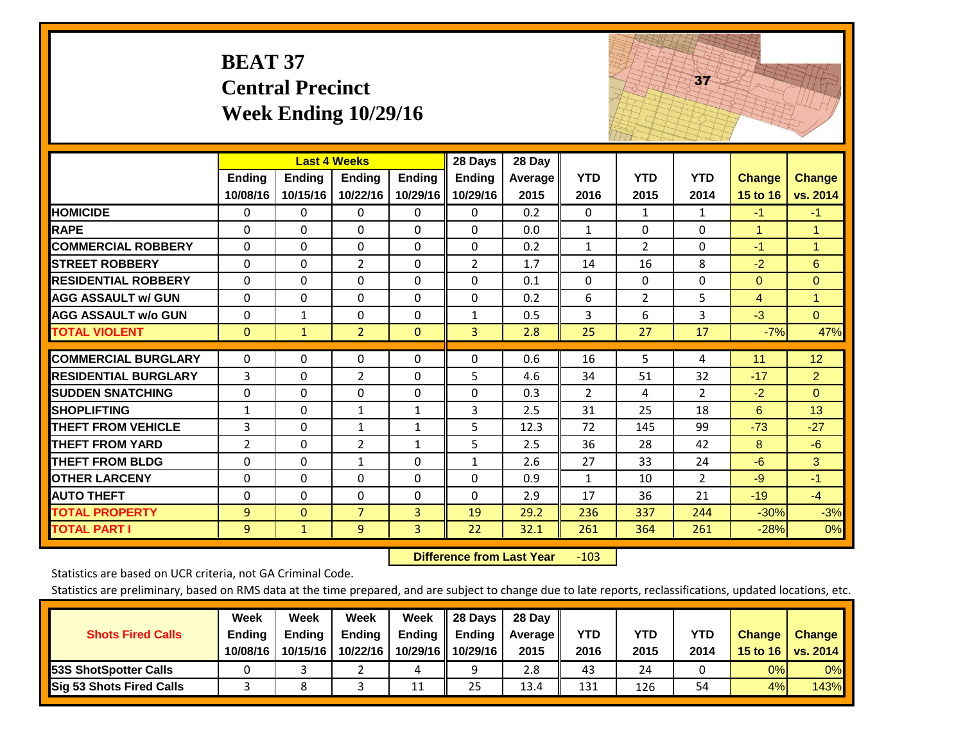|                             | <b>BEAT 37</b>     | <b>Central Precinct</b>   | Week Ending 10/29/16                      |                           |                                      |                           |                    |                    | 37                 |                           |                           |
|-----------------------------|--------------------|---------------------------|-------------------------------------------|---------------------------|--------------------------------------|---------------------------|--------------------|--------------------|--------------------|---------------------------|---------------------------|
|                             | Ending<br>10/08/16 | <b>Ending</b><br>10/15/16 | <b>Last 4 Weeks</b><br>Ending<br>10/22/16 | <b>Ending</b><br>10/29/16 | 28 Days<br><b>Ending</b><br>10/29/16 | 28 Day<br>Average<br>2015 | <b>YTD</b><br>2016 | <b>YTD</b><br>2015 | <b>YTD</b><br>2014 | <b>Change</b><br>15 to 16 | <b>Change</b><br>vs. 2014 |
| <b>HOMICIDE</b>             | $\Omega$           | $\Omega$                  | $\Omega$                                  | $\mathbf{0}$              | $\Omega$                             | 0.2                       | $\Omega$           | $\mathbf{1}$       | $\mathbf{1}$       | $-1$                      | $-1$                      |
| <b>RAPE</b>                 | $\Omega$           | 0                         | $\overline{0}$                            | $\Omega$                  | $\Omega$                             | 0.0                       | $\mathbf{1}$       | $\Omega$           | $\mathbf 0$        | $\mathbf{1}$              | $\mathbf{1}$              |
| <b>COMMERCIAL ROBBERY</b>   | $\Omega$           | $\Omega$                  | $\Omega$                                  | 0                         | $\Omega$                             | 0.2                       | $\mathbf{1}$       | $\overline{2}$     | $\Omega$           | $-1$                      | 1                         |
| <b>STREET ROBBERY</b>       | $\Omega$           | $\Omega$                  | $\overline{2}$                            | $\Omega$                  | $\overline{2}$                       | 1.7                       | 14                 | 16                 | 8                  | $-2$                      | $6\phantom{a}$            |
| <b>RESIDENTIAL ROBBERY</b>  | $\Omega$           | $\Omega$                  | $\Omega$                                  | $\Omega$                  | $\Omega$                             | 0.1                       | $\mathbf{0}$       | $\Omega$           | $\Omega$           | $\mathbf{0}$              | $\Omega$                  |
| <b>AGG ASSAULT w/ GUN</b>   | $\mathbf 0$        | 0                         | $\overline{0}$                            | $\Omega$                  | $\mathbf 0$                          | 0.2                       | 6                  | $\overline{2}$     | 5                  | $\overline{4}$            | $\mathbf{1}$              |
| <b>AGG ASSAULT w/o GUN</b>  | $\Omega$           | $\mathbf{1}$              | $\Omega$                                  | $\Omega$                  | $\mathbf{1}$                         | 0.5                       | 3                  | 6                  | $\overline{3}$     | $-3$                      | $\overline{0}$            |
| <b>TOTAL VIOLENT</b>        | $\overline{0}$     | $\mathbf{1}$              | $\overline{2}$                            | $\mathbf{0}$              | $\overline{3}$                       | 2.8                       | 25                 | 27                 | 17                 | $-7%$                     | 47%                       |
| <b>COMMERCIAL BURGLARY</b>  | 0                  | 0                         | $\mathbf 0$                               | 0                         | 0                                    | 0.6                       | 16                 | 5.                 | 4                  | 11                        | 12                        |
| <b>RESIDENTIAL BURGLARY</b> | 3                  | $\Omega$                  | $\overline{2}$                            | $\Omega$                  | 5                                    | 4.6                       | 34                 | 51                 | 32                 | $-17$                     | $\overline{2}$            |
| <b>SUDDEN SNATCHING</b>     | 0                  | 0                         | 0                                         | 0                         | 0                                    | 0.3                       | $\overline{2}$     | 4                  | $\overline{2}$     | $-2$                      | $\overline{0}$            |
| <b>SHOPLIFTING</b>          | $\mathbf{1}$       | $\Omega$                  | $\mathbf{1}$                              | $\mathbf{1}$              | 3                                    | 2.5                       | 31                 | 25                 | 18                 | 6                         | 13                        |
| <b>THEFT FROM VEHICLE</b>   | 3                  | $\Omega$                  | $\mathbf{1}$                              | $\mathbf{1}$              | 5                                    | 12.3                      | 72                 | 145                | 99                 | $-73$                     | $-27$                     |
| <b>THEFT FROM YARD</b>      | 2                  | $\Omega$                  | $\overline{2}$                            | $\mathbf{1}$              | 5                                    | 2.5                       | 36                 | 28                 | 42                 | 8                         | $-6$                      |
| <b>THEFT FROM BLDG</b>      | 0                  | 0                         | $\mathbf{1}$                              | 0                         | $\mathbf{1}$                         | 2.6                       | 27                 | 33                 | 24                 | $-6$                      | 3                         |
| <b>OTHER LARCENY</b>        | $\Omega$           | $\Omega$                  | $\Omega$                                  | $\Omega$                  | $\Omega$                             | 0.9                       | $\mathbf{1}$       | 10                 | $\overline{2}$     | $-9$                      | $-1$                      |
| <b>AUTO THEFT</b>           | 0                  | $\Omega$                  | $\Omega$                                  | 0                         | $\Omega$                             | 2.9                       | 17                 | 36                 | 21                 | $-19$                     | $-4$                      |
| <b>TOTAL PROPERTY</b>       | 9                  | $\overline{0}$            | $\overline{7}$                            | 3                         | 19                                   | 29.2                      | 236                | 337                | 244                | $-30%$                    | $-3%$                     |
| <b>TOTAL PART I</b>         | 9                  | $\mathbf{1}$              | 9                                         | 3                         | 22                                   | 32.1                      | 261                | 364                | 261                | $-28%$                    | 0%                        |

 **Difference from Last Year**r -103 The state of the state of the state

Statistics are based on UCR criteria, not GA Criminal Code.

| <b>Shots Fired Calls</b>        | Week<br><b>Ending</b><br>10/08/16 | Week<br><b>Endina</b><br>10/15/16 | Week<br>Ending<br>10/22/16 | Week<br>Ending<br>10/29/16 | 28 Days<br><b>Ending</b><br>10/29/16 | 28 Day<br>Average II<br>2015 | YTD<br>2016 | YTD<br>2015 | <b>YTD</b><br>2014 | <b>Change</b><br>15 to 16 | <b>Change</b><br>vs. 2014 |
|---------------------------------|-----------------------------------|-----------------------------------|----------------------------|----------------------------|--------------------------------------|------------------------------|-------------|-------------|--------------------|---------------------------|---------------------------|
| <b>153S ShotSpotter Calls</b>   |                                   |                                   |                            | 4                          | a                                    | 2.8                          | 43          | 24          |                    | 0%                        | 0%                        |
| <b>Sig 53 Shots Fired Calls</b> |                                   |                                   |                            | 11                         | 25                                   | 13.4                         | 131         | 126         | 54                 | 4%                        | 143%                      |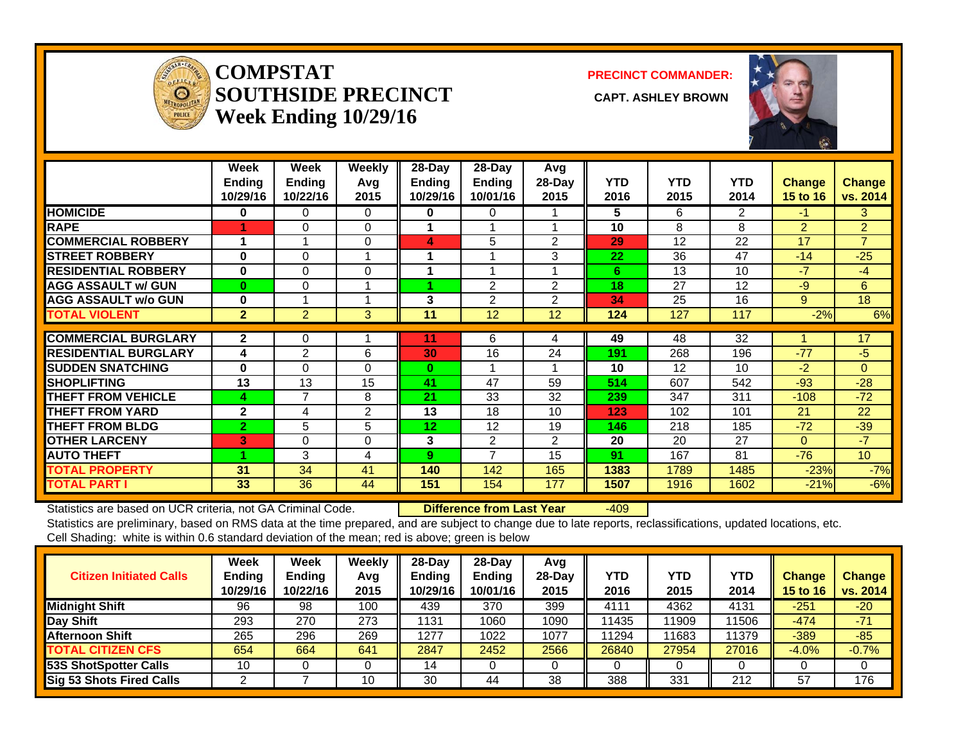

#### **COMPSTATSOUTHSIDE PRECINCT** CAPT. ASHLEY BROWN **Week Ending 10/29/16**

**PRECINCT COMMANDER:**



|                             | Week<br><b>Ending</b><br>10/29/16 | Week<br><b>Ending</b><br>10/22/16 | <b>Weekly</b><br>Avg<br>2015 | $28$ -Day<br><b>Ending</b><br>10/29/16 | $28$ -Day<br>Ending<br>10/01/16 | Avg<br>28-Day<br>2015 | <b>YTD</b><br>2016 | <b>YTD</b><br>2015 | <b>YTD</b><br>2014 | <b>Change</b><br>15 to 16 | Change<br>vs. 2014 |
|-----------------------------|-----------------------------------|-----------------------------------|------------------------------|----------------------------------------|---------------------------------|-----------------------|--------------------|--------------------|--------------------|---------------------------|--------------------|
| <b>HOMICIDE</b>             | 0                                 | 0                                 | 0                            | 0                                      | 0                               |                       | 5                  | 6                  | 2                  | -1.                       | 3                  |
| <b>RAPE</b>                 |                                   | 0                                 | 0                            |                                        | 1                               |                       | 10                 | 8                  | 8                  | $\overline{2}$            | $\overline{2}$     |
| <b>COMMERCIAL ROBBERY</b>   | 1                                 | $\overline{A}$                    | $\Omega$                     | 4                                      | 5                               | $\overline{2}$        | 29                 | 12                 | 22                 | 17                        | $\overline{7}$     |
| <b>STREET ROBBERY</b>       | $\bf{0}$                          | $\Omega$                          |                              |                                        | 1                               | 3                     | 22                 | 36                 | 47                 | $-14$                     | $-25$              |
| <b>RESIDENTIAL ROBBERY</b>  | 0                                 | $\Omega$                          | 0                            |                                        | 1                               |                       | 6                  | 13                 | 10                 | $-7$                      | $-4$               |
| <b>AGG ASSAULT w/ GUN</b>   | $\bf{0}$                          | $\Omega$                          |                              |                                        | 2                               | $\overline{2}$        | 18                 | 27                 | 12                 | $-9$                      | 6                  |
| <b>AGG ASSAULT w/o GUN</b>  | 0                                 |                                   |                              | 3                                      | $\overline{2}$                  | $\overline{2}$        | 34                 | 25                 | 16                 | 9                         | 18                 |
| <b>TOTAL VIOLENT</b>        | $\overline{2}$                    | $\overline{2}$                    | 3                            | 11                                     | 12                              | 12                    | 124                | 127                | 117                | $-2%$                     | 6%                 |
|                             |                                   |                                   |                              |                                        |                                 |                       |                    |                    |                    |                           |                    |
| <b>COMMERCIAL BURGLARY</b>  | $\mathbf{2}$                      | 0                                 |                              | 11                                     | 6                               | 4                     | 49                 | 48                 | 32                 |                           | 17                 |
| <b>RESIDENTIAL BURGLARY</b> | 4                                 | $\overline{2}$                    | 6                            | 30                                     | 16                              | 24                    | 191                | 268                | 196                | $-77$                     | $-5$               |
| <b>ISUDDEN SNATCHING</b>    | 0                                 | $\Omega$                          | 0                            | 0                                      | 1                               |                       | 10                 | 12                 | 10                 | $-2$                      | $\Omega$           |
| <b>SHOPLIFTING</b>          | 13                                | 13                                | 15                           | 41                                     | 47                              | 59                    | 514                | 607                | 542                | $-93$                     | $-28$              |
| <b>THEFT FROM VEHICLE</b>   | 4                                 | $\overline{7}$                    | 8                            | 21                                     | 33                              | 32                    | 239                | 347                | 311                | $-108$                    | $-72$              |
| <b>THEFT FROM YARD</b>      | $\mathbf{2}$                      | 4                                 | $\overline{2}$               | 13                                     | 18                              | 10                    | 123                | 102                | 101                | 21                        | 22                 |
| <b>THEFT FROM BLDG</b>      | $\overline{2}$                    | 5                                 | 5                            | 12                                     | 12                              | 19                    | 146                | 218                | 185                | $-72$                     | $-39$              |
| <b>OTHER LARCENY</b>        | $\mathbf{3}^{\prime}$             | 0                                 | 0                            | 3                                      | 2                               | $\overline{2}$        | 20                 | 20                 | 27                 | $\Omega$                  | $-7$               |
| <b>AUTO THEFT</b>           |                                   | 3                                 | 4                            | 9                                      | 7                               | 15                    | 91                 | 167                | 81                 | $-76$                     | 10 <sup>°</sup>    |
| <b>TOTAL PROPERTY</b>       | 31                                | 34                                | 41                           | 140                                    | 142                             | 165                   | 1383               | 1789               | 1485               | $-23%$                    | $-7%$              |
| <b>TOTAL PART I</b>         | 33                                | 36                                | 44                           | 151                                    | 154                             | 177                   | 1507               | 1916               | 1602               | $-21%$                    | $-6%$              |

Statistics are based on UCR criteria, not GA Criminal Code. **Difference from Last Year** -409 Statistics are preliminary, based on RMS data at the time prepared, and are subject to change due to late reports, reclassifications, updated locations, etc.

Cell Shading: white is within 0.6 standard deviation of the mean; red is above; green is below

| <b>Citizen Initiated Calls</b>  | Week<br><b>Ending</b><br>10/29/16 | Week<br><b>Ending</b><br>10/22/16 | Weekly<br>Avg<br>2015 | $28$ -Day<br><b>Endina</b><br>10/29/16 | $28-Day$<br><b>Ending</b><br>10/01/16 | Avg<br>$28$ -Day<br>2015 | YTD<br>2016 | <b>YTD</b><br>2015 | YTD<br>2014 | <b>Change</b><br>15 to 16 | <b>Change</b><br>vs. 2014 |
|---------------------------------|-----------------------------------|-----------------------------------|-----------------------|----------------------------------------|---------------------------------------|--------------------------|-------------|--------------------|-------------|---------------------------|---------------------------|
| <b>Midnight Shift</b>           | 96                                | 98                                | 100                   | 439                                    | 370                                   | 399                      | 4111        | 4362               | 4131        | $-251$                    | $-20$                     |
| Day Shift                       | 293                               | 270                               | 273                   | 1131                                   | 1060                                  | 1090                     | 11435       | 11909              | 11506       | $-474$                    | $-71$                     |
| <b>Afternoon Shift</b>          | 265                               | 296                               | 269                   | 1277                                   | 1022                                  | 1077                     | 11294       | 11683              | 11379       | $-389$                    | $-85$                     |
| <b>TOTAL CITIZEN CFS</b>        | 654                               | 664                               | 641                   | 2847                                   | 2452                                  | 2566                     | 26840       | 27954              | 27016       | $-4.0%$                   | $-0.7%$                   |
| <b>53S ShotSpotter Calls</b>    | 10                                |                                   |                       | 14                                     |                                       |                          |             | 0                  |             |                           |                           |
| <b>Sig 53 Shots Fired Calls</b> |                                   |                                   | 10                    | 30                                     | 44                                    | 38                       | 388         | 331                | 212         | 57                        | 176                       |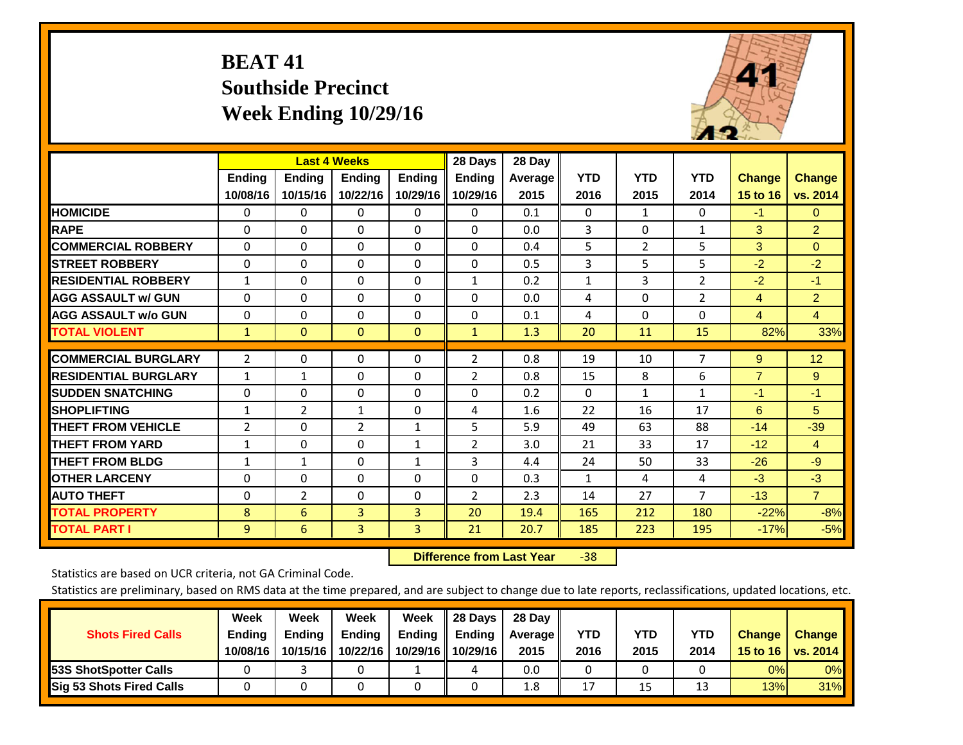# **BEAT 41 Southside Precinct Week Ending 10/29/16**



|                             |               | <b>Last 4 Weeks</b> |                |               | 28 Days       | 28 Day  |              |                |                |                |                |
|-----------------------------|---------------|---------------------|----------------|---------------|---------------|---------|--------------|----------------|----------------|----------------|----------------|
|                             | <b>Ending</b> | <b>Ending</b>       | <b>Ending</b>  | <b>Endina</b> | <b>Ending</b> | Average | <b>YTD</b>   | <b>YTD</b>     | <b>YTD</b>     | <b>Change</b>  | <b>Change</b>  |
|                             | 10/08/16      | 10/15/16            | 10/22/16       | 10/29/16      | 10/29/16      | 2015    | 2016         | 2015           | 2014           | 15 to 16       | vs. 2014       |
| <b>HOMICIDE</b>             | 0             | 0                   | 0              | 0             | $\Omega$      | 0.1     | $\Omega$     | $\mathbf{1}$   | 0              | $-1$           | $\mathbf{0}$   |
| <b>RAPE</b>                 | $\Omega$      | $\Omega$            | $\Omega$       | $\Omega$      | 0             | 0.0     | 3            | $\Omega$       | $\mathbf{1}$   | 3              | $\overline{2}$ |
| <b>COMMERCIAL ROBBERY</b>   | $\Omega$      | $\Omega$            | $\mathbf{0}$   | $\Omega$      | $\Omega$      | 0.4     | 5            | $\overline{2}$ | 5              | 3              | $\Omega$       |
| <b>STREET ROBBERY</b>       | $\mathbf 0$   | $\Omega$            | 0              | $\Omega$      | 0             | 0.5     | 3            | 5              | 5              | $-2$           | $-2$           |
| <b>RESIDENTIAL ROBBERY</b>  | $\mathbf{1}$  | $\Omega$            | $\Omega$       | 0             | $\mathbf{1}$  | 0.2     | $\mathbf{1}$ | 3              | $\overline{2}$ | $-2$           | $-1$           |
| <b>AGG ASSAULT w/ GUN</b>   | $\Omega$      | $\Omega$            | $\Omega$       | $\Omega$      | 0             | 0.0     | 4            | $\Omega$       | $\overline{2}$ | 4              | $\overline{2}$ |
| <b>AGG ASSAULT w/o GUN</b>  | $\Omega$      | $\Omega$            | $\Omega$       | 0             | 0             | 0.1     | 4            | $\Omega$       | $\Omega$       | 4              | $\overline{4}$ |
| <b>TOTAL VIOLENT</b>        | $\mathbf{1}$  | $\mathbf{0}$        | $\mathbf{0}$   | $\mathbf{0}$  | $\mathbf{1}$  | 1.3     | 20           | 11             | 15             | 82%            | 33%            |
| <b>COMMERCIAL BURGLARY</b>  | 2             | $\Omega$            | 0              | 0             | 2             | 0.8     | 19           | 10             | $\overline{7}$ | 9              | 12             |
|                             |               |                     |                |               |               |         |              |                |                |                |                |
| <b>RESIDENTIAL BURGLARY</b> | $\mathbf{1}$  | $\mathbf{1}$        | $\Omega$       | 0             | 2             | 0.8     | 15           | 8              | 6              | $\overline{7}$ | 9              |
| <b>SUDDEN SNATCHING</b>     | $\Omega$      | $\Omega$            | $\Omega$       | $\Omega$      | 0             | 0.2     | $\Omega$     | $\mathbf{1}$   | $\mathbf{1}$   | $-1$           | $-1$           |
| <b>SHOPLIFTING</b>          | $\mathbf{1}$  | 2                   | $\mathbf{1}$   | 0             | 4             | 1.6     | 22           | 16             | 17             | 6              | 5              |
| <b>THEFT FROM VEHICLE</b>   | 2             | $\Omega$            | $\overline{2}$ | 1             | 5             | 5.9     | 49           | 63             | 88             | $-14$          | $-39$          |
| <b>THEFT FROM YARD</b>      | $\mathbf{1}$  | $\Omega$            | $\Omega$       | $\mathbf{1}$  | 2             | 3.0     | 21           | 33             | 17             | $-12$          | $\overline{4}$ |
| <b>THEFT FROM BLDG</b>      | $\mathbf{1}$  | $\mathbf{1}$        | $\Omega$       | $\mathbf{1}$  | 3             | 4.4     | 24           | 50             | 33             | $-26$          | $-9$           |
| <b>OTHER LARCENY</b>        | $\Omega$      | $\Omega$            | $\Omega$       | $\Omega$      | 0             | 0.3     | 1            | 4              | 4              | $-3$           | $-3$           |
| <b>AUTO THEFT</b>           | $\Omega$      | $\overline{2}$      | $\Omega$       | $\Omega$      | 2             | 2.3     | 14           | 27             | $\overline{7}$ | $-13$          | $\overline{7}$ |
| <b>TOTAL PROPERTY</b>       | 8             | 6                   | 3              | 3             | 20            | 19.4    | 165          | 212            | 180            | $-22%$         | $-8%$          |
| <b>TOTAL PART I</b>         | 9             | 6                   | $\overline{3}$ | 3             | 21            | 20.7    | 185          | 223            | 195            | $-17%$         | $-5%$          |

 **Difference from Last Year**‐38

Statistics are based on UCR criteria, not GA Criminal Code.

| <b>Shots Fired Calls</b>        | Week<br><b>Ending</b><br>10/08/16 | Week<br><b>Endina</b><br>10/15/16 | Week<br>Ending<br>10/22/16 | Week<br>Ending<br>10/29/16 | 28 Days<br><b>Ending</b><br>10/29/16 | 28 Day<br>Average II<br>2015 | YTD<br>2016 | YTD<br>2015 | <b>YTD</b><br>2014 | <b>Change</b><br>15 to 16 $\vert$ | <b>Change</b><br>vs. 2014 |
|---------------------------------|-----------------------------------|-----------------------------------|----------------------------|----------------------------|--------------------------------------|------------------------------|-------------|-------------|--------------------|-----------------------------------|---------------------------|
| <b>153S ShotSpotter Calls</b>   |                                   |                                   |                            |                            | 4                                    | 0.0                          |             |             |                    | 0%                                | 0%                        |
| <b>Sig 53 Shots Fired Calls</b> |                                   |                                   |                            |                            |                                      | 1.8                          | 17          | 15          | 1.                 | 13%                               | 31%                       |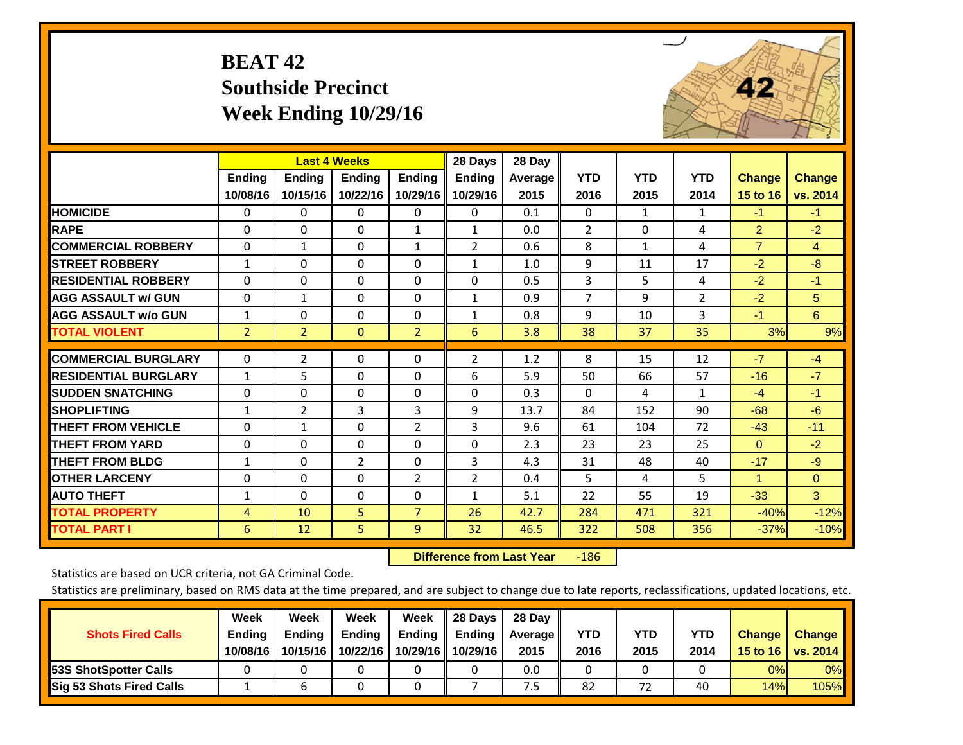# **BEAT 42 Southside Precinct Week Ending 10/29/16**



|                             |                | <b>Last 4 Weeks</b> |                |                | 28 Days        | 28 Day  |                |              |                |                      |                |
|-----------------------------|----------------|---------------------|----------------|----------------|----------------|---------|----------------|--------------|----------------|----------------------|----------------|
|                             | Ending         | <b>Ending</b>       | <b>Ending</b>  | <b>Ending</b>  | <b>Ending</b>  | Average | <b>YTD</b>     | <b>YTD</b>   | <b>YTD</b>     | <b>Change</b>        | <b>Change</b>  |
|                             | 10/08/16       | 10/15/16            | 10/22/16       | 10/29/16       | 10/29/16       | 2015    | 2016           | 2015         | 2014           | 15 to 16             | vs. 2014       |
| <b>HOMICIDE</b>             | $\mathbf 0$    | $\Omega$            | 0              | 0              | $\Omega$       | 0.1     | $\Omega$       | $\mathbf{1}$ | $\mathbf{1}$   | $-1$                 | $-1$           |
| <b>RAPE</b>                 | $\Omega$       | $\Omega$            | $\Omega$       | $\mathbf{1}$   | $\mathbf{1}$   | 0.0     | $\overline{2}$ | $\mathbf{0}$ | 4              | $\overline{2}$       | $-2$           |
| <b>COMMERCIAL ROBBERY</b>   | $\Omega$       | $\mathbf{1}$        | $\Omega$       | $\mathbf{1}$   | $\overline{2}$ | 0.6     | 8              | $\mathbf{1}$ | 4              | $\overline{7}$       | $\overline{4}$ |
| <b>ISTREET ROBBERY</b>      | $\mathbf{1}$   | $\Omega$            | $\Omega$       | $\Omega$       | $\mathbf{1}$   | 1.0     | 9              | 11           | 17             | $-2$                 | $-8$           |
| <b>RESIDENTIAL ROBBERY</b>  | $\Omega$       | $\Omega$            | $\Omega$       | $\Omega$       | $\Omega$       | 0.5     | 3              | 5            | 4              | $-2$                 | $-1$           |
| <b>AGG ASSAULT w/ GUN</b>   | $\Omega$       | $\mathbf{1}$        | $\Omega$       | $\Omega$       | $\mathbf{1}$   | 0.9     | $\overline{7}$ | 9            | $\overline{2}$ | $-2$                 | 5              |
| <b>AGG ASSAULT w/o GUN</b>  | 1              | $\Omega$            | $\Omega$       | $\Omega$       | $\mathbf{1}$   | 0.8     | 9              | 10           | 3              | $-1$                 | 6              |
| <b>TOTAL VIOLENT</b>        | $\overline{2}$ | $\overline{2}$      | $\mathbf{0}$   | $\overline{2}$ | 6              | 3.8     | 38             | 37           | 35             | 3%                   | 9%             |
| <b>COMMERCIAL BURGLARY</b>  | $\mathbf 0$    | 2                   | $\Omega$       | $\Omega$       | $\overline{2}$ | 1.2     | 8              | 15           | 12             | $-7$                 | $-4$           |
| <b>RESIDENTIAL BURGLARY</b> | $\mathbf{1}$   | 5                   | $\Omega$       | $\Omega$       | 6              | 5.9     | 50             | 66           | 57             | $-16$                | $-7$           |
| <b>ISUDDEN SNATCHING</b>    | $\mathbf 0$    | $\Omega$            | $\Omega$       | $\Omega$       | $\Omega$       | 0.3     | $\mathbf{0}$   | 4            | $\mathbf{1}$   | $-4$                 | $-1$           |
| <b>SHOPLIFTING</b>          | 1              | 2                   | 3              | 3              | 9              | 13.7    | 84             | 152          | 90             | $-68$                | $-6$           |
| <b>THEFT FROM VEHICLE</b>   | $\Omega$       | $\mathbf{1}$        | $\Omega$       | $\overline{2}$ | 3              | 9.6     | 61             | 104          | 72             | $-43$                | $-11$          |
| <b>THEFT FROM YARD</b>      | 0              | $\Omega$            | 0              | 0              | $\Omega$       | 2.3     | 23             | 23           | 25             | $\mathbf{0}$         | $-2$           |
| <b>THEFT FROM BLDG</b>      | 1              | $\Omega$            | $\overline{2}$ | $\Omega$       | 3              | 4.3     | 31             | 48           | 40             | $-17$                | $-9$           |
| <b>OTHER LARCENY</b>        | $\mathbf 0$    | $\Omega$            | $\Omega$       | $\overline{2}$ | $\overline{2}$ | 0.4     | 5              | 4            | 5              | $\blacktriangleleft$ | $\Omega$       |
| <b>AUTO THEFT</b>           | $\mathbf{1}$   | $\Omega$            | $\Omega$       | $\Omega$       | $\mathbf{1}$   | 5.1     | 22             | 55           | 19             | $-33$                | $\overline{3}$ |
| <b>TOTAL PROPERTY</b>       | $\overline{4}$ | 10                  | 5              | $\overline{7}$ | 26             | 42.7    | 284            | 471          | 321            | $-40%$               | $-12%$         |
| <b>TOTAL PART I</b>         | 6              | 12                  | 5              | 9              | 32             | 46.5    | 322            | 508          | 356            | $-37%$               | $-10%$         |

 **Difference from Last Year**‐186

Statistics are based on UCR criteria, not GA Criminal Code.

| <b>Shots Fired Calls</b>        | Week<br><b>Ending</b><br>10/08/16 | Week<br><b>Endina</b><br>10/15/16 | Week<br>Ending<br>10/22/16 | Week<br>Ending<br>10/29/16 | 28 Days<br><b>Ending</b><br>10/29/16 | 28 Day<br>Average II<br>2015 | YTD<br>2016 | YTD<br>2015 | <b>YTD</b><br>2014 | <b>Change</b><br>15 to $16$ | <b>Change</b><br>vs. 2014 |
|---------------------------------|-----------------------------------|-----------------------------------|----------------------------|----------------------------|--------------------------------------|------------------------------|-------------|-------------|--------------------|-----------------------------|---------------------------|
| <b>153S ShotSpotter Calls</b>   |                                   |                                   |                            |                            |                                      | 0.0                          |             |             |                    | 0%                          | 0%                        |
| <b>Sig 53 Shots Fired Calls</b> |                                   |                                   |                            |                            |                                      | ט.                           | 82          | 72          | 40                 | 14%                         | 105%                      |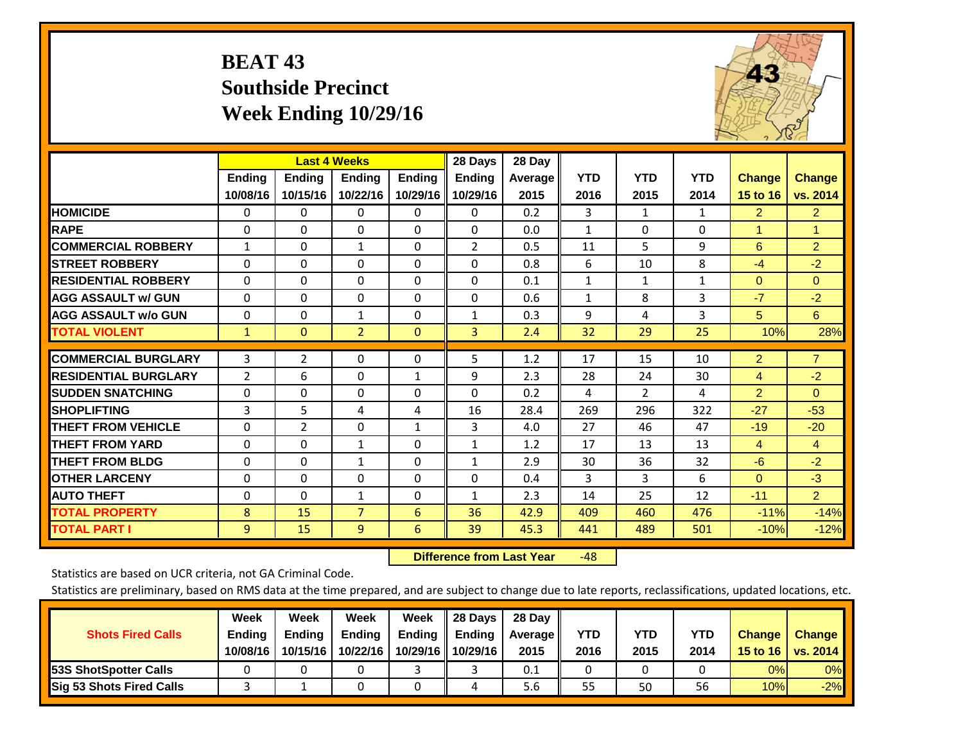# **BEAT 43 Southside Precinct Week Ending 10/29/16**



|                             |               | <b>Last 4 Weeks</b> |                |               | 28 Days       | 28 Day         |              |                |              |                |                      |
|-----------------------------|---------------|---------------------|----------------|---------------|---------------|----------------|--------------|----------------|--------------|----------------|----------------------|
|                             | <b>Ending</b> | <b>Ending</b>       | <b>Ending</b>  | <b>Endina</b> | <b>Ending</b> | <b>Average</b> | <b>YTD</b>   | <b>YTD</b>     | <b>YTD</b>   | <b>Change</b>  | <b>Change</b>        |
|                             | 10/08/16      | 10/15/16            | 10/22/16       | 10/29/16      | 10/29/16      | 2015           | 2016         | 2015           | 2014         | 15 to 16       | vs. 2014             |
| <b>HOMICIDE</b>             | $\mathbf{0}$  | 0                   | 0              | $\Omega$      | 0             | 0.2            | 3            | $\mathbf{1}$   | $\mathbf{1}$ | $\overline{2}$ | $\mathbf{2}^{\circ}$ |
| <b>RAPE</b>                 | $\Omega$      | $\Omega$            | $\Omega$       | $\Omega$      | $\Omega$      | 0.0            | $\mathbf{1}$ | 0              | $\Omega$     | 1              | $\mathbf{1}$         |
| <b>COMMERCIAL ROBBERY</b>   | $\mathbf{1}$  | $\Omega$            | $\mathbf{1}$   | $\Omega$      | 2             | 0.5            | 11           | 5              | 9            | 6              | $\overline{2}$       |
| <b>STREET ROBBERY</b>       | 0             | $\Omega$            | 0              | 0             | $\Omega$      | 0.8            | 6            | 10             | 8            | $-4$           | $-2$                 |
| <b>RESIDENTIAL ROBBERY</b>  | $\Omega$      | $\Omega$            | $\Omega$       | 0             | $\Omega$      | 0.1            | $\mathbf{1}$ | $\mathbf{1}$   | $\mathbf{1}$ | $\mathbf{0}$   | $\Omega$             |
| <b>AGG ASSAULT w/ GUN</b>   | $\Omega$      | $\Omega$            | $\Omega$       | 0             | $\Omega$      | 0.6            | $\mathbf{1}$ | 8              | 3            | $-7$           | $-2$                 |
| <b>AGG ASSAULT w/o GUN</b>  | $\Omega$      | $\Omega$            | $\mathbf{1}$   | 0             | 1             | 0.3            | 9            | 4              | 3            | 5              | 6                    |
| <b>TOTAL VIOLENT</b>        | $\mathbf{1}$  | $\mathbf{0}$        | $\overline{2}$ | $\mathbf{0}$  | 3             | 2.4            | 32           | 29             | 25           | 10%            | 28%                  |
|                             |               |                     |                |               |               |                |              |                |              |                |                      |
| <b>COMMERCIAL BURGLARY</b>  | 3             | 2                   | $\Omega$       | 0             | 5             | 1.2            | 17           | 15             | 10           | $\overline{2}$ | $\overline{7}$       |
| <b>RESIDENTIAL BURGLARY</b> | 2             | 6                   | $\Omega$       | $\mathbf{1}$  | 9             | 2.3            | 28           | 24             | 30           | $\overline{4}$ | $-2$                 |
| <b>ISUDDEN SNATCHING</b>    | $\Omega$      | $\Omega$            | $\mathbf{0}$   | 0             | $\Omega$      | 0.2            | 4            | $\overline{2}$ | 4            | $\overline{2}$ | $\Omega$             |
| <b>SHOPLIFTING</b>          | 3             | 5                   | 4              | 4             | 16            | 28.4           | 269          | 296            | 322          | $-27$          | $-53$                |
| <b>THEFT FROM VEHICLE</b>   | $\Omega$      | $\overline{2}$      | $\Omega$       | 1             | 3             | 4.0            | 27           | 46             | 47           | $-19$          | $-20$                |
| <b>THEFT FROM YARD</b>      | $\Omega$      | $\Omega$            | $\mathbf{1}$   | $\Omega$      | $\mathbf{1}$  | 1.2            | 17           | 13             | 13           | $\overline{4}$ | $\overline{4}$       |
| <b>THEFT FROM BLDG</b>      | $\Omega$      | $\Omega$            | $\mathbf{1}$   | $\Omega$      | 1             | 2.9            | 30           | 36             | 32           | $-6$           | $-2$                 |
| <b>OTHER LARCENY</b>        | $\Omega$      | $\Omega$            | $\Omega$       | $\Omega$      | $\Omega$      | 0.4            | 3            | 3              | 6            | $\mathbf{0}$   | $-3$                 |
| <b>AUTO THEFT</b>           | $\Omega$      | $\Omega$            | $\mathbf{1}$   | $\Omega$      | $\mathbf{1}$  | 2.3            | 14           | 25             | 12           | $-11$          | $\overline{2}$       |
| <b>TOTAL PROPERTY</b>       | 8             | 15                  | $\overline{7}$ | 6             | 36            | 42.9           | 409          | 460            | 476          | $-11%$         | $-14%$               |
| <b>TOTAL PART I</b>         | 9             | 15                  | $\overline{9}$ | 6             | 39            | 45.3           | 441          | 489            | 501          | $-10%$         | $-12%$               |

 **Difference from Last Year**r -48

Statistics are based on UCR criteria, not GA Criminal Code.

| <b>Shots Fired Calls</b>        | Week<br><b>Ending</b><br>10/08/16 | Week<br><b>Endina</b><br>10/15/16 | Week<br>Ending<br>10/22/16 | Week<br>Ending<br>10/29/16 | 28 Days<br><b>Ending</b><br>10/29/16 | 28 Day<br>Average II<br>2015 | YTD<br>2016 | YTD<br>2015 | <b>YTD</b><br>2014 | <b>Change</b><br>15 to 16 $\vert$ | <b>Change</b><br>vs. 2014 |
|---------------------------------|-----------------------------------|-----------------------------------|----------------------------|----------------------------|--------------------------------------|------------------------------|-------------|-------------|--------------------|-----------------------------------|---------------------------|
| <b>153S ShotSpotter Calls</b>   |                                   |                                   |                            |                            |                                      | 0.1                          |             |             |                    | 0%                                | 0%                        |
| <b>Sig 53 Shots Fired Calls</b> |                                   |                                   |                            |                            |                                      | 5.6                          | 55          | 50          | 56                 | 10%                               | $-2%$                     |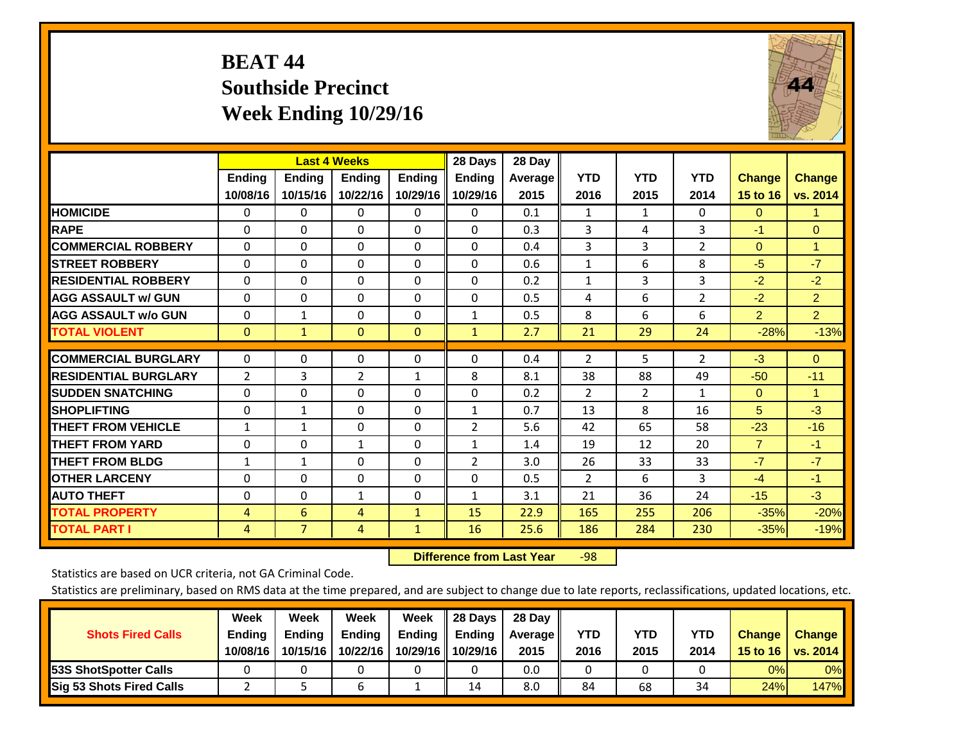# **BEAT 44 Southside Precinct Week Ending 10/29/16**



|                             |                    | <b>Last 4 Weeks</b>       |                    |                           | 28 Days                   | 28 Day          |                    |                    |                    |                           |                           |
|-----------------------------|--------------------|---------------------------|--------------------|---------------------------|---------------------------|-----------------|--------------------|--------------------|--------------------|---------------------------|---------------------------|
|                             | Ending<br>10/08/16 | <b>Ending</b><br>10/15/16 | Ending<br>10/22/16 | <b>Ending</b><br>10/29/16 | <b>Endina</b><br>10/29/16 | Average<br>2015 | <b>YTD</b><br>2016 | <b>YTD</b><br>2015 | <b>YTD</b><br>2014 | <b>Change</b><br>15 to 16 | <b>Change</b><br>vs. 2014 |
| <b>HOMICIDE</b>             | $\Omega$           | 0                         | 0                  | $\Omega$                  | 0                         | 0.1             | 1                  | $\mathbf{1}$       | 0                  | $\Omega$                  | 1.                        |
| <b>RAPE</b>                 | $\Omega$           | $\Omega$                  | $\Omega$           | $\Omega$                  | $\Omega$                  | 0.3             | 3                  | 4                  | 3                  | $-1$                      | $\mathbf{0}$              |
| <b>COMMERCIAL ROBBERY</b>   | $\Omega$           | 0                         | $\Omega$           | 0                         | 0                         | 0.4             | 3                  | 3                  | $\overline{2}$     | $\Omega$                  | 1                         |
| <b>STREET ROBBERY</b>       | $\Omega$           | $\Omega$                  | $\Omega$           | $\Omega$                  | $\Omega$                  | 0.6             | $\mathbf{1}$       | 6                  | 8                  | $-5$                      | $-7$                      |
| <b>RESIDENTIAL ROBBERY</b>  | $\Omega$           | $\Omega$                  | $\Omega$           | $\mathbf{0}$              | $\Omega$                  | 0.2             | $\mathbf{1}$       | 3                  | 3                  | $-2$                      | $-2$                      |
| <b>AGG ASSAULT w/ GUN</b>   | $\Omega$           | $\Omega$                  | $\Omega$           | $\Omega$                  | $\Omega$                  | 0.5             | 4                  | 6                  | $\overline{2}$     | $-2$                      | $\overline{2}$            |
| <b>AGG ASSAULT w/o GUN</b>  | $\Omega$           | $\mathbf{1}$              | $\Omega$           | $\Omega$                  | $\mathbf{1}$              | 0.5             | 8                  | 6                  | 6                  | $\overline{2}$            | $\overline{2}$            |
| <b>TOTAL VIOLENT</b>        | $\mathbf{0}$       | $\mathbf{1}$              | $\Omega$           | $\mathbf{0}$              | $\mathbf{1}$              | 2.7             | 21                 | 29                 | 24                 | $-28%$                    | $-13%$                    |
| <b>COMMERCIAL BURGLARY</b>  | 0                  | $\Omega$                  | 0                  | 0                         | 0                         | 0.4             | 2                  | 5.                 | $\overline{2}$     | $-3$                      | $\mathbf{0}$              |
|                             |                    |                           |                    |                           |                           |                 |                    |                    |                    |                           |                           |
| <b>RESIDENTIAL BURGLARY</b> | 2                  | 3                         | $\overline{2}$     | $\mathbf{1}$              | 8                         | 8.1             | 38                 | 88                 | 49                 | $-50$                     | $-11$                     |
| <b>ISUDDEN SNATCHING</b>    | 0                  | 0                         | $\Omega$           | $\mathbf{0}$              | $\Omega$                  | 0.2             | 2                  | $\overline{2}$     | $\mathbf{1}$       | $\Omega$                  | 1                         |
| <b>SHOPLIFTING</b>          | $\Omega$           | $\mathbf{1}$              | $\Omega$           | $\Omega$                  | $\mathbf{1}$              | 0.7             | 13                 | 8                  | 16                 | 5                         | $-3$                      |
| <b>THEFT FROM VEHICLE</b>   | $\mathbf{1}$       | $\mathbf{1}$              | $\Omega$           | $\mathbf{0}$              | 2                         | 5.6             | 42                 | 65                 | 58                 | $-23$                     | $-16$                     |
| <b>THEFT FROM YARD</b>      | $\Omega$           | $\Omega$                  | $\mathbf{1}$       | $\mathbf{0}$              | 1                         | 1.4             | 19                 | 12                 | 20                 | $\overline{7}$            | $-1$                      |
| <b>THEFT FROM BLDG</b>      | 1                  | $\mathbf{1}$              | $\Omega$           | $\Omega$                  | $\overline{2}$            | 3.0             | 26                 | 33                 | 33                 | $-7$                      | $-7$                      |
| <b>OTHER LARCENY</b>        | 0                  | $\mathbf{0}$              | $\Omega$           | $\Omega$                  | 0                         | 0.5             | $\overline{2}$     | 6                  | 3                  | $-4$                      | $-1$                      |
| <b>AUTO THEFT</b>           | $\Omega$           | 0                         | $\mathbf{1}$       | $\Omega$                  | $\mathbf{1}$              | 3.1             | 21                 | 36                 | 24                 | $-15$                     | $-3$                      |
| <b>TOTAL PROPERTY</b>       | $\overline{4}$     | 6                         | 4                  | $\mathbf{1}$              | 15                        | 22.9            | 165                | 255                | 206                | $-35%$                    | $-20%$                    |
| <b>TOTAL PART I</b>         | 4                  | $\overline{7}$            | 4                  | $\mathbf{1}$              | 16                        | 25.6            | 186                | 284                | 230                | $-35%$                    | $-19%$                    |

 **Difference from Last Year**r -98

Statistics are based on UCR criteria, not GA Criminal Code.

| <b>Shots Fired Calls</b>        | Week<br><b>Ending</b><br>10/08/16 | Week<br><b>Endina</b><br>10/15/16 | Week<br>Ending<br>10/22/16 | Week<br>Ending<br>10/29/16 | 28 Days<br><b>Ending</b><br>10/29/16 | 28 Day<br>Average II<br>2015 | YTD<br>2016 | YTD<br>2015 | <b>YTD</b><br>2014 | <b>Change</b><br>15 to $16$ | <b>Change</b><br>vs. 2014 |
|---------------------------------|-----------------------------------|-----------------------------------|----------------------------|----------------------------|--------------------------------------|------------------------------|-------------|-------------|--------------------|-----------------------------|---------------------------|
| <b>153S ShotSpotter Calls</b>   |                                   |                                   |                            |                            |                                      | 0.0                          |             |             |                    | 0%                          | 0%                        |
| <b>Sig 53 Shots Fired Calls</b> |                                   |                                   |                            |                            | 14                                   | 8.0                          | 84          | 68          | 34                 | 24%                         | 147%                      |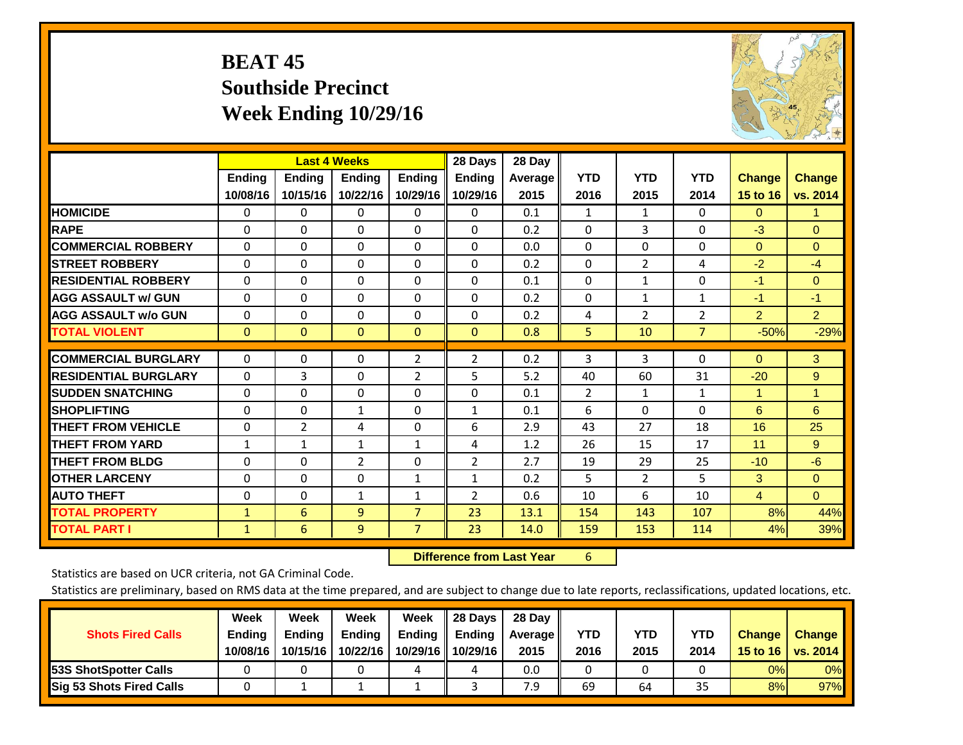# **BEAT 45 Southside Precinct Week Ending 10/29/16**



|                             |               | <b>Last 4 Weeks</b> |                |                | 28 Days       | 28 Day  |              |                |                |                |                |
|-----------------------------|---------------|---------------------|----------------|----------------|---------------|---------|--------------|----------------|----------------|----------------|----------------|
|                             | <b>Ending</b> | <b>Ending</b>       | <b>Ending</b>  | <b>Endina</b>  | <b>Ending</b> | Average | <b>YTD</b>   | <b>YTD</b>     | <b>YTD</b>     | <b>Change</b>  | <b>Change</b>  |
|                             | 10/08/16      | 10/15/16            | 10/22/16       | 10/29/16       | 10/29/16      | 2015    | 2016         | 2015           | 2014           | 15 to 16       | vs. 2014       |
| <b>HOMICIDE</b>             | 0             | $\Omega$            | 0              | 0              | $\Omega$      | 0.1     | 1            | $\mathbf{1}$   | 0              | $\Omega$       | $\mathbf{1}$   |
| <b>RAPE</b>                 | $\Omega$      | 0                   | $\Omega$       | 0              | 0             | 0.2     | $\Omega$     | 3              | 0              | $-3$           | $\Omega$       |
| <b>COMMERCIAL ROBBERY</b>   | $\Omega$      | $\Omega$            | $\mathbf{0}$   | $\Omega$       | $\Omega$      | 0.0     | $\Omega$     | $\Omega$       | $\Omega$       | $\Omega$       | $\Omega$       |
| <b>STREET ROBBERY</b>       | $\Omega$      | $\Omega$            | $\Omega$       | $\Omega$       | 0             | 0.2     | $\mathbf{0}$ | $\overline{2}$ | 4              | $-2$           | $-4$           |
| <b>RESIDENTIAL ROBBERY</b>  | $\Omega$      | $\Omega$            | $\Omega$       | $\Omega$       | $\Omega$      | 0.1     | $\mathbf{0}$ | 1              | 0              | $-1$           | $\Omega$       |
| <b>AGG ASSAULT w/ GUN</b>   | $\Omega$      | $\Omega$            | $\Omega$       | $\Omega$       | 0             | 0.2     | $\Omega$     | 1              | 1              | $-1$           | $-1$           |
| <b>AGG ASSAULT w/o GUN</b>  | 0             | $\Omega$            | $\Omega$       | $\Omega$       | $\Omega$      | 0.2     | 4            | $\overline{2}$ | $\overline{2}$ | $\overline{2}$ | 2 <sup>1</sup> |
| <b>TOTAL VIOLENT</b>        | $\mathbf{0}$  | $\mathbf{0}$        | $\mathbf{0}$   | $\mathbf{0}$   | $\mathbf{0}$  | 0.8     | 5            | 10             | 7              | $-50%$         | $-29%$         |
|                             |               |                     |                |                |               |         |              |                |                |                |                |
| <b>COMMERCIAL BURGLARY</b>  | $\Omega$      | $\Omega$            | $\mathbf 0$    | $\overline{2}$ | 2             | 0.2     | 3            | 3              | 0              | $\mathbf{0}$   | 3              |
| <b>RESIDENTIAL BURGLARY</b> | $\Omega$      | 3                   | $\Omega$       | 2              | 5             | 5.2     | 40           | 60             | 31             | $-20$          | 9              |
| <b>SUDDEN SNATCHING</b>     | $\Omega$      | 0                   | $\Omega$       | 0              | 0             | 0.1     | 2            | 1              | 1              | 1              | $\mathbf{1}$   |
| <b>SHOPLIFTING</b>          | $\Omega$      | $\Omega$            | $\mathbf{1}$   | 0              | $\mathbf{1}$  | 0.1     | 6            | $\Omega$       | $\Omega$       | 6              | 6              |
| <b>THEFT FROM VEHICLE</b>   | $\Omega$      | $\overline{2}$      | 4              | 0              | 6             | 2.9     | 43           | 27             | 18             | 16             | 25             |
| <b>THEFT FROM YARD</b>      | 1             | 1                   | 1              | 1              | 4             | 1.2     | 26           | 15             | 17             | 11             | 9              |
| <b>THEFT FROM BLDG</b>      | 0             | 0                   | 2              | 0              | 2             | 2.7     | 19           | 29             | 25             | $-10$          | $-6$           |
| <b>OTHER LARCENY</b>        | $\Omega$      | $\Omega$            | $\Omega$       | 1              | $\mathbf{1}$  | 0.2     | 5            | $\overline{2}$ | 5              | 3              | $\Omega$       |
| <b>AUTO THEFT</b>           | 0             | $\Omega$            | 1              | $\mathbf{1}$   | 2             | 0.6     | 10           | 6              | 10             | $\overline{4}$ | $\Omega$       |
| <b>TOTAL PROPERTY</b>       | $\mathbf{1}$  | 6                   | 9              | $\overline{7}$ | 23            | 13.1    | 154          | 143            | 107            | 8%             | 44%            |
| <b>TOTAL PART I</b>         | $\mathbf{1}$  | 6                   | $\overline{9}$ | $\overline{7}$ | 23            | 14.0    | 159          | 153            | 114            | 4%             | 39%            |

 **Difference from Last Year**r 6

Statistics are based on UCR criteria, not GA Criminal Code.

| <b>Shots Fired Calls</b>        | Week<br><b>Ending</b><br>10/08/16 | Week<br><b>Endina</b><br>10/15/16 | Week<br>Ending<br>10/22/16 | Week<br>Ending<br>10/29/16 | 28 Days<br><b>Ending</b><br>10/29/16 | 28 Day<br>Average II<br>2015 | YTD<br>2016 | YTD<br>2015 | <b>YTD</b><br>2014 | <b>Change</b><br>15 to 16 $\vert$ | <b>Change</b><br>vs. 2014 |
|---------------------------------|-----------------------------------|-----------------------------------|----------------------------|----------------------------|--------------------------------------|------------------------------|-------------|-------------|--------------------|-----------------------------------|---------------------------|
| <b>153S ShotSpotter Calls</b>   |                                   |                                   |                            | 4                          | 4                                    | 0.0                          |             |             |                    | 0%                                | 0%                        |
| <b>Sig 53 Shots Fired Calls</b> |                                   |                                   |                            |                            |                                      | 7.9                          | 69          | 64          | 35                 | 8%                                | 97%                       |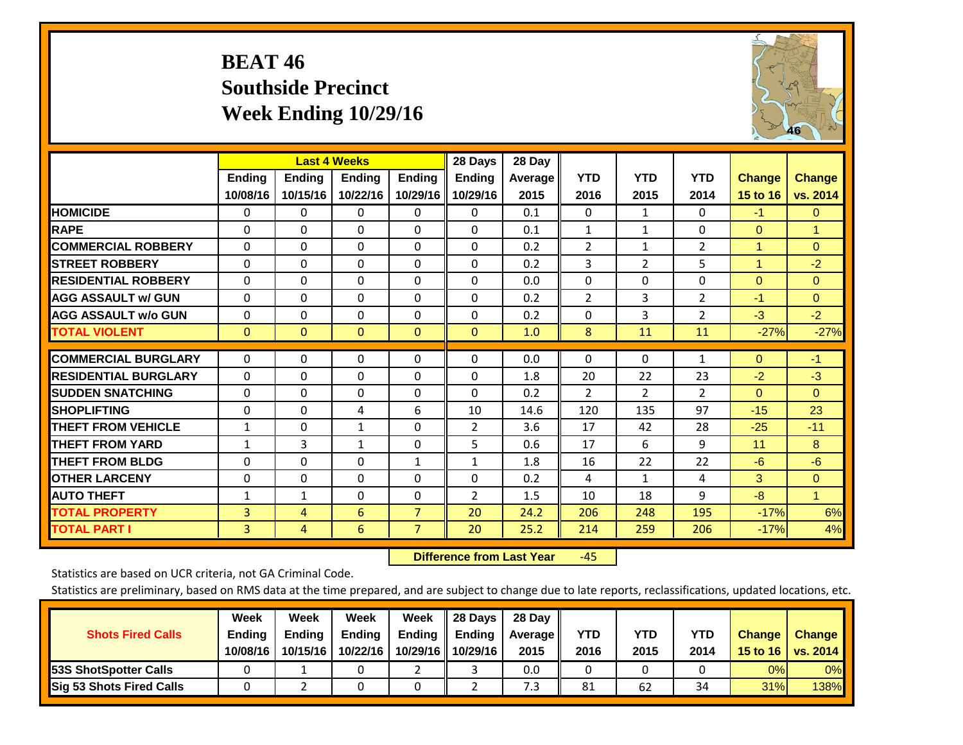# **BEAT 46 Southside Precinct Week Ending 10/29/16**



|                             |              | <b>Last 4 Weeks</b> |              |                | 28 Days        | 28 Day  |                |                |                |                |               |
|-----------------------------|--------------|---------------------|--------------|----------------|----------------|---------|----------------|----------------|----------------|----------------|---------------|
|                             | Ending       | <b>Ending</b>       | Ending       | <b>Ending</b>  | <b>Ending</b>  | Average | <b>YTD</b>     | <b>YTD</b>     | <b>YTD</b>     | <b>Change</b>  | <b>Change</b> |
|                             | 10/08/16     | 10/15/16            | 10/22/16     | 10/29/16       | 10/29/16       | 2015    | 2016           | 2015           | 2014           | 15 to 16       | vs. 2014      |
| <b>HOMICIDE</b>             | 0            | 0                   | 0            | $\Omega$       | $\mathbf{0}$   | 0.1     | $\Omega$       | $\mathbf{1}$   | 0              | $-1$           | $\mathbf{0}$  |
| <b>RAPE</b>                 | $\Omega$     | $\Omega$            | $\Omega$     | $\Omega$       | $\Omega$       | 0.1     | $\mathbf{1}$   | $\mathbf{1}$   | 0              | $\Omega$       | $\mathbf{1}$  |
| <b>COMMERCIAL ROBBERY</b>   | $\Omega$     | 0                   | $\Omega$     | 0              | $\Omega$       | 0.2     | $\overline{2}$ | $\mathbf{1}$   | 2              | $\mathbf{1}$   | $\mathbf{0}$  |
| <b>ISTREET ROBBERY</b>      | $\mathbf{0}$ | $\Omega$            | $\Omega$     | $\Omega$       | $\Omega$       | 0.2     | 3              | $\overline{2}$ | 5              | $\overline{1}$ | $-2$          |
| <b>RESIDENTIAL ROBBERY</b>  | $\Omega$     | 0                   | $\Omega$     | $\mathbf{0}$   | $\Omega$       | 0.0     | $\mathbf{0}$   | $\Omega$       | 0              | $\Omega$       | $\mathbf{0}$  |
| <b>AGG ASSAULT w/ GUN</b>   | $\Omega$     | 0                   | $\Omega$     | 0              | $\mathbf{0}$   | 0.2     | 2              | 3              | $\overline{2}$ | $-1$           | $\mathbf{0}$  |
| <b>AGG ASSAULT w/o GUN</b>  | $\Omega$     | $\Omega$            | $\Omega$     | $\Omega$       | $\Omega$       | 0.2     | $\Omega$       | 3              | $\overline{2}$ | $-3$           | $-2$          |
| <b>TOTAL VIOLENT</b>        | $\mathbf{0}$ | $\Omega$            | $\mathbf{0}$ | $\mathbf{0}$   | $\Omega$       | 1.0     | 8              | 11             | 11             | $-27%$         | $-27%$        |
|                             |              |                     |              |                |                |         |                |                |                |                |               |
| <b>COMMERCIAL BURGLARY</b>  | $\mathbf{0}$ | $\Omega$            | $\Omega$     | $\mathbf{0}$   | $\Omega$       | 0.0     | $\mathbf{0}$   | $\mathbf{0}$   | 1              | $\Omega$       | $-1$          |
| <b>RESIDENTIAL BURGLARY</b> | $\Omega$     | $\Omega$            | $\Omega$     | $\Omega$       | $\Omega$       | 1.8     | 20             | 22             | 23             | $-2$           | $-3$          |
| <b>SUDDEN SNATCHING</b>     | $\Omega$     | $\Omega$            | $\Omega$     | $\Omega$       | $\Omega$       | 0.2     | $\overline{2}$ | $\overline{2}$ | $\overline{2}$ | $\Omega$       | $\Omega$      |
| <b>SHOPLIFTING</b>          | 0            | 0                   | 4            | 6              | 10             | 14.6    | 120            | 135            | 97             | $-15$          | 23            |
| <b>THEFT FROM VEHICLE</b>   | $\mathbf{1}$ | $\Omega$            | $\mathbf{1}$ | $\Omega$       | $\overline{2}$ | 3.6     | 17             | 42             | 28             | $-25$          | $-11$         |
| <b>THEFT FROM YARD</b>      | $\mathbf{1}$ | 3                   | $\mathbf{1}$ | $\mathbf{0}$   | 5              | 0.6     | 17             | 6              | 9              | 11             | 8             |
| <b>THEFT FROM BLDG</b>      | $\Omega$     | $\Omega$            | $\Omega$     | $\mathbf{1}$   | $\mathbf{1}$   | 1.8     | 16             | 22             | 22             | $-6$           | $-6$          |
| <b>IOTHER LARCENY</b>       | $\Omega$     | $\Omega$            | $\Omega$     | $\mathbf{0}$   | $\Omega$       | 0.2     | 4              | $\mathbf{1}$   | 4              | 3              | $\mathbf{0}$  |
| <b>AUTO THEFT</b>           | $\mathbf{1}$ | $\mathbf{1}$        | $\Omega$     | 0              | 2              | 1.5     | 10             | 18             | 9              | $-8$           | $\mathbf{1}$  |
| <b>TOTAL PROPERTY</b>       | 3            | 4                   | 6            | $\overline{7}$ | 20             | 24.2    | 206            | 248            | 195            | $-17%$         | 6%            |
| <b>TOTAL PART I</b>         | 3            | 4                   | 6            | 7              | 20             | 25.2    | 214            | 259            | 206            | $-17%$         | 4%            |

 **Difference from Last Year**‐45

Statistics are based on UCR criteria, not GA Criminal Code.

| <b>Shots Fired Calls</b>        | Week<br><b>Ending</b><br>10/08/16 | Week<br><b>Endina</b><br>10/15/16 | Week<br>Ending<br>10/22/16 | Week<br>Ending<br>10/29/16 | 28 Days<br><b>Ending</b><br>10/29/16 | 28 Day<br>Average II<br>2015 | YTD<br>2016 | YTD<br>2015 | <b>YTD</b><br>2014 | <b>Change</b><br>15 to $16$ | <b>Change</b><br>vs. 2014 |
|---------------------------------|-----------------------------------|-----------------------------------|----------------------------|----------------------------|--------------------------------------|------------------------------|-------------|-------------|--------------------|-----------------------------|---------------------------|
| <b>153S ShotSpotter Calls</b>   |                                   |                                   |                            |                            |                                      | 0.0                          |             |             |                    | 0%                          | 0%                        |
| <b>Sig 53 Shots Fired Calls</b> |                                   |                                   |                            |                            |                                      | 7.3                          | 81          | 62          | 34                 | 31%                         | 138%                      |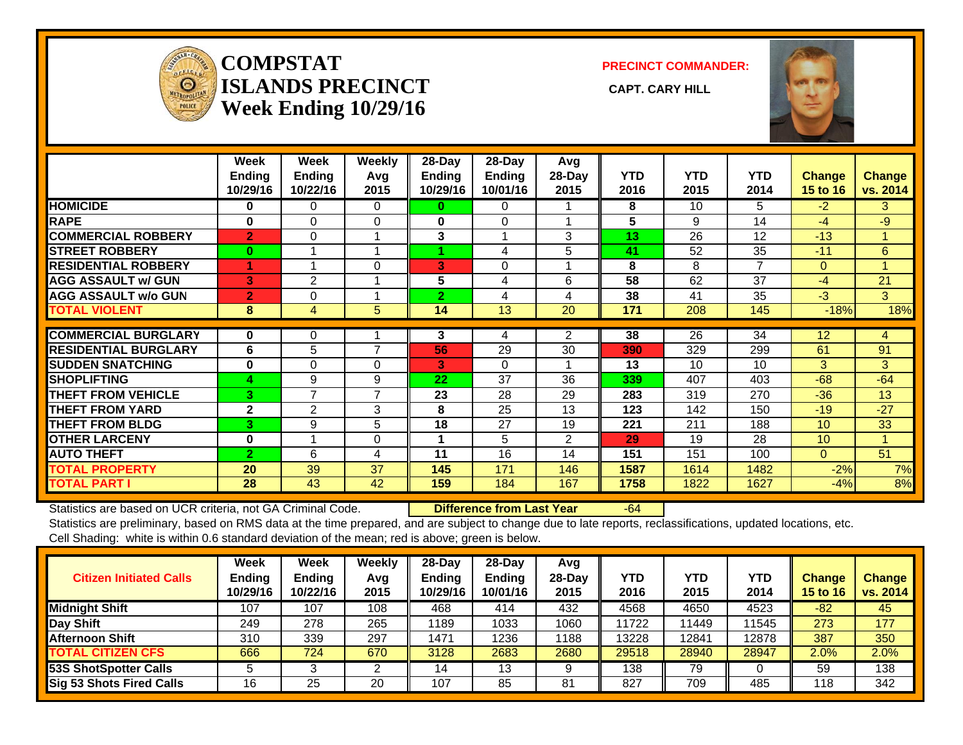

#### **COMPSTATISLANDS PRECINCT** CAPT. CARY HILL **Week Ending 10/29/16**

**PRECINCT COMMANDER:**



|                             | Week<br><b>Ending</b><br>10/29/16 | Week<br>Ending<br>10/22/16 | Weekly<br>Avq<br>2015 | 28-Day<br><b>Ending</b><br>10/29/16 | 28-Day<br><b>Ending</b><br>10/01/16 | Avg<br>28-Day<br>2015 | <b>YTD</b><br>2016 | <b>YTD</b><br>2015 | <b>YTD</b><br>2014 | <b>Change</b><br>15 to 16 | <b>Change</b><br>vs. 2014 |
|-----------------------------|-----------------------------------|----------------------------|-----------------------|-------------------------------------|-------------------------------------|-----------------------|--------------------|--------------------|--------------------|---------------------------|---------------------------|
| <b>HOMICIDE</b>             | 0                                 | $\Omega$                   | $\Omega$              | 0                                   | 0                                   |                       | 8                  | 10                 | 5                  | $-2$                      | 3                         |
| <b>RAPE</b>                 | $\bf{0}$                          | $\Omega$                   | $\Omega$              | 0                                   | 0                                   |                       | 5                  | 9                  | 14                 | $-4$                      | $-9$                      |
| <b>COMMERCIAL ROBBERY</b>   | $\overline{2}$                    | $\Omega$                   |                       | 3                                   |                                     | 3                     | 13                 | 26                 | 12                 | $-13$                     | 1                         |
| <b>STREET ROBBERY</b>       | $\bf{0}$                          |                            |                       |                                     | 4                                   | 5                     | 41                 | 52                 | 35                 | $-11$                     | 6                         |
| <b>RESIDENTIAL ROBBERY</b>  | ٩                                 |                            | $\Omega$              | 3                                   | $\Omega$                            |                       | 8                  | 8                  | 7                  | $\Omega$                  |                           |
| <b>AGG ASSAULT w/ GUN</b>   | 3                                 | $\overline{2}$             |                       | 5                                   | 4                                   | 6                     | 58                 | 62                 | 37                 | $-4$                      | 21                        |
| <b>AGG ASSAULT w/o GUN</b>  | $\overline{2}$                    | $\Omega$                   |                       | $\overline{2}$                      | 4                                   | 4                     | 38                 | 41                 | 35                 | $-3$                      | 3                         |
| <b>TOTAL VIOLENT</b>        | 8                                 | $\overline{4}$             | 5                     | 14                                  | 13                                  | 20                    | 171                | 208                | 145                | $-18%$                    | 18%                       |
| <b>COMMERCIAL BURGLARY</b>  | $\bf{0}$                          | 0                          |                       | 3                                   | 4                                   | $\overline{2}$        | 38                 | 26                 | 34                 | 12                        | 4                         |
| <b>RESIDENTIAL BURGLARY</b> | 6                                 | 5                          | 7                     | 56                                  | 29                                  | 30                    | 390                | 329                | 299                | 61                        | 91                        |
| <b>SUDDEN SNATCHING</b>     | $\bf{0}$                          | $\Omega$                   | $\Omega$              | 3                                   | $\Omega$                            |                       | 13                 | 10                 | 10                 | 3                         | 3                         |
| <b>SHOPLIFTING</b>          | 4                                 | 9                          | 9                     | 22                                  | 37                                  | 36                    | 339                | 407                | 403                | $-68$                     | $-64$                     |
| <b>THEFT FROM VEHICLE</b>   | 3.                                | 7                          | 7                     | 23                                  | 28                                  | 29                    | 283                | 319                | 270                | $-36$                     | 13                        |
| <b>THEFT FROM YARD</b>      | $\mathbf{2}$                      | 2                          | 3                     | 8                                   | 25                                  | 13                    | 123                | 142                | 150                | $-19$                     | $-27$                     |
| <b>THEFT FROM BLDG</b>      | 3                                 | 9                          | 5                     | 18                                  | 27                                  | 19                    | 221                | 211                | 188                | 10 <sup>°</sup>           | 33                        |
| <b>OTHER LARCENY</b>        | $\bf{0}$                          |                            | $\Omega$              |                                     | 5                                   | $\overline{2}$        | 29                 | 19                 | 28                 | 10 <sup>°</sup>           | 1                         |
| <b>AUTO THEFT</b>           | $\overline{2}$                    | 6                          | 4                     | 11                                  | 16                                  | 14                    | 151                | 151                | 100                | $\overline{0}$            | 51                        |
| <b>TOTAL PROPERTY</b>       | 20                                | 39                         | 37                    | 145                                 | 171                                 | 146                   | 1587               | 1614               | 1482               | $-2%$                     | 7%                        |
| <b>TOTAL PART I</b>         | 28                                | 43                         | 42                    | 159                                 | 184                                 | 167                   | 1758               | 1822               | 1627               | $-4%$                     | 8%                        |

Statistics are based on UCR criteria, not GA Criminal Code. **Difference from Last Year** -64 Statistics are preliminary, based on RMS data at the time prepared, and are subject to change due to late reports, reclassifications, updated locations, etc. Cell Shading: white is within 0.6 standard deviation of the mean; red is above; green is below.

| <b>Citizen Initiated Calls</b>  | Week<br><b>Ending</b><br>10/29/16 | <b>Week</b><br>Ending<br>10/22/16 | Weekly<br>Avg<br>2015 | $28-Dav$<br><b>Ending</b><br>10/29/16 | 28-Day<br><b>Ending</b><br>10/01/16 | Avg<br>$28-Day$<br>2015 | YTD<br>2016 | <b>YTD</b><br>2015 | YTD<br>2014 | Change<br><b>15 to 16</b> | <b>Change</b><br>vs. 2014 |
|---------------------------------|-----------------------------------|-----------------------------------|-----------------------|---------------------------------------|-------------------------------------|-------------------------|-------------|--------------------|-------------|---------------------------|---------------------------|
| <b>Midnight Shift</b>           | 107                               | 107                               | 108                   | 468                                   | 414                                 | 432                     | 4568        | 4650               | 4523        | $-82$                     | 45                        |
| Day Shift                       | 249                               | 278                               | 265                   | 1189                                  | 1033                                | 1060                    | 11722       | 11449              | 11545       | 273                       | 177                       |
| <b>Afternoon Shift</b>          | 310                               | 339                               | 297                   | 1471                                  | 1236                                | 1188                    | 13228       | 12841              | 12878       | 387                       | 350                       |
| <b>TOTAL CITIZEN CFS</b>        | 666                               | 724                               | 670                   | 3128                                  | 2683                                | 2680                    | 29518       | 28940              | 28947       | 2.0%                      | 2.0%                      |
| <b>53S ShotSpotter Calls</b>    |                                   |                                   |                       | 4                                     | 13                                  |                         | 138         | 79                 |             | 59                        | 138                       |
| <b>Sig 53 Shots Fired Calls</b> | 16                                | 25                                | 20                    | 107                                   | 85                                  | 81                      | 827         | 709                | 485         | 118                       | 342                       |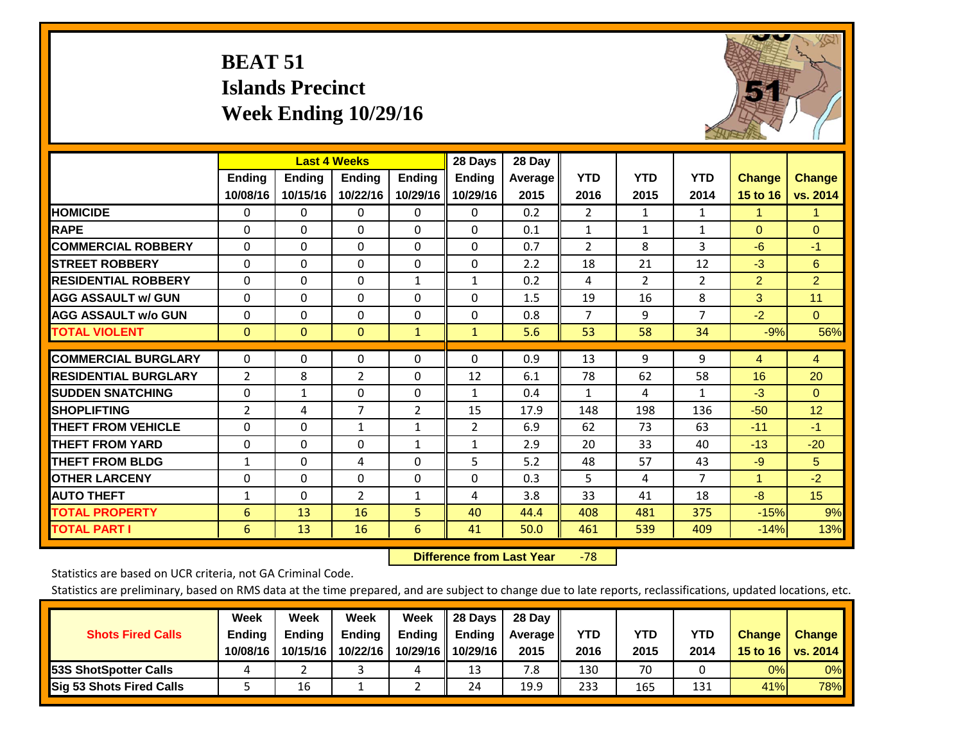# **BEAT 51 Islands Precinct Week Ending 10/29/16**



|                             |               | <b>Last 4 Weeks</b> |                |                | 28 Days        | 28 Day  |                |            |                |                |                |
|-----------------------------|---------------|---------------------|----------------|----------------|----------------|---------|----------------|------------|----------------|----------------|----------------|
|                             | <b>Ending</b> | <b>Ending</b>       | <b>Endina</b>  | <b>Ending</b>  | <b>Ending</b>  | Average | <b>YTD</b>     | <b>YTD</b> | <b>YTD</b>     | <b>Change</b>  | <b>Change</b>  |
|                             | 10/08/16      | 10/15/16            | 10/22/16       | 10/29/16       | 10/29/16       | 2015    | 2016           | 2015       | 2014           | 15 to 16       | vs. 2014       |
| <b>HOMICIDE</b>             | 0             | 0                   | $\Omega$       | $\Omega$       | 0              | 0.2     | $\overline{2}$ | 1          | 1              | 1              | 1.             |
| <b>RAPE</b>                 | 0             | $\Omega$            | $\Omega$       | $\Omega$       | $\Omega$       | 0.1     | 1              | 1          | $\mathbf{1}$   | $\Omega$       | $\Omega$       |
| <b>COMMERCIAL ROBBERY</b>   | $\Omega$      | $\Omega$            | $\Omega$       | $\Omega$       | 0              | 0.7     | $\overline{2}$ | 8          | 3              | $-6$           | $-1$           |
| <b>ISTREET ROBBERY</b>      | $\Omega$      | $\Omega$            | $\Omega$       | $\Omega$       | $\Omega$       | 2.2     | 18             | 21         | 12             | $-3$           | 6              |
| <b>RESIDENTIAL ROBBERY</b>  | $\Omega$      | $\Omega$            | $\Omega$       | $\mathbf{1}$   | $\mathbf{1}$   | 0.2     | 4              | 2          | $\overline{2}$ | $\overline{2}$ | $\overline{2}$ |
| <b>AGG ASSAULT w/ GUN</b>   | $\Omega$      | 0                   | $\Omega$       | $\Omega$       | 0              | 1.5     | 19             | 16         | 8              | 3              | 11             |
| <b>AGG ASSAULT w/o GUN</b>  | $\Omega$      | 0                   | $\Omega$       | $\Omega$       | $\Omega$       | 0.8     | $\overline{7}$ | 9          | $\overline{7}$ | $-2$           | $\Omega$       |
| <b>TOTAL VIOLENT</b>        | $\mathbf{0}$  | $\Omega$            | $\mathbf{0}$   | $\mathbf{1}$   | $\mathbf{1}$   | 5.6     | 53             | 58         | 34             | $-9%$          | 56%            |
|                             |               |                     |                |                |                |         |                |            |                |                |                |
| <b>COMMERCIAL BURGLARY</b>  | $\Omega$      | $\Omega$            | $\Omega$       | $\mathbf{0}$   | $\Omega$       | 0.9     | 13             | 9          | 9              | 4              | $\overline{4}$ |
| <b>RESIDENTIAL BURGLARY</b> | 2             | 8                   | 2              | $\Omega$       | 12             | 6.1     | 78             | 62         | 58             | 16             | 20             |
| <b>SUDDEN SNATCHING</b>     | 0             | $\mathbf{1}$        | $\Omega$       | $\Omega$       | $\mathbf{1}$   | 0.4     | $\mathbf{1}$   | 4          | 1              | $-3$           | $\Omega$       |
| <b>SHOPLIFTING</b>          | 2             | 4                   | $\overline{7}$ | $\overline{2}$ | 15             | 17.9    | 148            | 198        | 136            | $-50$          | 12             |
| <b>THEFT FROM VEHICLE</b>   | $\Omega$      | 0                   | $\mathbf{1}$   | 1              | $\overline{2}$ | 6.9     | 62             | 73         | 63             | $-11$          | $-1$           |
| <b>THEFT FROM YARD</b>      | 0             | $\Omega$            | $\Omega$       | 1              | $\mathbf{1}$   | 2.9     | 20             | 33         | 40             | $-13$          | $-20$          |
| <b>THEFT FROM BLDG</b>      | $\mathbf{1}$  | $\Omega$            | 4              | $\Omega$       | 5              | 5.2     | 48             | 57         | 43             | $-9$           | 5              |
| <b>OTHER LARCENY</b>        | 0             | 0                   | $\mathbf{0}$   | $\Omega$       | $\Omega$       | 0.3     | 5              | 4          | $\overline{7}$ | $\mathbf{1}$   | $-2$           |
| <b>AUTO THEFT</b>           | $\mathbf{1}$  | 0                   | $\overline{2}$ | 1              | 4              | 3.8     | 33             | 41         | 18             | $-8$           | 15             |
| <b>TOTAL PROPERTY</b>       | 6             | 13                  | 16             | 5              | 40             | 44.4    | 408            | 481        | 375            | $-15%$         | 9%             |
| <b>TOTAL PART I</b>         | 6             | 13                  | 16             | 6              | 41             | 50.0    | 461            | 539        | 409            | $-14%$         | 13%            |

 **Difference from Last Year**‐78

Statistics are based on UCR criteria, not GA Criminal Code.

|                                 | Week          | Week          | Week     | Week     | 28 Days       | 28 Day     |      |      |            |               |                 |
|---------------------------------|---------------|---------------|----------|----------|---------------|------------|------|------|------------|---------------|-----------------|
| <b>Shots Fired Calls</b>        | <b>Ending</b> | <b>Endina</b> | Ending   | Ending   | <b>Ending</b> | Average II | YTD  | YTD  | <b>YTD</b> | <b>Change</b> | <b>Change</b>   |
|                                 | 10/08/16      | 10/15/16      | 10/22/16 | 10/29/16 | 10/29/16      | 2015       | 2016 | 2015 | 2014       | 15 to 16      | <b>vs. 2014</b> |
| <b>153S ShotSpotter Calls</b>   |               |               |          | ட        | 13            | 7.8        | 130  | 70   |            | 0%            | 0%              |
| <b>Sig 53 Shots Fired Calls</b> |               | 16            |          |          | 24            | 19.9       | 233  | 165  | 131        | 41%           | 78%             |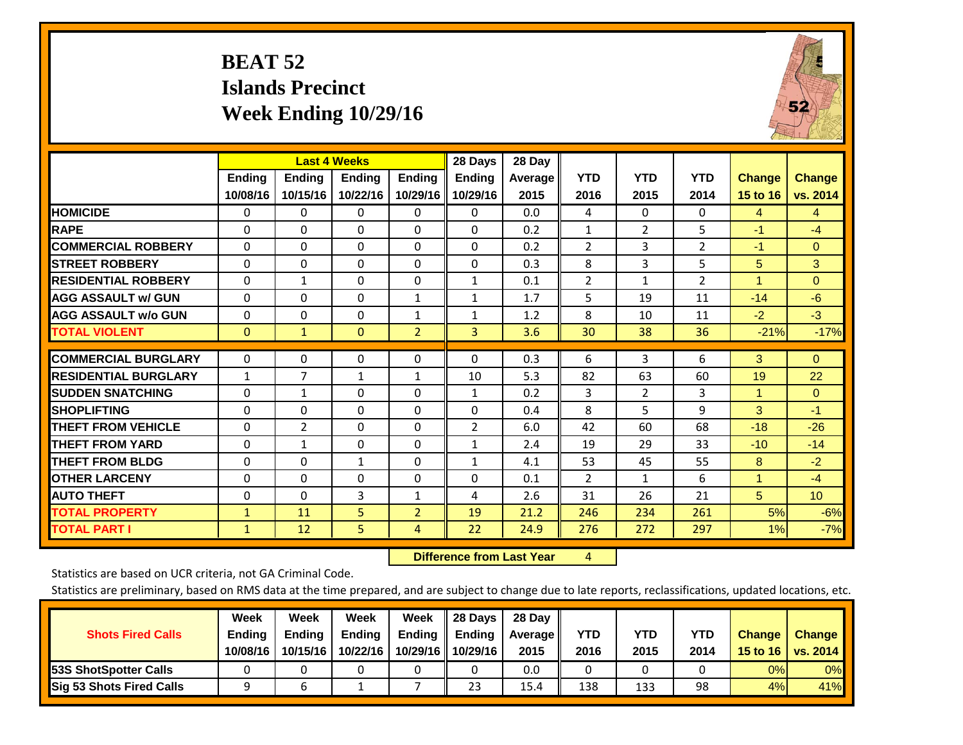# **BEAT 52 Islands Precinct Week Ending 10/29/16**



|                             |                           | <b>Last 4 Weeks</b>       |                           |                           | 28 Days                   | 28 Day          |                    |                    |                    |                                  |                           |
|-----------------------------|---------------------------|---------------------------|---------------------------|---------------------------|---------------------------|-----------------|--------------------|--------------------|--------------------|----------------------------------|---------------------------|
|                             | <b>Ending</b><br>10/08/16 | <b>Endina</b><br>10/15/16 | <b>Endina</b><br>10/22/16 | <b>Endina</b><br>10/29/16 | <b>Endina</b><br>10/29/16 | Average<br>2015 | <b>YTD</b><br>2016 | <b>YTD</b><br>2015 | <b>YTD</b><br>2014 | <b>Change</b><br><b>15 to 16</b> | <b>Change</b><br>vs. 2014 |
| <b>HOMICIDE</b>             | 0                         | 0                         | 0                         | 0                         | 0                         | 0.0             | 4                  | $\Omega$           | 0                  | 4                                | $\overline{4}$            |
| <b>RAPE</b>                 | $\Omega$                  | 0                         | $\Omega$                  | $\Omega$                  | $\Omega$                  | 0.2             | 1                  | $\overline{2}$     | 5                  | $-1$                             | $-4$                      |
| <b>COMMERCIAL ROBBERY</b>   | $\Omega$                  | 0                         | $\Omega$                  | $\Omega$                  | $\Omega$                  | 0.2             | $\overline{2}$     | 3                  | $\overline{2}$     | $-1$                             | $\Omega$                  |
| <b>STREET ROBBERY</b>       | $\Omega$                  | $\Omega$                  | $\Omega$                  | $\mathbf{0}$              | $\Omega$                  | 0.3             | 8                  | 3                  | 5                  | 5                                | 3                         |
| <b>RESIDENTIAL ROBBERY</b>  | $\Omega$                  | $\mathbf{1}$              | 0                         | $\mathbf{0}$              | $\mathbf{1}$              | 0.1             | $\overline{2}$     | 1                  | $\overline{2}$     | 4                                | $\Omega$                  |
| <b>AGG ASSAULT w/ GUN</b>   | $\Omega$                  | $\Omega$                  | $\Omega$                  | 1                         | $\mathbf{1}$              | 1.7             | 5                  | 19                 | 11                 | $-14$                            | $-6$                      |
| <b>AGG ASSAULT w/o GUN</b>  | 0                         | 0                         | 0                         | 1                         | $\mathbf{1}$              | 1.2             | 8                  | 10                 | 11                 | $-2$                             | $-3$                      |
| <b>TOTAL VIOLENT</b>        | $\mathbf{0}$              | $\mathbf{1}$              | $\mathbf{0}$              | $\overline{2}$            | 3                         | 3.6             | 30                 | 38                 | 36                 | $-21%$                           | $-17%$                    |
| <b>COMMERCIAL BURGLARY</b>  | $\Omega$                  | $\Omega$                  | 0                         | $\mathbf{0}$              | $\Omega$                  | 0.3             | 6                  | 3                  | 6                  | 3                                | $\Omega$                  |
| <b>RESIDENTIAL BURGLARY</b> | $\mathbf{1}$              | 7                         | 1                         | 1                         | 10                        | 5.3             | 82                 | 63                 | 60                 | 19                               | 22                        |
| <b>ISUDDEN SNATCHING</b>    | 0                         | 1                         | $\Omega$                  | $\Omega$                  | $\mathbf{1}$              | 0.2             | 3                  | $\overline{2}$     | 3                  | 1                                | $\Omega$                  |
| <b>SHOPLIFTING</b>          | $\Omega$                  | $\Omega$                  | $\Omega$                  | $\Omega$                  | $\Omega$                  | 0.4             | 8                  | 5                  | 9                  | 3                                | $-1$                      |
| <b>THEFT FROM VEHICLE</b>   | $\Omega$                  | 2                         | $\Omega$                  | $\mathbf{0}$              | 2                         | 6.0             | 42                 | 60                 | 68                 | $-18$                            | $-26$                     |
| <b>THEFT FROM YARD</b>      | $\Omega$                  | 1                         | $\Omega$                  | $\Omega$                  | $\mathbf{1}$              | 2.4             | 19                 | 29                 | 33                 | $-10$                            | $-14$                     |
| <b>THEFT FROM BLDG</b>      | 0                         | 0                         | $\mathbf{1}$              | $\Omega$                  | 1                         | 4.1             | 53                 | 45                 | 55                 | 8                                | $-2$                      |
| <b>OTHER LARCENY</b>        | 0                         | 0                         | $\Omega$                  | $\mathbf{0}$              | 0                         | 0.1             | 2                  | $\mathbf{1}$       | 6                  | 1                                | $-4$                      |
| <b>AUTO THEFT</b>           | 0                         | $\Omega$                  | 3                         | 1                         | 4                         | 2.6             | 31                 | 26                 | 21                 | 5                                | 10                        |
| <b>TOTAL PROPERTY</b>       | $\mathbf{1}$              | 11                        | 5                         | $\overline{2}$            | 19                        | 21.2            | 246                | 234                | 261                | 5%                               | $-6%$                     |
| <b>TOTAL PART I</b>         | $\mathbf{1}$              | 12                        | 5                         | 4                         | 22                        | 24.9            | 276                | 272                | 297                | 1%                               | $-7%$                     |

 **Difference from Last Year**r 4

Statistics are based on UCR criteria, not GA Criminal Code.

| <b>Shots Fired Calls</b>        | Week<br><b>Ending</b><br>10/08/16 | Week<br><b>Endina</b><br>10/15/16 | Week<br>Ending<br>10/22/16 | Week<br>Ending<br>10/29/16 | 28 Days<br><b>Ending</b><br>10/29/16 | 28 Day<br>Average II<br>2015 | YTD<br>2016 | YTD<br>2015 | <b>YTD</b><br>2014 | <b>Change</b><br>15 to 16 | <b>Change</b><br>vs. 2014 |
|---------------------------------|-----------------------------------|-----------------------------------|----------------------------|----------------------------|--------------------------------------|------------------------------|-------------|-------------|--------------------|---------------------------|---------------------------|
| <b>153S ShotSpotter Calls</b>   |                                   |                                   |                            |                            |                                      | 0.0                          |             |             |                    | 0%                        | 0%                        |
| <b>Sig 53 Shots Fired Calls</b> |                                   |                                   |                            |                            | 23                                   | 15.4                         | 138         | 133         | 98                 | 4%                        | 41%                       |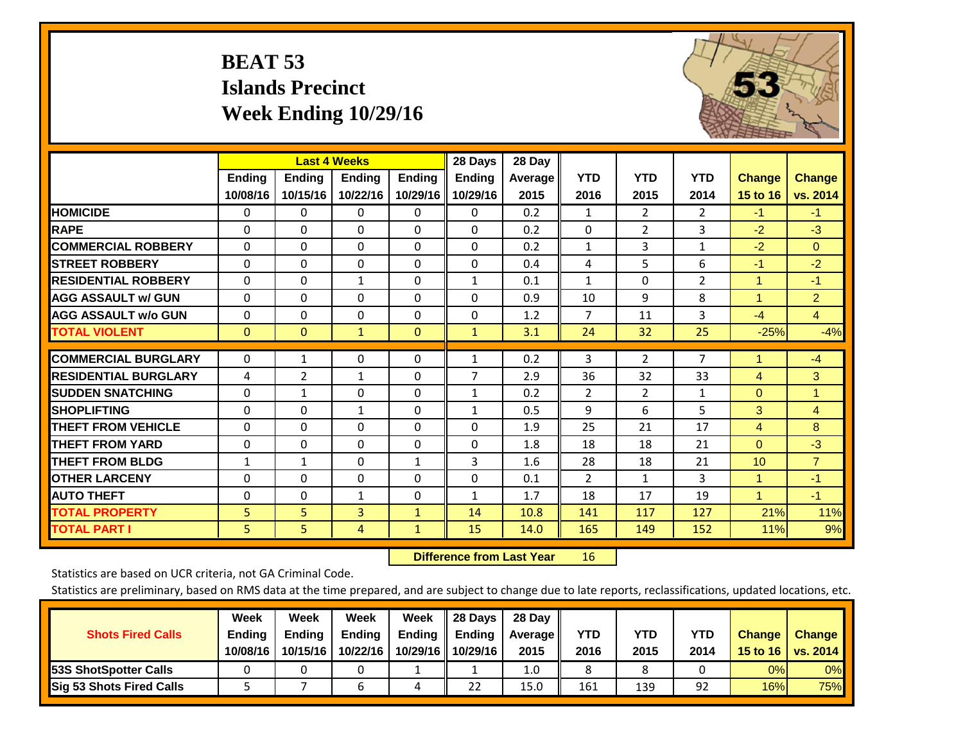# **BEAT 53 Islands Precinct Week Ending 10/29/16**



|                             |                           |                           | <b>Last 4 Weeks</b>       |                           | 28 Days                   | 28 Day          |                    |                    |                    |                           |                           |
|-----------------------------|---------------------------|---------------------------|---------------------------|---------------------------|---------------------------|-----------------|--------------------|--------------------|--------------------|---------------------------|---------------------------|
|                             | <b>Ending</b><br>10/08/16 | <b>Ending</b><br>10/15/16 | <b>Ending</b><br>10/22/16 | <b>Endina</b><br>10/29/16 | <b>Ending</b><br>10/29/16 | Average<br>2015 | <b>YTD</b><br>2016 | <b>YTD</b><br>2015 | <b>YTD</b><br>2014 | <b>Change</b><br>15 to 16 | <b>Change</b><br>vs. 2014 |
| <b>HOMICIDE</b>             |                           |                           |                           |                           |                           | 0.2             |                    | $\overline{2}$     | $\overline{2}$     | $-1$                      |                           |
|                             | $\Omega$                  | 0                         | 0                         | 0                         | 0                         |                 | $\mathbf{1}$       |                    |                    |                           | $-1$                      |
| <b>RAPE</b>                 | $\Omega$                  | $\Omega$                  | $\Omega$                  | $\Omega$                  | 0                         | 0.2             | $\Omega$           | $\overline{2}$     | 3                  | $-2$                      | $-3$                      |
| <b>COMMERCIAL ROBBERY</b>   | $\Omega$                  | $\Omega$                  | $\Omega$                  | $\Omega$                  | $\Omega$                  | 0.2             | $\mathbf{1}$       | 3                  | $\mathbf{1}$       | $-2$                      | $\mathbf{0}$              |
| <b>STREET ROBBERY</b>       | $\Omega$                  | $\Omega$                  | $\Omega$                  | $\Omega$                  | $\Omega$                  | 0.4             | 4                  | 5                  | 6                  | $-1$                      | $-2$                      |
| <b>RESIDENTIAL ROBBERY</b>  | $\Omega$                  | $\Omega$                  | 1                         | $\Omega$                  | $\mathbf{1}$              | 0.1             | $\mathbf{1}$       | 0                  | 2                  | $\mathbf{1}$              | $-1$                      |
| <b>AGG ASSAULT w/ GUN</b>   | $\Omega$                  | $\Omega$                  | $\mathbf{0}$              | $\Omega$                  | 0                         | 0.9             | 10                 | 9                  | 8                  | 1                         | 2 <sup>1</sup>            |
| <b>AGG ASSAULT w/o GUN</b>  | $\mathbf 0$               | $\Omega$                  | 0                         | $\Omega$                  | $\Omega$                  | 1.2             | 7                  | 11                 | 3                  | $-4$                      | $\overline{4}$            |
| <b>TOTAL VIOLENT</b>        | $\mathbf{0}$              | $\mathbf{0}$              | $\mathbf{1}$              | $\mathbf{0}$              | $\mathbf{1}$              | 3.1             | 24                 | 32                 | 25                 | $-25%$                    | $-4%$                     |
|                             |                           |                           |                           |                           |                           |                 |                    |                    |                    |                           |                           |
| <b>COMMERCIAL BURGLARY</b>  | $\mathbf 0$               | 1                         | 0                         | $\Omega$                  | 1                         | 0.2             | 3                  | $\overline{2}$     | $\overline{7}$     | 1                         | $-4$                      |
| <b>RESIDENTIAL BURGLARY</b> | 4                         | 2                         | $\mathbf{1}$              | $\Omega$                  | 7                         | 2.9             | 36                 | 32                 | 33                 | 4                         | 3                         |
| <b>SUDDEN SNATCHING</b>     | $\Omega$                  | 1                         | $\Omega$                  | 0                         | $\mathbf{1}$              | 0.2             | 2                  | $\overline{2}$     | 1                  | $\Omega$                  | 1                         |
| <b>SHOPLIFTING</b>          | $\Omega$                  | $\Omega$                  | 1                         | $\Omega$                  | $\mathbf{1}$              | 0.5             | 9                  | 6                  | 5                  | 3                         | $\overline{4}$            |
| <b>THEFT FROM VEHICLE</b>   | $\Omega$                  | $\Omega$                  | $\Omega$                  | $\Omega$                  | $\Omega$                  | 1.9             | 25                 | 21                 | 17                 | 4                         | 8                         |
| <b>THEFT FROM YARD</b>      | 0                         | $\Omega$                  | $\mathbf{0}$              | $\Omega$                  | $\Omega$                  | 1.8             | 18                 | 18                 | 21                 | $\Omega$                  | $-3$                      |
| <b>THEFT FROM BLDG</b>      | 1                         | 1                         | $\mathbf{0}$              | 1                         | 3                         | 1.6             | 28                 | 18                 | 21                 | 10                        | $\overline{7}$            |
| <b>OTHER LARCENY</b>        | $\Omega$                  | $\Omega$                  | $\Omega$                  | $\Omega$                  | $\Omega$                  | 0.1             | $\overline{2}$     | 1                  | 3                  | 1                         | $-1$                      |
| <b>AUTO THEFT</b>           | $\mathbf 0$               | $\Omega$                  | 1                         | $\Omega$                  | $\mathbf{1}$              | 1.7             | 18                 | 17                 | 19                 | $\overline{1}$            | $-1$                      |
| <b>TOTAL PROPERTY</b>       | 5                         | 5                         | 3                         | $\mathbf{1}$              | 14                        | 10.8            | 141                | 117                | 127                | 21%                       | 11%                       |
| <b>TOTAL PART I</b>         | 5                         | 5                         | 4                         | $\mathbf{1}$              | 15                        | 14.0            | 165                | 149                | 152                | 11%                       | 9%                        |

 **Difference from Last Year**r 16

Statistics are based on UCR criteria, not GA Criminal Code.

| <b>Shots Fired Calls</b>        | Week<br><b>Ending</b><br>10/08/16 | Week<br><b>Endina</b><br>10/15/16 | <b>Week</b><br>Ending<br>10/22/16 | Week<br>Ending<br>10/29/16 | 28 Days<br><b>Ending</b><br>10/29/16 | 28 Day<br>Average II<br>2015 | YTD<br>2016 | YTD<br>2015 | <b>YTD</b><br>2014 | Change<br>15 to 16 | <b>Change</b><br><b>vs. 2014</b> |
|---------------------------------|-----------------------------------|-----------------------------------|-----------------------------------|----------------------------|--------------------------------------|------------------------------|-------------|-------------|--------------------|--------------------|----------------------------------|
| <b>153S ShotSpotter Calls</b>   |                                   |                                   |                                   |                            |                                      | 1.0                          |             |             |                    | 0%                 | 0%                               |
| <b>Sig 53 Shots Fired Calls</b> |                                   |                                   | n                                 | 4                          | 22                                   | 15.0                         | 161         | 139         | 92                 | 16%                | 75%                              |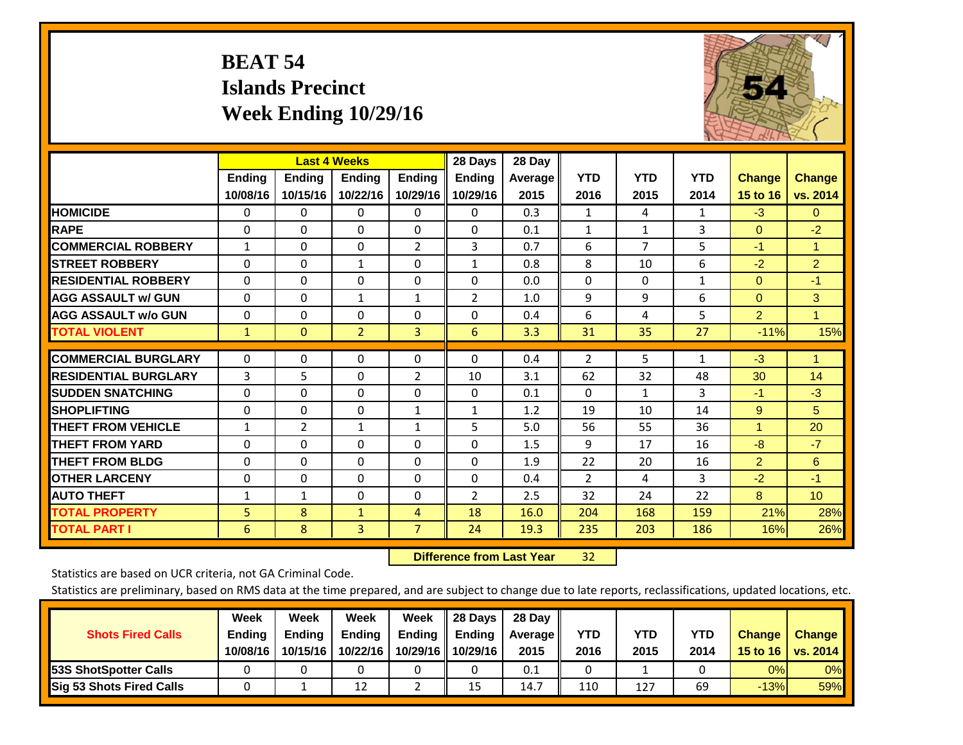# **BEAT 54 Islands Precinct Week Ending 10/29/16**



|                             | <b>Last 4 Weeks</b> |                |                |                | 28 Days        | 28 Day  |                |                |              |                |                 |
|-----------------------------|---------------------|----------------|----------------|----------------|----------------|---------|----------------|----------------|--------------|----------------|-----------------|
|                             | <b>Ending</b>       | Ending         | <b>Endina</b>  | <b>Ending</b>  | <b>Ending</b>  | Average | <b>YTD</b>     | <b>YTD</b>     | <b>YTD</b>   | <b>Change</b>  | <b>Change</b>   |
|                             | 10/08/16            | 10/15/16       | 10/22/16       | 10/29/16       | 10/29/16       | 2015    | 2016           | 2015           | 2014         | 15 to 16       | vs. 2014        |
| <b>HOMICIDE</b>             | 0                   | 0              | 0              | 0              | $\Omega$       | 0.3     | 1              | 4              | 1            | $-3$           | $\mathbf{0}$    |
| <b>RAPE</b>                 | 0                   | 0              | $\Omega$       | $\Omega$       | 0              | 0.1     | 1              | 1              | 3            | $\mathbf{0}$   | $-2$            |
| <b>COMMERCIAL ROBBERY</b>   | $\mathbf{1}$        | 0              | $\Omega$       | $\overline{2}$ | 3              | 0.7     | 6              | $\overline{7}$ | 5            | $-1$           | $\mathbf{1}$    |
| <b>STREET ROBBERY</b>       | 0                   | 0              | 1              | 0              | $\mathbf{1}$   | 0.8     | 8              | 10             | 6            | $-2$           | $\overline{2}$  |
| <b>RESIDENTIAL ROBBERY</b>  | $\Omega$            | 0              | $\Omega$       | $\Omega$       | $\Omega$       | 0.0     | $\mathbf{0}$   | 0              | $\mathbf{1}$ | $\mathbf{0}$   | $-1$            |
| <b>AGG ASSAULT w/ GUN</b>   | $\Omega$            | $\Omega$       | 1              | $\mathbf{1}$   | 2              | 1.0     | 9              | 9              | 6            | $\overline{0}$ | 3               |
| <b>AGG ASSAULT w/o GUN</b>  | $\Omega$            | $\Omega$       | $\Omega$       | $\Omega$       | $\Omega$       | 0.4     | 6              | 4              | 5            | $\overline{2}$ | $\mathbf{1}$    |
| <b>TOTAL VIOLENT</b>        | $\mathbf{1}$        | $\overline{0}$ | $\overline{2}$ | 3              | 6              | 3.3     | 31             | 35             | 27           | $-11%$         | 15%             |
| <b>COMMERCIAL BURGLARY</b>  | 0                   | $\Omega$       | 0              | 0              | 0              | 0.4     | 2              | 5              | 1            | $-3$           | 1               |
| <b>RESIDENTIAL BURGLARY</b> | 3                   | 5              | $\Omega$       | $\overline{2}$ | 10             | 3.1     | 62             | 32             | 48           | 30             | 14              |
| <b>ISUDDEN SNATCHING</b>    |                     | 0              |                |                |                |         |                |                | 3            |                | $-3$            |
|                             | 0                   |                | $\Omega$       | $\Omega$       | 0              | 0.1     | 0              | 1              |              | $-1$           |                 |
| <b>SHOPLIFTING</b>          | 0                   | $\Omega$       | $\mathbf{0}$   | $\mathbf{1}$   | $\mathbf{1}$   | 1.2     | 19             | 10             | 14           | 9              | 5               |
| <b>THEFT FROM VEHICLE</b>   | $\mathbf{1}$        | 2              | $\mathbf{1}$   | $\mathbf{1}$   | 5              | 5.0     | 56             | 55             | 36           | $\mathbf{1}$   | 20              |
| <b>THEFT FROM YARD</b>      | 0                   | $\Omega$       | $\Omega$       | $\Omega$       | $\Omega$       | 1.5     | 9              | 17             | 16           | $-8$           | $-7$            |
| <b>THEFT FROM BLDG</b>      | $\Omega$            | 0              | $\Omega$       | 0              | 0              | 1.9     | 22             | 20             | 16           | $\overline{2}$ | 6               |
| <b>OTHER LARCENY</b>        | 0                   | $\Omega$       | $\mathbf 0$    | 0              | $\Omega$       | 0.4     | $\overline{2}$ | 4              | 3            | $-2$           | $-1$            |
| <b>AUTO THEFT</b>           | $\mathbf{1}$        | $\mathbf{1}$   | $\Omega$       | $\Omega$       | $\overline{2}$ | 2.5     | 32             | 24             | 22           | 8              | 10 <sup>°</sup> |
| <b>TOTAL PROPERTY</b>       | 5                   | 8              | $\mathbf{1}$   | 4              | 18             | 16.0    | 204            | 168            | 159          | 21%            | 28%             |
| <b>TOTAL PART I</b>         | 6                   | 8              | $\overline{3}$ | $\overline{7}$ | 24             | 19.3    | 235            | 203            | 186          | 16%            | 26%             |

 **Difference from Last Year**32

Statistics are based on UCR criteria, not GA Criminal Code.

| <b>Shots Fired Calls</b>        | Week<br><b>Ending</b><br>10/08/16 | Week<br><b>Endina</b><br>10/15/16 | <b>Week</b><br>Ending<br>10/22/16 | Week<br>Ending<br>10/29/16 | 28 Days<br><b>Ending</b><br>10/29/16 | 28 Day<br>Average II<br>2015 | YTD<br>2016 | YTD<br>2015 | <b>YTD</b><br>2014 | Change<br>15 to 16 | <b>Change</b><br>vs. 2014 |
|---------------------------------|-----------------------------------|-----------------------------------|-----------------------------------|----------------------------|--------------------------------------|------------------------------|-------------|-------------|--------------------|--------------------|---------------------------|
| <b>153S ShotSpotter Calls</b>   |                                   |                                   |                                   |                            |                                      | 0.1                          |             |             |                    | 0%                 | 0%                        |
| <b>Sig 53 Shots Fired Calls</b> |                                   |                                   | 12                                |                            | 15                                   | 14.7                         | 110         | 127         | 69                 | $-13%$             | 59%                       |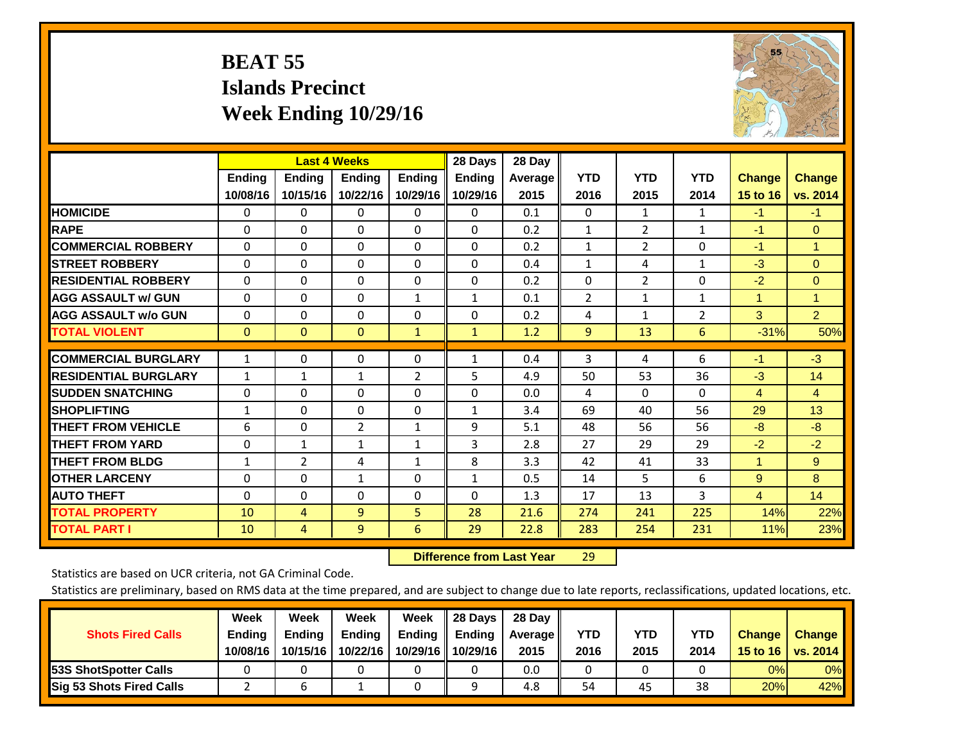# **BEAT 55 Islands Precinct Week Ending 10/29/16**



|                             | <b>Last 4 Weeks</b> |               |                |                | 28 Days       | 28 Day  |              |                |                |                |                |
|-----------------------------|---------------------|---------------|----------------|----------------|---------------|---------|--------------|----------------|----------------|----------------|----------------|
|                             | <b>Ending</b>       | <b>Ending</b> | <b>Ending</b>  | <b>Ending</b>  | <b>Ending</b> | Average | <b>YTD</b>   | <b>YTD</b>     | <b>YTD</b>     | <b>Change</b>  | <b>Change</b>  |
|                             | 10/08/16            | 10/15/16      | 10/22/16       | 10/29/16       | 10/29/16      | 2015    | 2016         | 2015           | 2014           | 15 to 16       | vs. 2014       |
| <b>HOMICIDE</b>             | $\Omega$            | 0             | 0              | 0              | 0             | 0.1     | 0            | $\mathbf{1}$   | 1              | $-1$           | $-1$           |
| <b>RAPE</b>                 | $\Omega$            | $\Omega$      | $\Omega$       | 0              | $\Omega$      | 0.2     | $\mathbf{1}$ | $\overline{2}$ | $\mathbf{1}$   | $-1$           | $\mathbf{0}$   |
| <b>COMMERCIAL ROBBERY</b>   | $\Omega$            | $\Omega$      | $\Omega$       | $\Omega$       | 0             | 0.2     | 1            | 2              | $\Omega$       | $-1$           | 1              |
| <b>ISTREET ROBBERY</b>      | $\Omega$            | $\Omega$      | $\Omega$       | $\Omega$       | $\Omega$      | 0.4     | $\mathbf{1}$ | 4              | 1              | $-3$           | $\Omega$       |
| <b>RESIDENTIAL ROBBERY</b>  | $\Omega$            | $\Omega$      | 0              | $\Omega$       | $\Omega$      | 0.2     | $\Omega$     | 2              | 0              | $-2$           | $\mathbf{0}$   |
| <b>AGG ASSAULT w/ GUN</b>   | $\Omega$            | $\Omega$      | $\Omega$       | $\mathbf{1}$   | $\mathbf{1}$  | 0.1     | 2            | 1              | 1              | 1              | 1              |
| <b>AGG ASSAULT w/o GUN</b>  | $\Omega$            | $\Omega$      | $\Omega$       | 0              | $\Omega$      | 0.2     | 4            | $\mathbf{1}$   | $\overline{2}$ | 3              | $\overline{2}$ |
| <b>TOTAL VIOLENT</b>        | $\mathbf{0}$        | $\mathbf{0}$  | $\mathbf{0}$   | $\mathbf{1}$   | $\mathbf{1}$  | 1.2     | 9            | 13             | 6              | $-31%$         | 50%            |
|                             |                     |               |                |                |               |         |              |                |                |                |                |
| <b>COMMERCIAL BURGLARY</b>  | $\mathbf{1}$        | $\Omega$      | 0              | $\Omega$       | $\mathbf{1}$  | 0.4     | 3            | 4              | 6              | $-1$           | $-3$           |
| <b>RESIDENTIAL BURGLARY</b> | $\mathbf{1}$        | $\mathbf{1}$  | $\mathbf{1}$   | $\overline{2}$ | 5             | 4.9     | 50           | 53             | 36             | $-3$           | 14             |
| <b>SUDDEN SNATCHING</b>     | $\Omega$            | $\Omega$      | $\Omega$       | $\Omega$       | 0             | 0.0     | 4            | $\Omega$       | 0              | 4              | $\overline{4}$ |
| <b>SHOPLIFTING</b>          | $\mathbf{1}$        | $\Omega$      | $\Omega$       | 0              | $\mathbf{1}$  | 3.4     | 69           | 40             | 56             | 29             | 13             |
| <b>THEFT FROM VEHICLE</b>   | 6                   | $\Omega$      | $\overline{2}$ | $\mathbf{1}$   | 9             | 5.1     | 48           | 56             | 56             | $-8$           | $-8$           |
| <b>THEFT FROM YARD</b>      | $\mathbf 0$         | $\mathbf{1}$  | 1              | $\mathbf{1}$   | 3             | 2.8     | 27           | 29             | 29             | $-2$           | $-2$           |
| <b>THEFT FROM BLDG</b>      | $\mathbf{1}$        | 2             | 4              | 1              | 8             | 3.3     | 42           | 41             | 33             | 1              | 9              |
| <b>OTHER LARCENY</b>        | $\Omega$            | $\Omega$      | $\mathbf{1}$   | $\Omega$       | $\mathbf{1}$  | 0.5     | 14           | 5.             | 6              | 9              | 8              |
| <b>AUTO THEFT</b>           | $\Omega$            | $\Omega$      | $\Omega$       | $\Omega$       | 0             | 1.3     | 17           | 13             | 3              | $\overline{4}$ | 14             |
| <b>TOTAL PROPERTY</b>       | 10                  | 4             | 9              | 5              | 28            | 21.6    | 274          | 241            | 225            | 14%            | 22%            |
| <b>TOTAL PART I</b>         | 10                  | 4             | 9              | 6              | 29            | 22.8    | 283          | 254            | 231            | 11%            | 23%            |

 **Difference from Last Year**r 29

Statistics are based on UCR criteria, not GA Criminal Code.

| <b>Shots Fired Calls</b>        | Week<br><b>Ending</b><br>10/08/16 | Week<br><b>Endina</b><br>10/15/16 | Week<br>Ending<br>10/22/16 | Week<br>Ending<br>10/29/16 | 28 Days<br><b>Ending</b><br>10/29/16 | 28 Day<br>Average II<br>2015 | YTD<br>2016 | YTD<br>2015 | <b>YTD</b><br>2014 | <b>Change</b><br>15 to $16$ | <b>Change</b><br>vs. 2014 |
|---------------------------------|-----------------------------------|-----------------------------------|----------------------------|----------------------------|--------------------------------------|------------------------------|-------------|-------------|--------------------|-----------------------------|---------------------------|
| <b>153S ShotSpotter Calls</b>   |                                   |                                   |                            |                            |                                      | 0.0                          |             |             |                    | 0%                          | 0%                        |
| <b>Sig 53 Shots Fired Calls</b> |                                   |                                   |                            |                            |                                      | 4.8                          | 54          | 45          | 38                 | 20%                         | 42%                       |